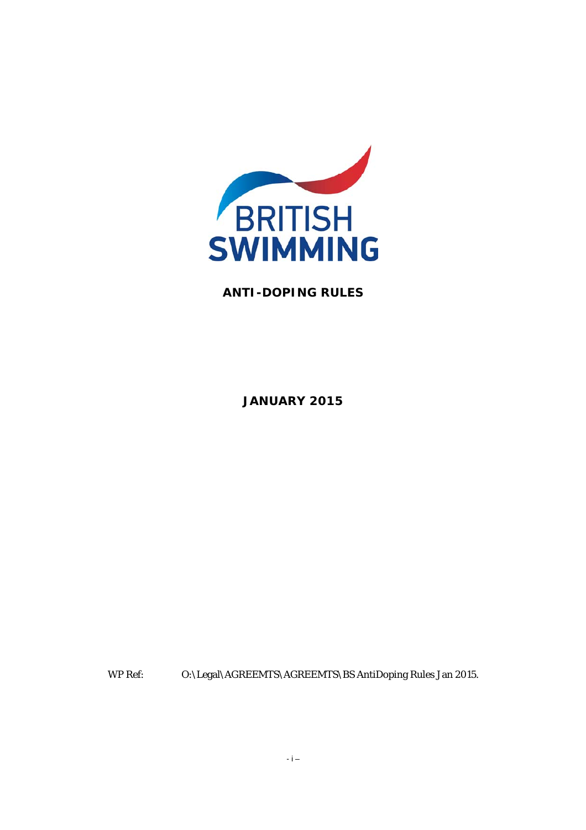

### **ANTI-DOPING RULES**

**JANUARY 2015** 

WP Ref: O:\Legal\AGREEMTS\AGREEMTS\BS AntiDoping Rules Jan 2015.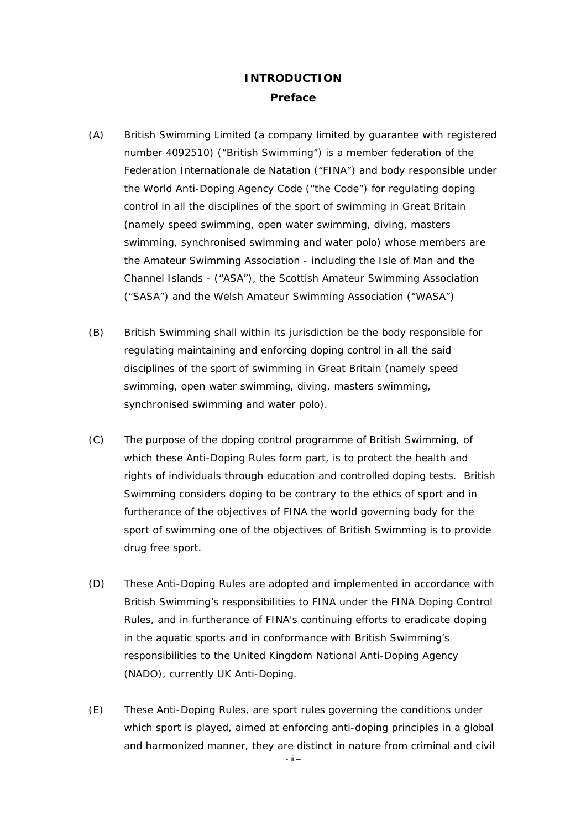# **INTRODUCTION Preface**

- (A) British Swimming Limited (a company limited by guarantee with registered number 4092510) ("British Swimming") is a member federation of the Federation Internationale de Natation ("FINA") and body responsible under the World Anti-Doping Agency Code ("the Code") for regulating doping control in all the disciplines of the sport of swimming in Great Britain (namely speed swimming, open water swimming, diving, masters swimming, synchronised swimming and water polo) whose members are the Amateur Swimming Association - including the Isle of Man and the Channel Islands - ("ASA"), the Scottish Amateur Swimming Association ("SASA") and the Welsh Amateur Swimming Association ("WASA")
- (B) British Swimming shall within its jurisdiction be the body responsible for regulating maintaining and enforcing doping control in all the said disciplines of the sport of swimming in Great Britain (namely speed swimming, open water swimming, diving, masters swimming, synchronised swimming and water polo).
- (C) The purpose of the doping control programme of British Swimming, of which these Anti-Doping Rules form part, is to protect the health and rights of individuals through education and controlled doping tests. British Swimming considers doping to be contrary to the ethics of sport and in furtherance of the objectives of FINA the world governing body for the sport of swimming one of the objectives of British Swimming is to provide drug free sport.
- (D) These Anti-Doping Rules are adopted and implemented in accordance with British Swimming's responsibilities to FINA under the FINA Doping Control Rules, and in furtherance of FINA's continuing efforts to eradicate doping in the aquatic sports and in conformance with British Swimming's responsibilities to the United Kingdom National Anti-Doping Agency (NADO), currently UK Anti-Doping.
- (E) These Anti-Doping Rules, are sport rules governing the conditions under which sport is played, aimed at enforcing anti-doping principles in a global and harmonized manner, they are distinct in nature from criminal and civil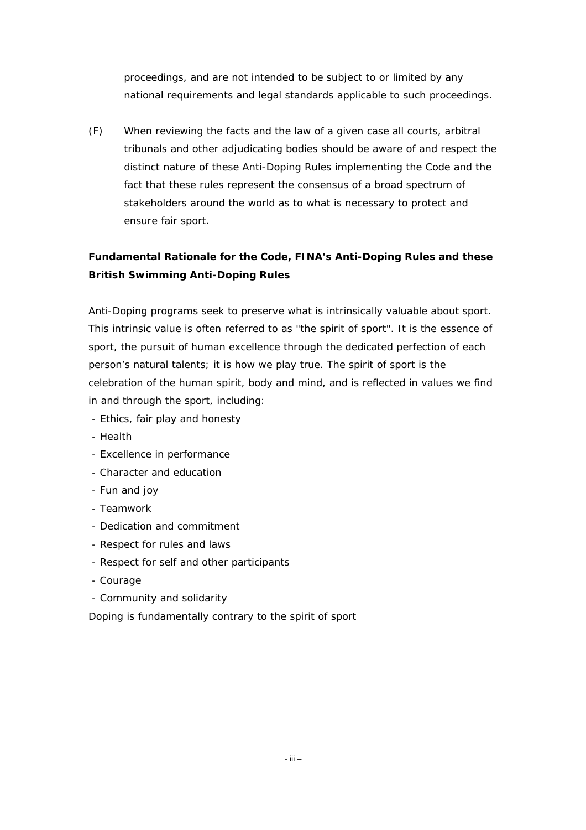proceedings, and are not intended to be subject to or limited by any national requirements and legal standards applicable to such proceedings.

(F) When reviewing the facts and the law of a given case all courts, arbitral tribunals and other adjudicating bodies should be aware of and respect the distinct nature of these Anti-Doping Rules implementing the Code and the fact that these rules represent the consensus of a broad spectrum of stakeholders around the world as to what is necessary to protect and ensure fair sport.

# **Fundamental Rationale for the Code, FINA's Anti-Doping Rules and these British Swimming Anti-Doping Rules**

Anti-Doping programs seek to preserve what is intrinsically valuable about sport. This intrinsic value is often referred to as "the spirit of sport". It is the essence of sport, the pursuit of human excellence through the dedicated perfection of each person's natural talents; it is how we play true. The spirit of sport is the celebration of the human spirit, body and mind, and is reflected in values we find in and through the sport, including:

- Ethics, fair play and honesty
- Health
- Excellence in performance
- Character and education
- Fun and joy
- Teamwork
- Dedication and commitment
- Respect for rules and laws
- Respect for self and other participants
- Courage
- Community and solidarity

Doping is fundamentally contrary to the spirit of sport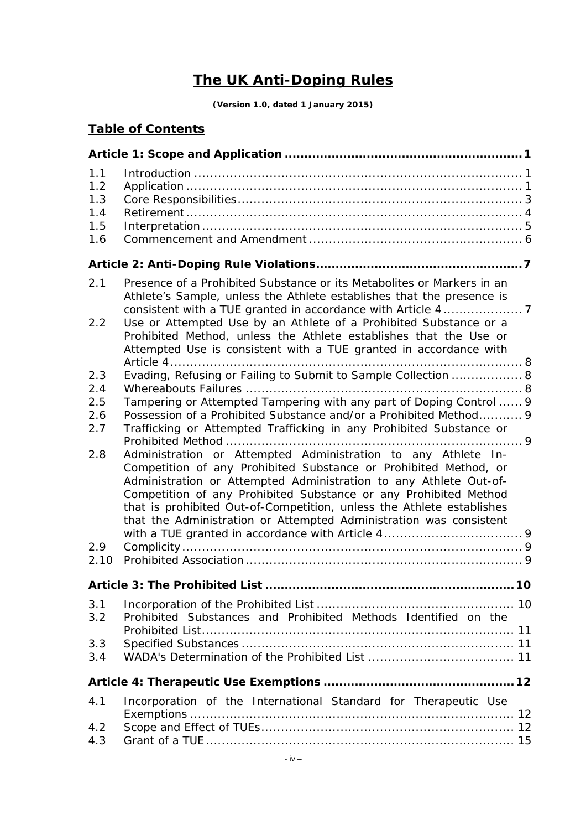# **The UK Anti-Doping Rules**

**(Version 1.0, dated 1 January 2015)** 

# **Table of Contents**

| 1.1<br>1.2<br>1.3<br>1.4<br>1.5<br>1.6                |                                                                                                                                                                                                                                                                                                                                                                                                                                                                                                                                                                                                                                                                                                                |    |
|-------------------------------------------------------|----------------------------------------------------------------------------------------------------------------------------------------------------------------------------------------------------------------------------------------------------------------------------------------------------------------------------------------------------------------------------------------------------------------------------------------------------------------------------------------------------------------------------------------------------------------------------------------------------------------------------------------------------------------------------------------------------------------|----|
|                                                       |                                                                                                                                                                                                                                                                                                                                                                                                                                                                                                                                                                                                                                                                                                                |    |
| 2.1<br>2.2                                            | Presence of a Prohibited Substance or its Metabolites or Markers in an<br>Athlete's Sample, unless the Athlete establishes that the presence is<br>Use or Attempted Use by an Athlete of a Prohibited Substance or a<br>Prohibited Method, unless the Athlete establishes that the Use or<br>Attempted Use is consistent with a TUE granted in accordance with                                                                                                                                                                                                                                                                                                                                                 |    |
| 2.3<br>2.4<br>2.5<br>2.6<br>2.7<br>2.8<br>2.9<br>2.10 | Evading, Refusing or Failing to Submit to Sample Collection  8<br>Tampering or Attempted Tampering with any part of Doping Control  9<br>Possession of a Prohibited Substance and/or a Prohibited Method 9<br>Trafficking or Attempted Trafficking in any Prohibited Substance or<br>Administration or Attempted Administration to any Athlete In-<br>Competition of any Prohibited Substance or Prohibited Method, or<br>Administration or Attempted Administration to any Athlete Out-of-<br>Competition of any Prohibited Substance or any Prohibited Method<br>that is prohibited Out-of-Competition, unless the Athlete establishes<br>that the Administration or Attempted Administration was consistent |    |
|                                                       | <b>Article 3: The Prohibited List</b>                                                                                                                                                                                                                                                                                                                                                                                                                                                                                                                                                                                                                                                                          | 10 |
| 3.1<br>3.2                                            | Prohibited Substances and Prohibited Methods Identified on the                                                                                                                                                                                                                                                                                                                                                                                                                                                                                                                                                                                                                                                 |    |
| 3.3<br>3.4                                            |                                                                                                                                                                                                                                                                                                                                                                                                                                                                                                                                                                                                                                                                                                                |    |
|                                                       |                                                                                                                                                                                                                                                                                                                                                                                                                                                                                                                                                                                                                                                                                                                |    |
| 4.1<br>4.2<br>4.3                                     | Incorporation of the International Standard for Therapeutic Use                                                                                                                                                                                                                                                                                                                                                                                                                                                                                                                                                                                                                                                |    |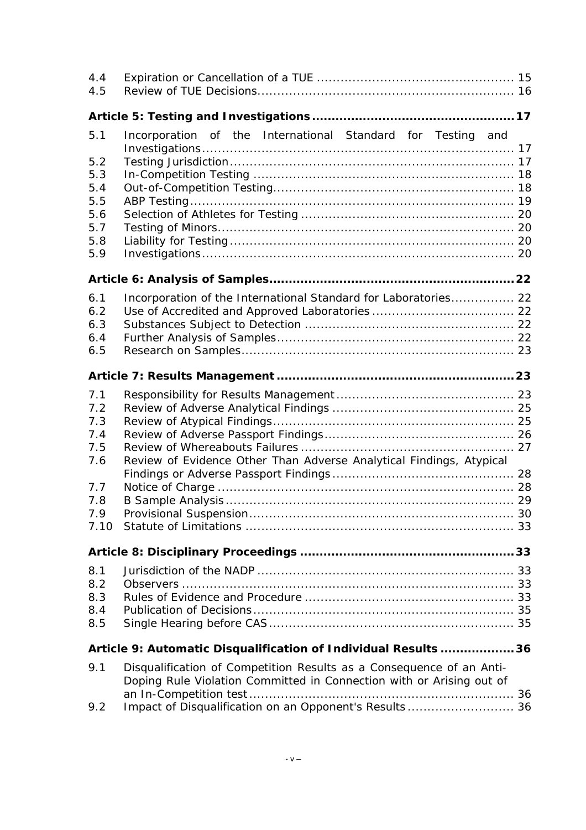| 4.4<br>4.5 |                                                                                                                                              |  |  |  |  |
|------------|----------------------------------------------------------------------------------------------------------------------------------------------|--|--|--|--|
|            |                                                                                                                                              |  |  |  |  |
| 5.1        | Incorporation of the International Standard for Testing and                                                                                  |  |  |  |  |
|            |                                                                                                                                              |  |  |  |  |
| 5.2        |                                                                                                                                              |  |  |  |  |
| 5.3<br>5.4 |                                                                                                                                              |  |  |  |  |
| 5.5        |                                                                                                                                              |  |  |  |  |
| 5.6        |                                                                                                                                              |  |  |  |  |
| 5.7        |                                                                                                                                              |  |  |  |  |
| 5.8        |                                                                                                                                              |  |  |  |  |
| 5.9        |                                                                                                                                              |  |  |  |  |
|            |                                                                                                                                              |  |  |  |  |
|            |                                                                                                                                              |  |  |  |  |
| 6.1<br>6.2 | Incorporation of the International Standard for Laboratories 22                                                                              |  |  |  |  |
| 6.3        |                                                                                                                                              |  |  |  |  |
| 6.4        |                                                                                                                                              |  |  |  |  |
| 6.5        |                                                                                                                                              |  |  |  |  |
|            |                                                                                                                                              |  |  |  |  |
|            |                                                                                                                                              |  |  |  |  |
| 7.1        |                                                                                                                                              |  |  |  |  |
| 7.2        |                                                                                                                                              |  |  |  |  |
| 7.3        |                                                                                                                                              |  |  |  |  |
| 7.4        |                                                                                                                                              |  |  |  |  |
| 7.5        |                                                                                                                                              |  |  |  |  |
| 7.6        | Review of Evidence Other Than Adverse Analytical Findings, Atypical                                                                          |  |  |  |  |
|            |                                                                                                                                              |  |  |  |  |
| 7.7<br>7.8 |                                                                                                                                              |  |  |  |  |
| 7.9        |                                                                                                                                              |  |  |  |  |
| 7.10       |                                                                                                                                              |  |  |  |  |
|            |                                                                                                                                              |  |  |  |  |
|            |                                                                                                                                              |  |  |  |  |
| 8.1        |                                                                                                                                              |  |  |  |  |
| 8.2        |                                                                                                                                              |  |  |  |  |
| 8.3        |                                                                                                                                              |  |  |  |  |
| 8.4        |                                                                                                                                              |  |  |  |  |
| 8.5        |                                                                                                                                              |  |  |  |  |
|            | Article 9: Automatic Disqualification of Individual Results 36                                                                               |  |  |  |  |
| 9.1        | Disqualification of Competition Results as a Consequence of an Anti-<br>Doping Rule Violation Committed in Connection with or Arising out of |  |  |  |  |
| 9.2        | Impact of Disqualification on an Opponent's Results 36                                                                                       |  |  |  |  |
|            |                                                                                                                                              |  |  |  |  |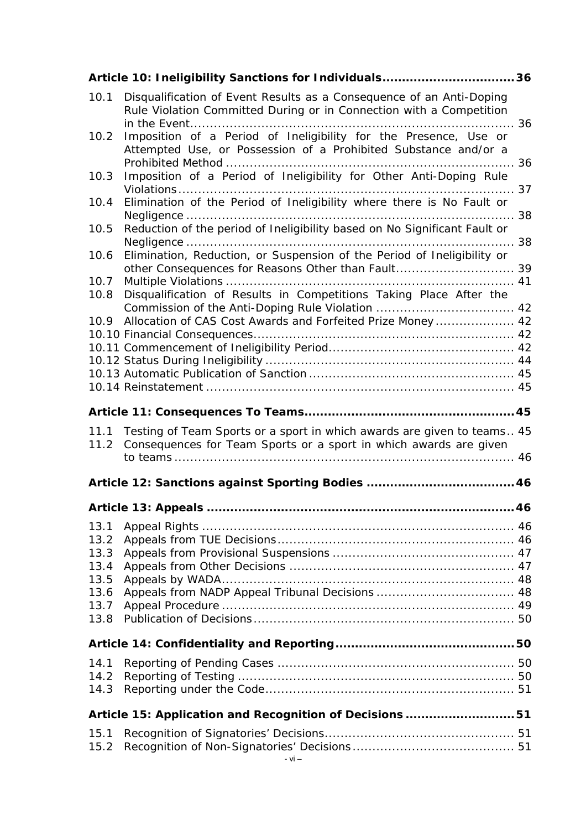|              | Article 10: Ineligibility Sanctions for Individuals36                                                                                        |  |
|--------------|----------------------------------------------------------------------------------------------------------------------------------------------|--|
| 10.1         | Disqualification of Event Results as a Consequence of an Anti-Doping<br>Rule Violation Committed During or in Connection with a Competition  |  |
| 10.2         | Imposition of a Period of Ineligibility for the Presence, Use or<br>Attempted Use, or Possession of a Prohibited Substance and/or a          |  |
| 10.3         | Imposition of a Period of Ineligibility for Other Anti-Doping Rule                                                                           |  |
| 10.4         | Elimination of the Period of Ineligibility where there is No Fault or                                                                        |  |
| 10.5         | Reduction of the period of Ineligibility based on No Significant Fault or                                                                    |  |
| 10.6         | Elimination, Reduction, or Suspension of the Period of Ineligibility or<br>other Consequences for Reasons Other than Fault 39                |  |
| 10.7<br>10.8 | Disqualification of Results in Competitions Taking Place After the                                                                           |  |
|              |                                                                                                                                              |  |
| 10.9         | Allocation of CAS Cost Awards and Forfeited Prize Money  42                                                                                  |  |
|              |                                                                                                                                              |  |
|              |                                                                                                                                              |  |
|              |                                                                                                                                              |  |
|              |                                                                                                                                              |  |
|              |                                                                                                                                              |  |
|              |                                                                                                                                              |  |
| 11.1<br>11.2 | Testing of Team Sports or a sport in which awards are given to teams 45<br>Consequences for Team Sports or a sport in which awards are given |  |
|              |                                                                                                                                              |  |
|              | Article 12: Sanctions against Sporting Bodies  46                                                                                            |  |
|              |                                                                                                                                              |  |
| 13.1         |                                                                                                                                              |  |
| 13.2         |                                                                                                                                              |  |
| 13.3         |                                                                                                                                              |  |
| 13.4         |                                                                                                                                              |  |
| 13.5         |                                                                                                                                              |  |
| 13.6         |                                                                                                                                              |  |
| 13.7<br>13.8 |                                                                                                                                              |  |
|              |                                                                                                                                              |  |
| 14.1         |                                                                                                                                              |  |
| 14.2         |                                                                                                                                              |  |
| 14.3         |                                                                                                                                              |  |
|              | Article 15: Application and Recognition of Decisions51                                                                                       |  |
| 15.1<br>15.2 |                                                                                                                                              |  |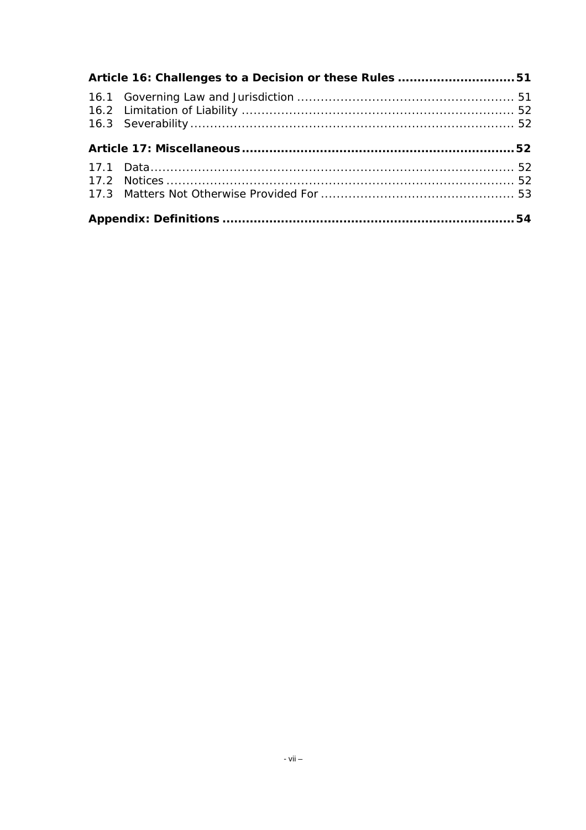| Article 16: Challenges to a Decision or these Rules 51 |  |  |  |
|--------------------------------------------------------|--|--|--|
|                                                        |  |  |  |
|                                                        |  |  |  |
|                                                        |  |  |  |
|                                                        |  |  |  |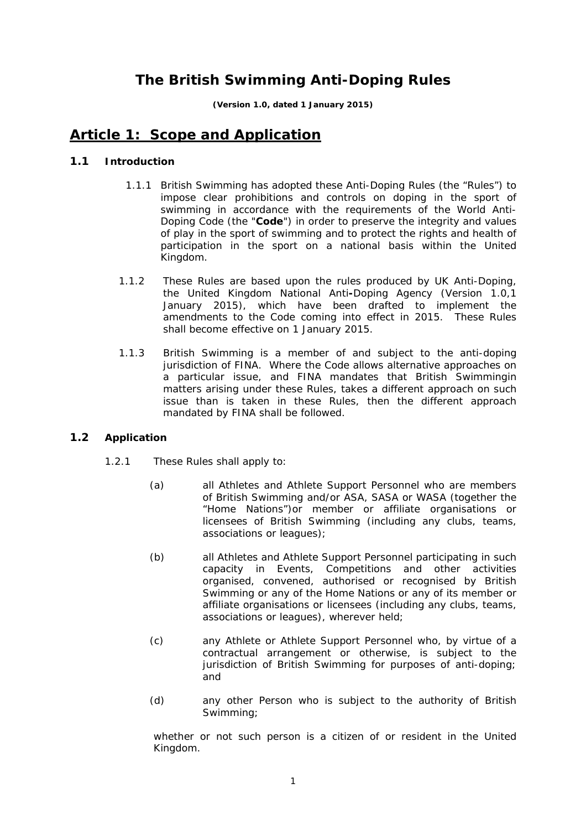# **The British Swimming Anti-Doping Rules**

**(Version 1.0, dated 1 January 2015)** 

# <span id="page-7-0"></span>**Article 1: Scope and Application**

### <span id="page-7-1"></span>**1.1 Introduction**

- 1.1.1 British Swimming has adopted these Anti-Doping Rules (the "Rules") to impose clear prohibitions and controls on doping in the sport of swimming in accordance with the requirements of the World Anti-Doping Code (the "**Code**") in order to preserve the integrity and values of play in the sport of swimming and to protect the rights and health of participation in the sport on a national basis within the United Kingdom.
- 1.1.2 These Rules are based upon the rules produced by UK Anti-Doping, the United Kingdom National Anti**-**Doping Agency (Version 1.0,1 January 2015), which have been drafted to implement the amendments to the Code coming into effect in 2015. These Rules shall become effective on 1 January 2015.
- 1.1.3 British Swimming is a member of and subject to the anti-doping jurisdiction of FINA. Where the Code allows alternative approaches on a particular issue, and FINA mandates that British Swimmingin matters arising under these Rules, takes a different approach on such issue than is taken in these Rules, then the different approach mandated by FINA shall be followed.

### **1.2 Application**

- 1.2.1 These Rules shall apply to:
	- (a) all Athletes and Athlete Support Personnel who are members of British Swimming and/or ASA, SASA or WASA (together the "Home Nations")or member or affiliate organisations or licensees of British Swimming (including any clubs, teams, associations or leagues);
	- (b) all Athletes and Athlete Support Personnel participating in such capacity in Events, Competitions and other activities organised, convened, authorised or recognised by British Swimming or any of the Home Nations or any of its member or affiliate organisations or licensees (including any clubs, teams, associations or leagues), wherever held;
	- (c) any Athlete or Athlete Support Personnel who, by virtue of a contractual arrangement or otherwise, is subject to the jurisdiction of British Swimming for purposes of anti-doping; and
	- (d) any other Person who is subject to the authority of British Swimming;

whether or not such person is a citizen of or resident in the United Kingdom.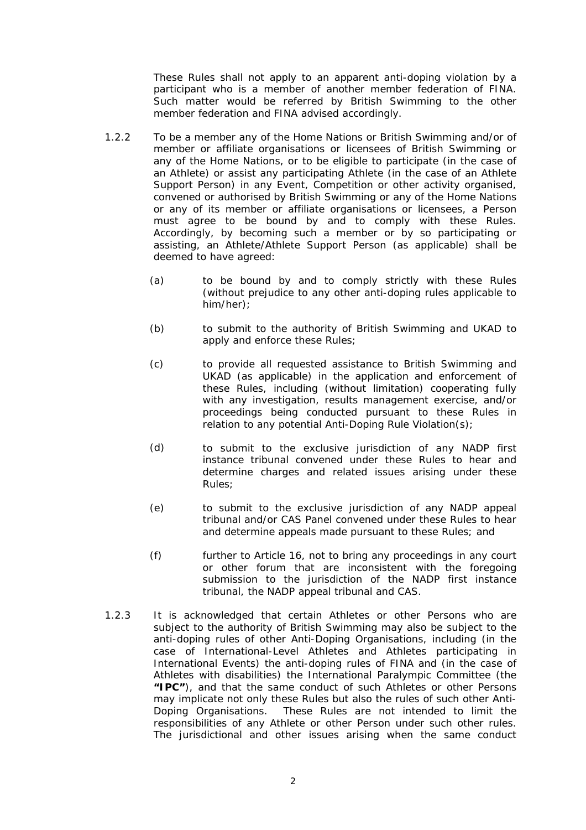These Rules shall not apply to an apparent anti-doping violation by a participant who is a member of another member federation of FINA. Such matter would be referred by British Swimming to the other member federation and FINA advised accordingly.

- 1.2.2 To be a member any of the Home Nations or British Swimming and/or of member or affiliate organisations or licensees of British Swimming or any of the Home Nations, or to be eligible to participate (in the case of an Athlete) or assist any participating Athlete (in the case of an Athlete Support Person) in any Event, Competition or other activity organised, convened or authorised by British Swimming or any of the Home Nations or any of its member or affiliate organisations or licensees, a Person must agree to be bound by and to comply with these Rules. Accordingly, by becoming such a member or by so participating or assisting, an Athlete/Athlete Support Person (as applicable) shall be deemed to have agreed:
	- (a) to be bound by and to comply strictly with these Rules (without prejudice to any other anti-doping rules applicable to him/her);
	- (b) to submit to the authority of British Swimming and UKAD to apply and enforce these Rules;
	- (c) to provide all requested assistance to British Swimming and UKAD (as applicable) in the application and enforcement of these Rules, including (without limitation) cooperating fully with any investigation, results management exercise, and/or proceedings being conducted pursuant to these Rules in relation to any potential Anti-Doping Rule Violation(s);
	- (d) to submit to the exclusive jurisdiction of any NADP first instance tribunal convened under these Rules to hear and determine charges and related issues arising under these Rules;
	- (e) to submit to the exclusive jurisdiction of any NADP appeal tribunal and/or CAS Panel convened under these Rules to hear and determine appeals made pursuant to these Rules; and
	- (f) further to Article 16, not to bring any proceedings in any court or other forum that are inconsistent with the foregoing submission to the jurisdiction of the NADP first instance tribunal, the NADP appeal tribunal and CAS.
- 1.2.3 It is acknowledged that certain Athletes or other Persons who are subject to the authority of British Swimming may also be subject to the anti-doping rules of other Anti-Doping Organisations, including (in the case of International-Level Athletes and Athletes participating in International Events) the anti-doping rules of FINA and (in the case of Athletes with disabilities) the International Paralympic Committee (the **"IPC"**), and that the same conduct of such Athletes or other Persons may implicate not only these Rules but also the rules of such other Anti-Doping Organisations. These Rules are not intended to limit the responsibilities of any Athlete or other Person under such other rules. The jurisdictional and other issues arising when the same conduct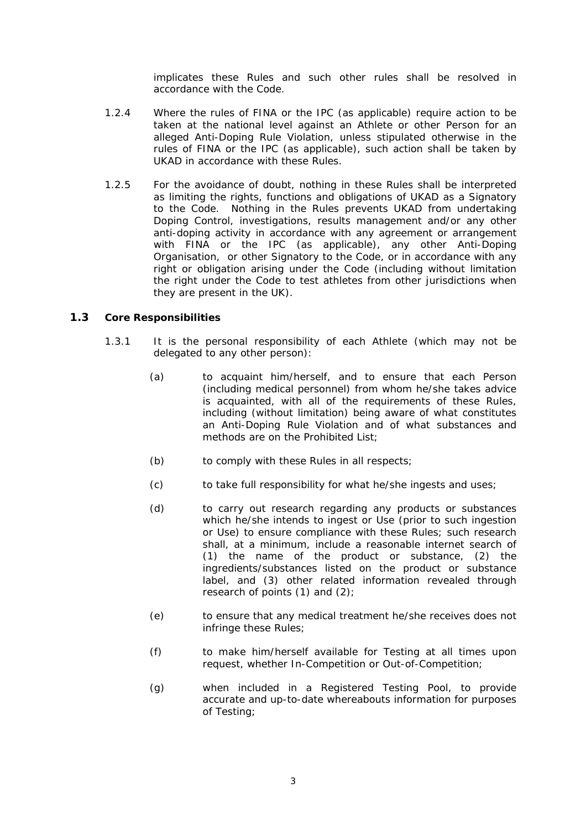implicates these Rules and such other rules shall be resolved in accordance with the Code.

- <span id="page-9-0"></span>1.2.4 Where the rules of FINA or the IPC (as applicable) require action to be taken at the national level against an Athlete or other Person for an alleged Anti-Doping Rule Violation, unless stipulated otherwise in the rules of FINA or the IPC (as applicable), such action shall be taken by UKAD in accordance with these Rules.
- 1.2.5 For the avoidance of doubt, nothing in these Rules shall be interpreted as limiting the rights, functions and obligations of UKAD as a Signatory to the Code. Nothing in the Rules prevents UKAD from undertaking Doping Control, investigations, results management and/or any other anti-doping activity in accordance with any agreement or arrangement with FINA or the IPC (as applicable), any other Anti-Doping Organisation, or other Signatory to the Code, or in accordance with any right or obligation arising under the Code (including without limitation the right under the Code to test athletes from other jurisdictions when they are present in the UK).

### **1.3 Core Responsibilities**

- 1.3.1 It is the personal responsibility of each Athlete (which may not be delegated to any other person):
	- (a) to acquaint him/herself, and to ensure that each Person (including medical personnel) from whom he/she takes advice is acquainted, with all of the requirements of these Rules, including (without limitation) being aware of what constitutes an Anti-Doping Rule Violation and of what substances and methods are on the Prohibited List;
	- (b) to comply with these Rules in all respects;
	- $(c)$ to take full responsibility for what he/she ingests and uses;
	- (d) to carry out research regarding any products or substances which he/she intends to ingest or Use (prior to such ingestion or Use) to ensure compliance with these Rules; such research shall, at a minimum, include a reasonable internet search of (1) the name of the product or substance, (2) the ingredients/substances listed on the product or substance label, and (3) other related information revealed through research of points (1) and (2);
	- (e) to ensure that any medical treatment he/she receives does not infringe these Rules;
	- (f) to make him/herself available for Testing at all times upon request, whether In-Competition or Out-of-Competition;
	- (g) when included in a Registered Testing Pool, to provide accurate and up-to-date whereabouts information for purposes of Testing;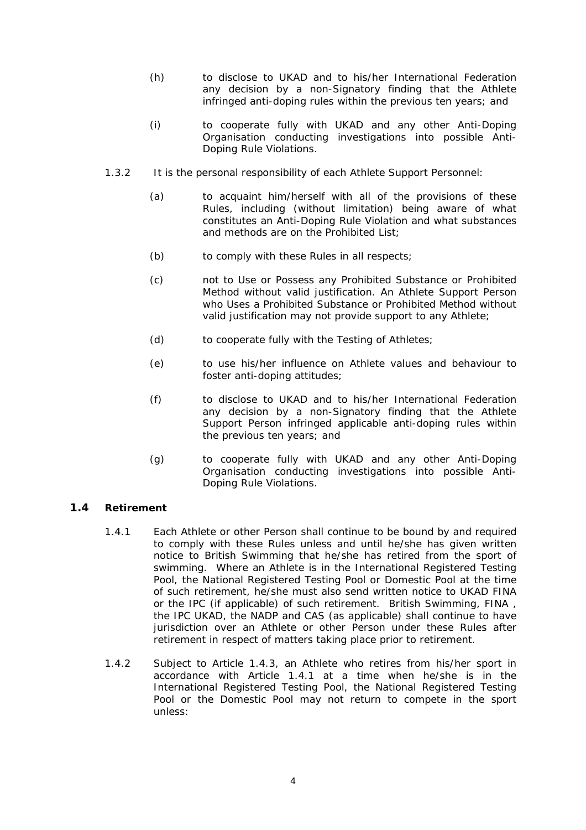- <span id="page-10-0"></span>(h) to disclose to UKAD and to his/her International Federation any decision by a non-Signatory finding that the Athlete infringed anti-doping rules within the previous ten years; and
- (i) to cooperate fully with UKAD and any other Anti-Doping Organisation conducting investigations into possible Anti-Doping Rule Violations.
- 1.3.2 It is the personal responsibility of each Athlete Support Personnel:
	- (a) to acquaint him/herself with all of the provisions of these Rules, including (without limitation) being aware of what constitutes an Anti-Doping Rule Violation and what substances and methods are on the Prohibited List;
	- (b) to comply with these Rules in all respects;
	- (c) not to Use or Possess any Prohibited Substance or Prohibited Method without valid justification. An Athlete Support Person who Uses a Prohibited Substance or Prohibited Method without valid justification may not provide support to any Athlete;
	- (d) to cooperate fully with the Testing of Athletes;
	- (e) to use his/her influence on Athlete values and behaviour to foster anti-doping attitudes;
	- (f) to disclose to UKAD and to his/her International Federation any decision by a non-Signatory finding that the Athlete Support Person infringed applicable anti-doping rules within the previous ten years; and
	- $(a)$ to cooperate fully with UKAD and any other Anti-Doping Organisation conducting investigations into possible Anti-Doping Rule Violations.

### <span id="page-10-1"></span>**1.4 Retirement**

- 1.4.1 Each Athlete or other Person shall continue to be bound by and required to comply with these Rules unless and until he/she has given written notice to British Swimming that he/she has retired from the sport of swimming. Where an Athlete is in the International Registered Testing Pool, the National Registered Testing Pool or Domestic Pool at the time of such retirement, he/she must also send written notice to UKAD FINA or the IPC (if applicable) of such retirement. British Swimming, FINA , the IPC UKAD, the NADP and CAS (as applicable) shall continue to have jurisdiction over an Athlete or other Person under these Rules after retirement in respect of matters taking place prior to retirement.
- <span id="page-10-2"></span>1.4.2 Subject to Article [1.4.3](#page-11-1), an Athlete who retires from his/her sport in accordance with Article [1.4.1](#page-10-1) at a time when he/she is in the International Registered Testing Pool, the National Registered Testing Pool or the Domestic Pool may not return to compete in the sport unless: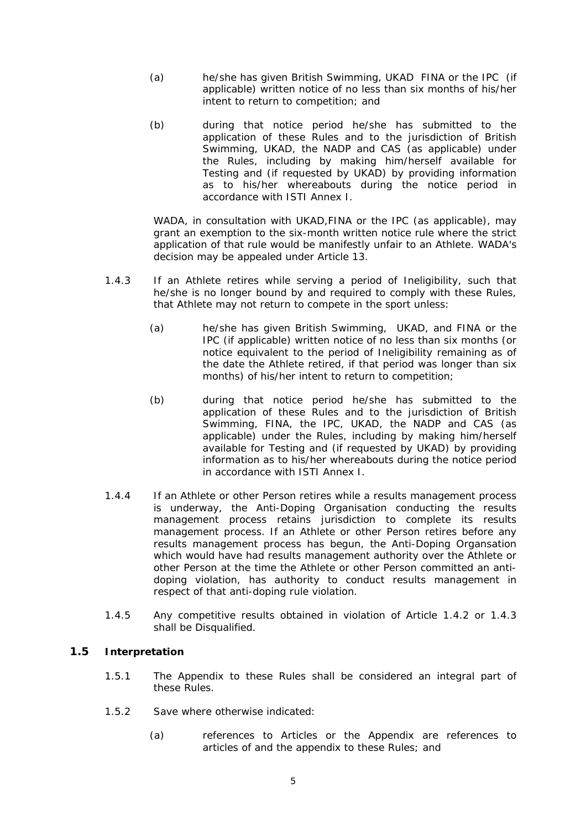- <span id="page-11-0"></span>(a) he/she has given British Swimming, UKAD FINA or the IPC (if applicable) written notice of no less than six months of his/her intent to return to competition; and
- (b) during that notice period he/she has submitted to the application of these Rules and to the jurisdiction of British Swimming, UKAD, the NADP and CAS (as applicable) under the Rules, including by making him/herself available for Testing and (if requested by UKAD) by providing information as to his/her whereabouts during the notice period in accordance with ISTI Annex I.

WADA, in consultation with UKAD,FINA or the IPC (as applicable), may grant an exemption to the six-month written notice rule where the strict application of that rule would be manifestly unfair to an Athlete. WADA's decision may be appealed under Article 13.

- <span id="page-11-1"></span>1.4.3 If an Athlete retires while serving a period of Ineligibility, such that he/she is no longer bound by and required to comply with these Rules, that Athlete may not return to compete in the sport unless:
	- (a) he/she has given British Swimming, UKAD, and FINA or the IPC (if applicable) written notice of no less than six months (or notice equivalent to the period of Ineligibility remaining as of the date the Athlete retired, if that period was longer than six months) of his/her intent to return to competition;
	- (b) during that notice period he/she has submitted to the application of these Rules and to the jurisdiction of British Swimming, FINA, the IPC, UKAD, the NADP and CAS (as applicable) under the Rules, including by making him/herself available for Testing and (if requested by UKAD) by providing information as to his/her whereabouts during the notice period in accordance with ISTI Annex I.
- 1.4.4 If an Athlete or other Person retires while a results management process is underway, the Anti-Doping Organisation conducting the results management process retains jurisdiction to complete its results management process. If an Athlete or other Person retires before any results management process has begun, the Anti-Doping Organsation which would have had results management authority over the Athlete or other Person at the time the Athlete or other Person committed an antidoping violation, has authority to conduct results management in respect of that anti-doping rule violation.
- 1.4.5 Any competitive results obtained in violation of Article [1.4.2](#page-10-2) or [1.4.3](#page-11-1) shall be Disqualified.

### **1.5 Interpretation**

- 1.5.1 The Appendix to these Rules shall be considered an integral part of these Rules.
- 1.5.2 Save where otherwise indicated:
	- (a) references to Articles or the Appendix are references to articles of and the appendix to these Rules; and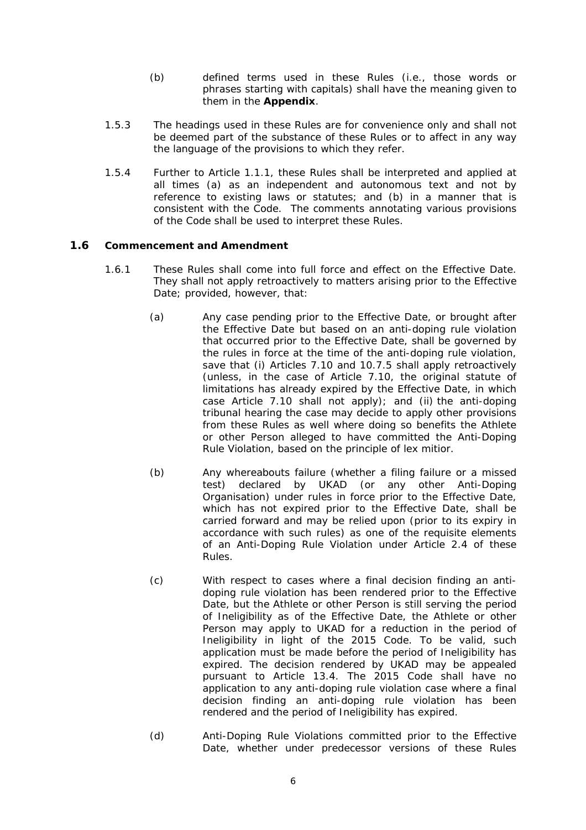- (b) defined terms used in these Rules (i.e., those words or phrases starting with capitals) shall have the meaning given to them in the **Appendix**.
- <span id="page-12-0"></span>1.5.3 The headings used in these Rules are for convenience only and shall not be deemed part of the substance of these Rules or to affect in any way the language of the provisions to which they refer.
- 1.5.4 Further to Article [1.1.1](#page-7-1), these Rules shall be interpreted and applied at all times (a) as an independent and autonomous text and not by reference to existing laws or statutes; and (b) in a manner that is consistent with the Code. The comments annotating various provisions of the Code shall be used to interpret these Rules.

### <span id="page-12-2"></span>**1.6 Commencement and Amendment**

- <span id="page-12-1"></span>1.6.1 These Rules shall come into full force and effect on the Effective Date. They shall not apply retroactively to matters arising prior to the Effective Date; provided, however, that:
	- (a) Any case pending prior to the Effective Date, or brought after the Effective Date but based on an anti-doping rule violation that occurred prior to the Effective Date, shall be governed by the rules in force at the time of the anti-doping rule violation, save that (i) Articles [7.10](#page-39-1) and [10.7.5](#page-48-1) shall apply retroactively (unless, in the case of Article [7.10,](#page-39-1) the original statute of limitations has already expired by the Effective Date, in which case Article [7.10](#page-39-1) shall not apply); and (ii) the anti-doping tribunal hearing the case may decide to apply other provisions from these Rules as well where doing so benefits the Athlete or other Person alleged to have committed the Anti-Doping Rule Violation, based on the principle of *lex mitior*.
	- (b) Any whereabouts failure (whether a filing failure or a missed test) declared by UKAD (or any other Anti-Doping Organisation) under rules in force prior to the Effective Date, which has not expired prior to the Effective Date, shall be carried forward and may be relied upon (prior to its expiry in accordance with such rules) as one of the requisite elements of an Anti-Doping Rule Violation under Article 2.4 of these Rules.
	- (c) With respect to cases where a final decision finding an antidoping rule violation has been rendered prior to the Effective Date, but the Athlete or other Person is still serving the period of Ineligibility as of the Effective Date, the Athlete or other Person may apply to UKAD for a reduction in the period of Ineligibility in light of the 2015 Code. To be valid, such application must be made before the period of Ineligibility has expired. The decision rendered by UKAD may be appealed pursuant to Article [13.4.](#page-53-1) The 2015 Code shall have no application to any anti-doping rule violation case where a final decision finding an anti-doping rule violation has been rendered and the period of Ineligibility has expired.
	- (d) Anti-Doping Rule Violations committed prior to the Effective Date, whether under predecessor versions of these Rules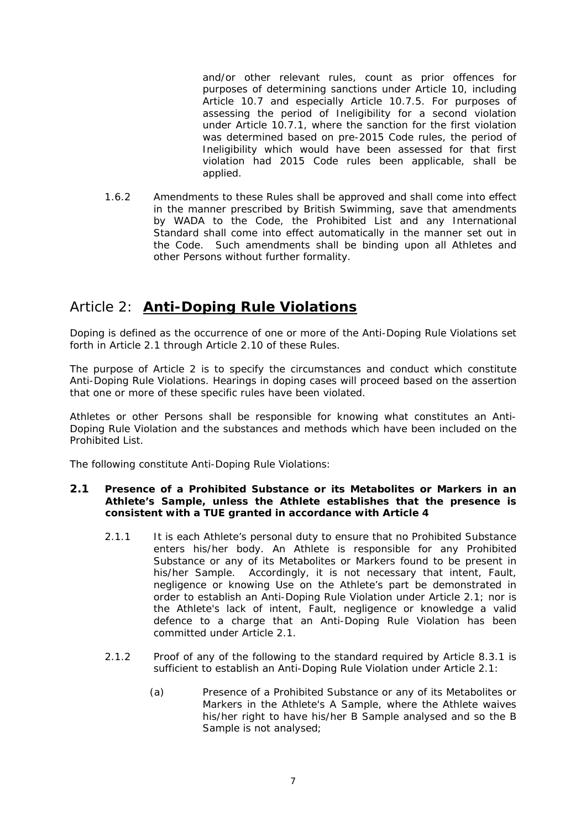<span id="page-13-0"></span>and/or other relevant rules, count as prior offences for purposes of determining sanctions under Article 10, including Article 10.7 and especially Article 10.7.5. For purposes of assessing the period of Ineligibility for a second violation under Article 10.7.1, where the sanction for the first violation was determined based on pre-2015 Code rules, the period of Ineligibility which would have been assessed for that first violation had 2015 Code rules been applicable, shall be applied.

1.6.2 Amendments to these Rules shall be approved and shall come into effect in the manner prescribed by British Swimming, save that amendments by WADA to the Code, the Prohibited List and any International Standard shall come into effect automatically in the manner set out in the Code. Such amendments shall be binding upon all Athletes and other Persons without further formality.

# Article 2: **Anti-Doping Rule Violations**

Doping is defined as the occurrence of one or more of the Anti-Doping Rule Violations set forth in Article [2.1](#page-13-1) through Article [2.10](#page-15-1) of these Rules.

The purpose of Article 2 is to specify the circumstances and conduct which constitute Anti-Doping Rule Violations. Hearings in doping cases will proceed based on the assertion that one or more of these specific rules have been violated.

Athletes or other Persons shall be responsible for knowing what constitutes an Anti-Doping Rule Violation and the substances and methods which have been included on the Prohibited List.

The following constitute Anti-Doping Rule Violations:

### <span id="page-13-1"></span>**2.1 Presence of a Prohibited Substance or its Metabolites or Markers in an Athlete's Sample, unless the Athlete establishes that the presence is consistent with a TUE granted in accordance with Article 4**

- 2.1.1 It is each Athlete's personal duty to ensure that no Prohibited Substance enters his/her body. An Athlete is responsible for any Prohibited Substance or any of its Metabolites or Markers found to be present in his/her Sample. Accordingly, it is not necessary that intent, Fault, negligence or knowing Use on the Athlete's part be demonstrated in order to establish an Anti-Doping Rule Violation under Article [2.1](#page-13-1); nor is the Athlete's lack of intent, Fault, negligence or knowledge a valid defence to a charge that an Anti-Doping Rule Violation has been committed under Article [2.1](#page-13-1).
- 2.1.2 Proof of any of the following to the standard required by Article [8.3.1](#page-40-0) is sufficient to establish an Anti-Doping Rule Violation under Article [2.1](#page-13-1):
	- (a) Presence of a Prohibited Substance or any of its Metabolites or Markers in the Athlete's A Sample, where the Athlete waives his/her right to have his/her B Sample analysed and so the B Sample is not analysed;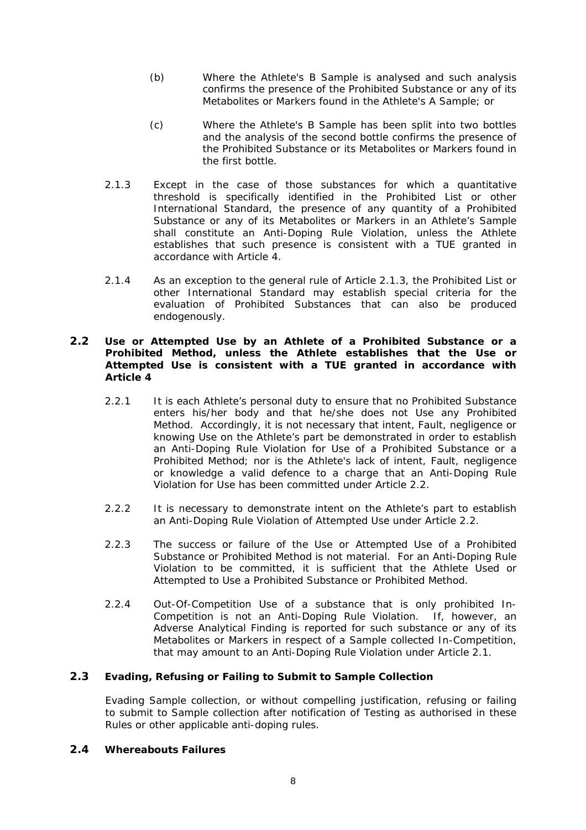- <span id="page-14-0"></span>(b) Where the Athlete's B Sample is analysed and such analysis confirms the presence of the Prohibited Substance or any of its Metabolites or Markers found in the Athlete's A Sample; or
- (c) Where the Athlete's B Sample has been split into two bottles and the analysis of the second bottle confirms the presence of the Prohibited Substance or its Metabolites or Markers found in the first bottle.
- <span id="page-14-1"></span>2.1.3 Except in the case of those substances for which a quantitative threshold is specifically identified in the Prohibited List or other International Standard, the presence of any quantity of a Prohibited Substance or any of its Metabolites or Markers in an Athlete's Sample shall constitute an Anti-Doping Rule Violation, unless the Athlete establishes that such presence is consistent with a TUE granted in accordance with Article 4.
- 2.1.4 As an exception to the general rule of Article [2.1.3,](#page-14-1) the Prohibited List or other International Standard may establish special criteria for the evaluation of Prohibited Substances that can also be produced endogenously.

### <span id="page-14-2"></span>**2.2 Use or Attempted Use by an Athlete of a Prohibited Substance or a Prohibited Method, unless the Athlete establishes that the Use or Attempted Use is consistent with a TUE granted in accordance with Article 4**

- 2.2.1 It is each Athlete's personal duty to ensure that no Prohibited Substance enters his/her body and that he/she does not Use any Prohibited Method. Accordingly, it is not necessary that intent, Fault, negligence or knowing Use on the Athlete's part be demonstrated in order to establish an Anti-Doping Rule Violation for Use of a Prohibited Substance or a Prohibited Method; nor is the Athlete's lack of intent, Fault, negligence or knowledge a valid defence to a charge that an Anti-Doping Rule Violation for Use has been committed under Article [2.2.](#page-14-2)
- 2.2.2 It is necessary to demonstrate intent on the Athlete's part to establish an Anti-Doping Rule Violation of Attempted Use under Article [2.2](#page-14-2).
- 2.2.3 The success or failure of the Use or Attempted Use of a Prohibited Substance or Prohibited Method is not material. For an Anti-Doping Rule Violation to be committed, it is sufficient that the Athlete Used or Attempted to Use a Prohibited Substance or Prohibited Method.
- 2.2.4 Out-Of-Competition Use of a substance that is only prohibited In-Competition is not an Anti-Doping Rule Violation. If, however, an Adverse Analytical Finding is reported for such substance or any of its Metabolites or Markers in respect of a Sample collected In-Competition, that may amount to an Anti-Doping Rule Violation under Article [2.1](#page-13-1).

### <span id="page-14-4"></span>**2.3 Evading, Refusing or Failing to Submit to Sample Collection**

Evading Sample collection, or without compelling justification, refusing or failing to submit to Sample collection after notification of Testing as authorised in these Rules or other applicable anti-doping rules.

### <span id="page-14-3"></span>**2.4 Whereabouts Failures**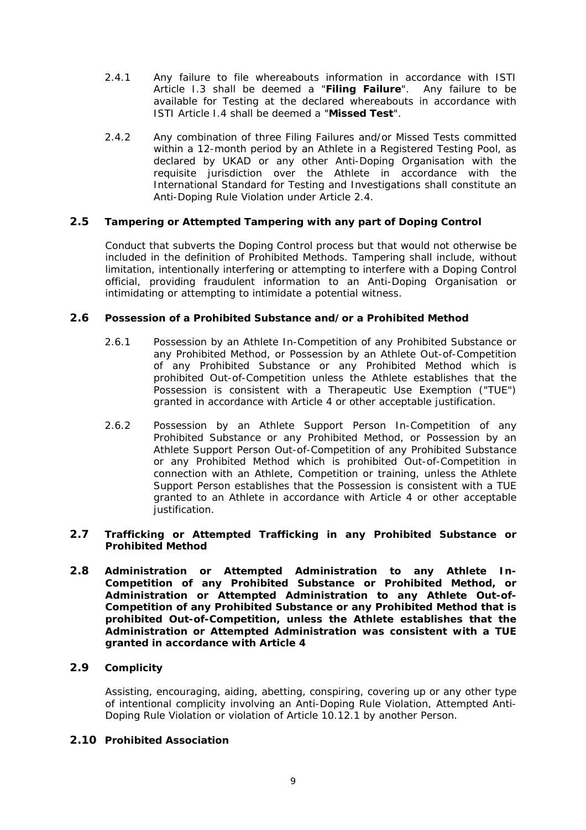- <span id="page-15-0"></span>2.4.1 Any failure to file whereabouts information in accordance with ISTI Article I.3 shall be deemed a "**Filing Failure**". Any failure to be available for Testing at the declared whereabouts in accordance with ISTI Article I.4 shall be deemed a "**Missed Test**".
- 2.4.2 Any combination of three Filing Failures and/or Missed Tests committed within a 12-month period by an Athlete in a Registered Testing Pool, as declared by UKAD or any other Anti-Doping Organisation with the requisite jurisdiction over the Athlete in accordance with the International Standard for Testing and Investigations shall constitute an Anti-Doping Rule Violation under Article 2.4.

### <span id="page-15-2"></span>**2.5 Tampering or Attempted Tampering with any part of Doping Control**

Conduct that subverts the Doping Control process but that would not otherwise be included in the definition of Prohibited Methods. Tampering shall include, without limitation, intentionally interfering or attempting to interfere with a Doping Control official, providing fraudulent information to an Anti-Doping Organisation or intimidating or attempting to intimidate a potential witness.

### <span id="page-15-3"></span>**2.6 Possession of a Prohibited Substance and/or a Prohibited Method**

- 2.6.1 Possession by an Athlete In-Competition of any Prohibited Substance or any Prohibited Method, or Possession by an Athlete Out-of-Competition of any Prohibited Substance or any Prohibited Method which is prohibited Out-of-Competition unless the Athlete establishes that the Possession is consistent with a Therapeutic Use Exemption ("TUE") granted in accordance with Article 4 or other acceptable justification.
- 2.6.2 Possession by an Athlete Support Person In-Competition of any Prohibited Substance or any Prohibited Method, or Possession by an Athlete Support Person Out-of-Competition of any Prohibited Substance or any Prohibited Method which is prohibited Out-of-Competition in connection with an Athlete, Competition or training, unless the Athlete Support Person establishes that the Possession is consistent with a TUE granted to an Athlete in accordance with Article 4 or other acceptable justification.

### <span id="page-15-4"></span>**2.7 Trafficking or Attempted Trafficking in any Prohibited Substance or Prohibited Method**

<span id="page-15-5"></span>**2.8 Administration or Attempted Administration to any Athlete In-Competition of any Prohibited Substance or Prohibited Method, or Administration or Attempted Administration to any Athlete Out-of-Competition of any Prohibited Substance or any Prohibited Method that is prohibited Out-of-Competition, unless the Athlete establishes that the Administration or Attempted Administration was consistent with a TUE granted in accordance with Article 4** 

### <span id="page-15-6"></span>**2.9 Complicity**

Assisting, encouraging, aiding, abetting, conspiring, covering up or any other type of intentional complicity involving an Anti-Doping Rule Violation, Attempted Anti-Doping Rule Violation or violation of Article [10.12.1](#page-50-1) by another Person.

### <span id="page-15-1"></span>**2.10 Prohibited Association**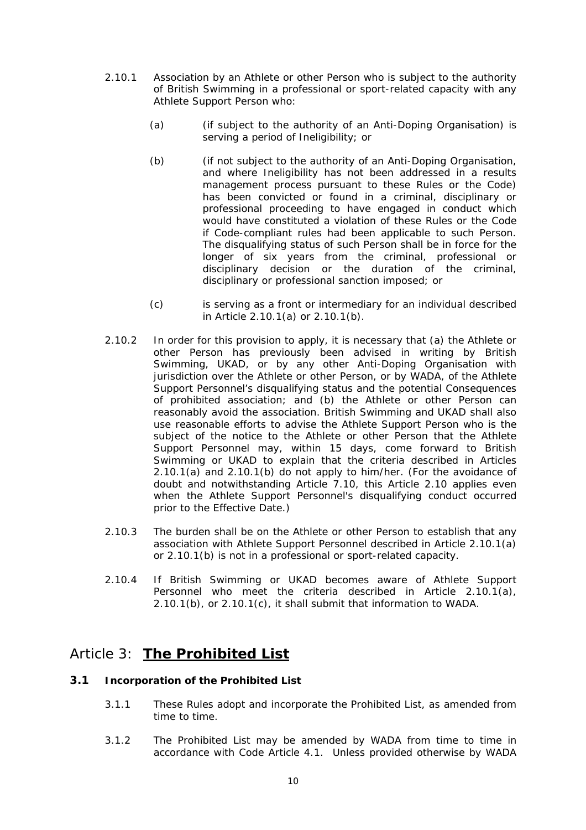- <span id="page-16-2"></span><span id="page-16-1"></span><span id="page-16-0"></span>2.10.1 Association by an Athlete or other Person who is subject to the authority of British Swimming in a professional or sport-related capacity with any Athlete Support Person who:
	- (a) (if subject to the authority of an Anti-Doping Organisation) is serving a period of Ineligibility; or
	- (b) (if not subject to the authority of an Anti-Doping Organisation, and where Ineligibility has not been addressed in a results management process pursuant to these Rules or the Code) has been convicted or found in a criminal, disciplinary or professional proceeding to have engaged in conduct which would have constituted a violation of these Rules or the Code if Code-compliant rules had been applicable to such Person. The disqualifying status of such Person shall be in force for the longer of six years from the criminal, professional or disciplinary decision or the duration of the criminal, disciplinary or professional sanction imposed; or
	- (c) is serving as a front or intermediary for an individual described in Article [2.10.1\(a\)](#page-16-1) or [2.10.1\(b\).](#page-16-2)
- <span id="page-16-3"></span>2.10.2 In order for this provision to apply, it is necessary that (a) the Athlete or other Person has previously been advised in writing by British Swimming, UKAD, or by any other Anti-Doping Organisation with jurisdiction over the Athlete or other Person, or by WADA, of the Athlete Support Personnel's disqualifying status and the potential Consequences of prohibited association; and (b) the Athlete or other Person can reasonably avoid the association. British Swimming and UKAD shall also use reasonable efforts to advise the Athlete Support Person who is the subject of the notice to the Athlete or other Person that the Athlete Support Personnel may, within 15 days, come forward to British Swimming or UKAD to explain that the criteria described in Articles [2.10.1\(a\)](#page-16-1) and [2.10.1\(b\)](#page-16-2) do not apply to him/her. (For the avoidance of doubt and notwithstanding Article [7.10,](#page-39-1) this Article [2.10](#page-15-1) applies even when the Athlete Support Personnel's disqualifying conduct occurred prior to the Effective Date.)
- 2.10.3 The burden shall be on the Athlete or other Person to establish that any association with Athlete Support Personnel described in Article [2.10.1\(a\)](#page-16-1) or [2.10.1\(b\)](#page-16-2) is not in a professional or sport-related capacity.
- 2.10.4 If British Swimming or UKAD becomes aware of Athlete Support Personnel who meet the criteria described in Article [2.10.1\(a\),](#page-16-1) [2.10.1\(b\)](#page-16-2), or [2.10.1\(c\)](#page-16-3), it shall submit that information to WADA.

# Article 3: **The Prohibited List**

### **3.1 Incorporation of the Prohibited List**

- 3.1.1 These Rules adopt and incorporate the Prohibited List, as amended from time to time.
- 3.1.2 The Prohibited List may be amended by WADA from time to time in accordance with Code Article 4.1. Unless provided otherwise by WADA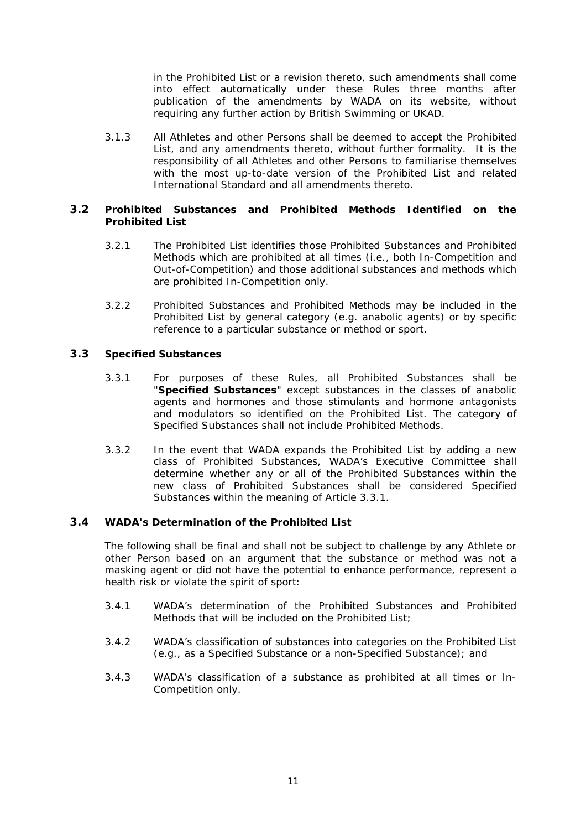in the Prohibited List or a revision thereto, such amendments shall come into effect automatically under these Rules three months after publication of the amendments by WADA on its website, without requiring any further action by British Swimming or UKAD.

<span id="page-17-0"></span>3.1.3 All Athletes and other Persons shall be deemed to accept the Prohibited List, and any amendments thereto, without further formality. It is the responsibility of all Athletes and other Persons to familiarise themselves with the most up-to-date version of the Prohibited List and related International Standard and all amendments thereto.

### **3.2 Prohibited Substances and Prohibited Methods Identified on the Prohibited List**

- 3.2.1 The Prohibited List identifies those Prohibited Substances and Prohibited Methods which are prohibited at all times (i.e., both In-Competition and Out-of-Competition) and those additional substances and methods which are prohibited In-Competition only.
- 3.2.2 Prohibited Substances and Prohibited Methods may be included in the Prohibited List by general category (e.g. anabolic agents) or by specific reference to a particular substance or method or sport.

### <span id="page-17-1"></span>**3.3 Specified Substances**

- 3.3.1 For purposes of these Rules, all Prohibited Substances shall be "**Specified Substances**" except substances in the classes of anabolic agents and hormones and those stimulants and hormone antagonists and modulators so identified on the Prohibited List. The category of Specified Substances shall not include Prohibited Methods.
- 3.3.2 In the event that WADA expands the Prohibited List by adding a new class of Prohibited Substances, WADA's Executive Committee shall determine whether any or all of the Prohibited Substances within the new class of Prohibited Substances shall be considered Specified Substances within the meaning of Article [3.3.1.](#page-17-1)

### **3.4 WADA's Determination of the Prohibited List**

The following shall be final and shall not be subject to challenge by any Athlete or other Person based on an argument that the substance or method was not a masking agent or did not have the potential to enhance performance, represent a health risk or violate the spirit of sport:

- 3.4.1 WADA's determination of the Prohibited Substances and Prohibited Methods that will be included on the Prohibited List;
- 3.4.2 WADA's classification of substances into categories on the Prohibited List (e.g., as a Specified Substance or a non-Specified Substance); and
- 3.4.3 WADA's classification of a substance as prohibited at all times or In-Competition only.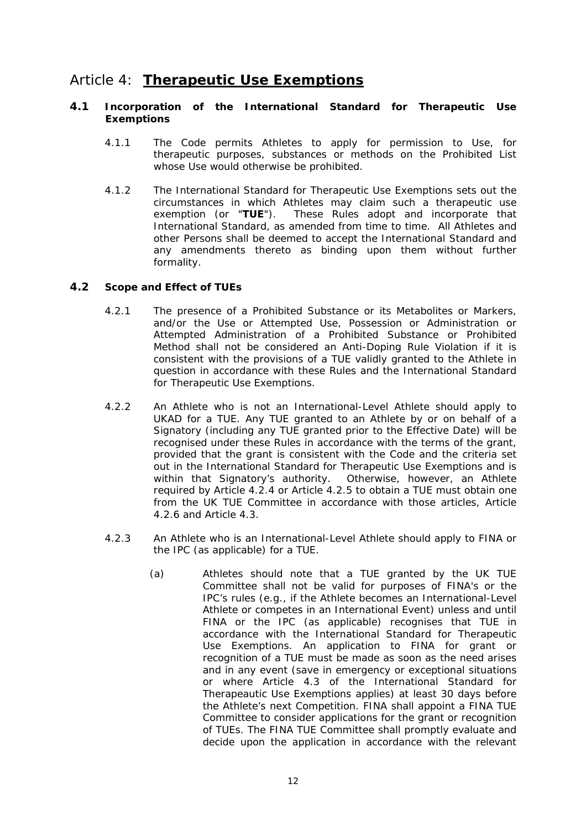# <span id="page-18-0"></span>Article 4: **Therapeutic Use Exemptions**

### **4.1 Incorporation of the International Standard for Therapeutic Use Exemptions**

- 4.1.1 The Code permits Athletes to apply for permission to Use, for therapeutic purposes, substances or methods on the Prohibited List whose Use would otherwise be prohibited.
- <span id="page-18-2"></span>4.1.2 The International Standard for Therapeutic Use Exemptions sets out the circumstances in which Athletes may claim such a therapeutic use exemption (or "**TUE**"). These Rules adopt and incorporate that International Standard, as amended from time to time. All Athletes and other Persons shall be deemed to accept the International Standard and any amendments thereto as binding upon them without further formality.

### **4.2 Scope and Effect of TUEs**

- 4.2.1 The presence of a Prohibited Substance or its Metabolites or Markers, and/or the Use or Attempted Use, Possession or Administration or Attempted Administration of a Prohibited Substance or Prohibited Method shall not be considered an Anti-Doping Rule Violation if it is consistent with the provisions of a TUE validly granted to the Athlete in question in accordance with these Rules and the International Standard for Therapeutic Use Exemptions.
- <span id="page-18-1"></span>4.2.2 An Athlete who is not an International-Level Athlete should apply to UKAD for a TUE. Any TUE granted to an Athlete by or on behalf of a Signatory (including any TUE granted prior to the Effective Date) will be recognised under these Rules in accordance with the terms of the grant, provided that the grant is consistent with the Code and the criteria set out in the International Standard for Therapeutic Use Exemptions and is within that Signatory's authority. Otherwise, however, an Athlete required by Article [4.2.4](#page-19-0) or Article [4.2.5](#page-20-0) to obtain a TUE must obtain one from the UK TUE Committee in accordance with those articles, Article [4.2.6](#page-20-1) and Article [4.3.](#page-21-1)
- 4.2.3 An Athlete who is an International-Level Athlete should apply to FINA or the IPC (as applicable) for a TUE.
	- (a) Athletes should note that a TUE granted by the UK TUE Committee shall not be valid for purposes of FINA's or the IPC's rules (e.g., if the Athlete becomes an International-Level Athlete or competes in an International Event) unless and until FINA or the IPC (as applicable) recognises that TUE in accordance with the International Standard for Therapeutic Use Exemptions. An application to FINA for grant or recognition of a TUE must be made as soon as the need arises and in any event (save in emergency or exceptional situations or where Article 4.3 of the International Standard for Therapeautic Use Exemptions applies) at least 30 days before the Athlete's next Competition. FINA shall appoint a FINA TUE Committee to consider applications for the grant or recognition of TUEs. The FINA TUE Committee shall promptly evaluate and decide upon the application in accordance with the relevant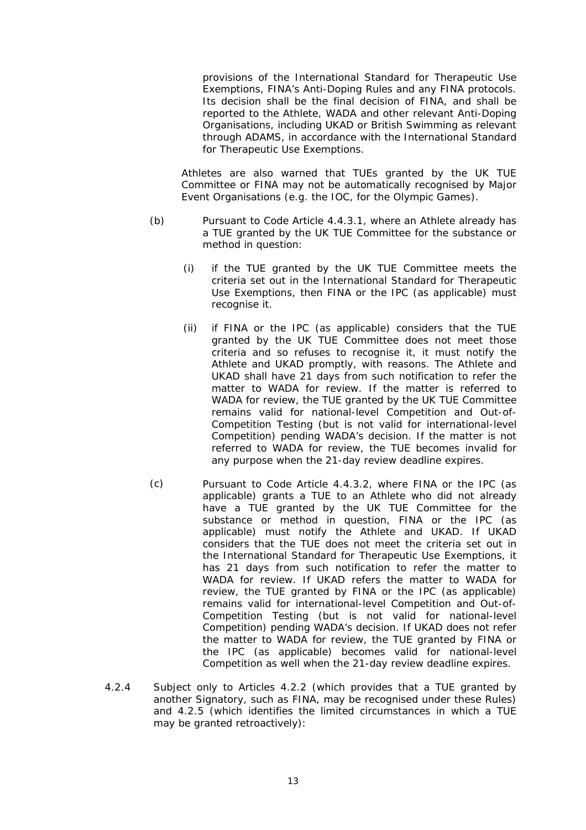provisions of the International Standard for Therapeutic Use Exemptions, FINA's Anti-Doping Rules and any FINA protocols. Its decision shall be the final decision of FINA, and shall be reported to the Athlete, WADA and other relevant Anti-Doping Organisations, including UKAD or British Swimming as relevant through ADAMS, in accordance with the International Standard for Therapeutic Use Exemptions.

Athletes are also warned that TUEs granted by the UK TUE Committee or FINA may not be automatically recognised by Major Event Organisations (e.g. the IOC, for the Olympic Games).

- (b) Pursuant to Code Article 4.4.3.1, where an Athlete already has a TUE granted by the UK TUE Committee for the substance or method in question:
	- (i) if the TUE granted by the UK TUE Committee meets the criteria set out in the International Standard for Therapeutic Use Exemptions, then FINA or the IPC (as applicable) must recognise it.
	- (ii) if FINA or the IPC (as applicable) considers that the TUE granted by the UK TUE Committee does not meet those criteria and so refuses to recognise it, it must notify the Athlete and UKAD promptly, with reasons. The Athlete and UKAD shall have 21 days from such notification to refer the matter to WADA for review. If the matter is referred to WADA for review, the TUE granted by the UK TUE Committee remains valid for national-level Competition and Out-of-Competition Testing (but is not valid for international-level Competition) pending WADA's decision. If the matter is not referred to WADA for review, the TUE becomes invalid for any purpose when the 21-day review deadline expires.
- <span id="page-19-1"></span>(c) Pursuant to Code Article 4.4.3.2, where FINA or the IPC (as applicable) grants a TUE to an Athlete who did not already have a TUE granted by the UK TUE Committee for the substance or method in question, FINA or the IPC (as applicable) must notify the Athlete and UKAD. If UKAD considers that the TUE does not meet the criteria set out in the International Standard for Therapeutic Use Exemptions, it has 21 days from such notification to refer the matter to WADA for review. If UKAD refers the matter to WADA for review, the TUE granted by FINA or the IPC (as applicable) remains valid for international-level Competition and Out-of-Competition Testing (but is not valid for national-level Competition) pending WADA's decision. If UKAD does not refer the matter to WADA for review, the TUE granted by FINA or the IPC (as applicable) becomes valid for national-level Competition as well when the 21-day review deadline expires.
- <span id="page-19-0"></span>4.2.4 Subject only to Articles [4.2.2](#page-18-1) (which provides that a TUE granted by another Signatory, such as FINA, may be recognised under these Rules) and [4.2.5](#page-20-0) (which identifies the limited circumstances in which a TUE may be granted retroactively):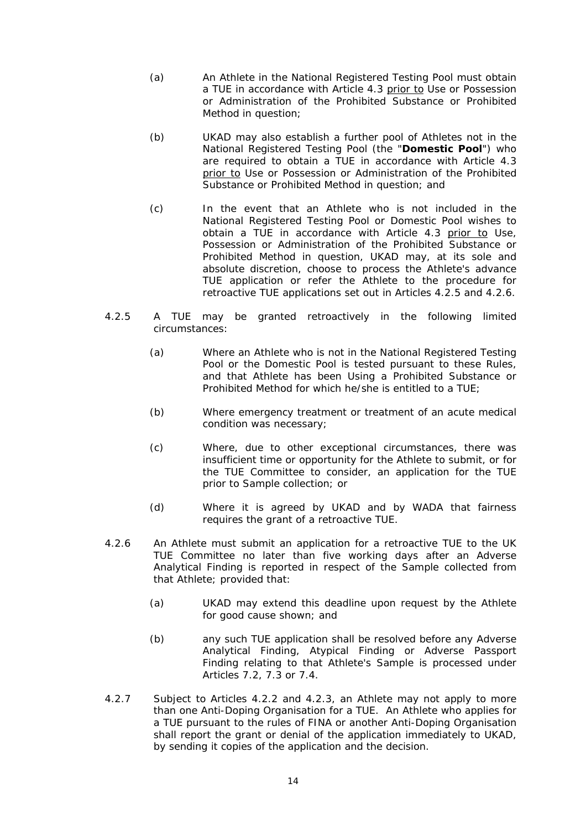- (a) An Athlete in the National Registered Testing Pool must obtain a TUE in accordance with Article [4.3](#page-21-1) prior to Use or Possession or Administration of the Prohibited Substance or Prohibited Method in question;
- <span id="page-20-2"></span>(b) UKAD may also establish a further pool of Athletes not in the National Registered Testing Pool (the "**Domestic Pool**") who are required to obtain a TUE in accordance with Article [4.3](#page-21-1) prior to Use or Possession or Administration of the Prohibited Substance or Prohibited Method in question; and
- (c) In the event that an Athlete who is not included in the National Registered Testing Pool or Domestic Pool wishes to obtain a TUE in accordance with Article [4.3](#page-21-1) prior to Use, Possession or Administration of the Prohibited Substance or Prohibited Method in question, UKAD may, at its sole and absolute discretion, choose to process the Athlete's advance TUE application or refer the Athlete to the procedure for retroactive TUE applications set out in Articles [4.2.5](#page-20-0) and [4.2.6.](#page-20-1)
- <span id="page-20-0"></span>4.2.5 A TUE may be granted retroactively in the following limited circumstances:
	- (a) Where an Athlete who is not in the National Registered Testing Pool or the Domestic Pool is tested pursuant to these Rules, and that Athlete has been Using a Prohibited Substance or Prohibited Method for which he/she is entitled to a TUE;
	- (b) Where emergency treatment or treatment of an acute medical condition was necessary;
	- (c) Where, due to other exceptional circumstances, there was insufficient time or opportunity for the Athlete to submit, or for the TUE Committee to consider, an application for the TUE prior to Sample collection; or
	- (d) Where it is agreed by UKAD and by WADA that fairness requires the grant of a retroactive TUE.
- <span id="page-20-1"></span>4.2.6 An Athlete must submit an application for a retroactive TUE to the UK TUE Committee no later than five working days after an Adverse Analytical Finding is reported in respect of the Sample collected from that Athlete; provided that:
	- (a) UKAD may extend this deadline upon request by the Athlete for good cause shown; and
	- (b) any such TUE application shall be resolved before any Adverse Analytical Finding, Atypical Finding or Adverse Passport Finding relating to that Athlete's Sample is processed under Articles [7.2,](#page-31-1) [7.3](#page-31-2) or [7.4.](#page-32-1)
- 4.2.7 Subject to Articles [4.2.2](#page-18-1) and [4.2.3,](#page-19-1) an Athlete may not apply to more than one Anti-Doping Organisation for a TUE. An Athlete who applies for a TUE pursuant to the rules of FINA or another Anti-Doping Organisation shall report the grant or denial of the application immediately to UKAD, by sending it copies of the application and the decision.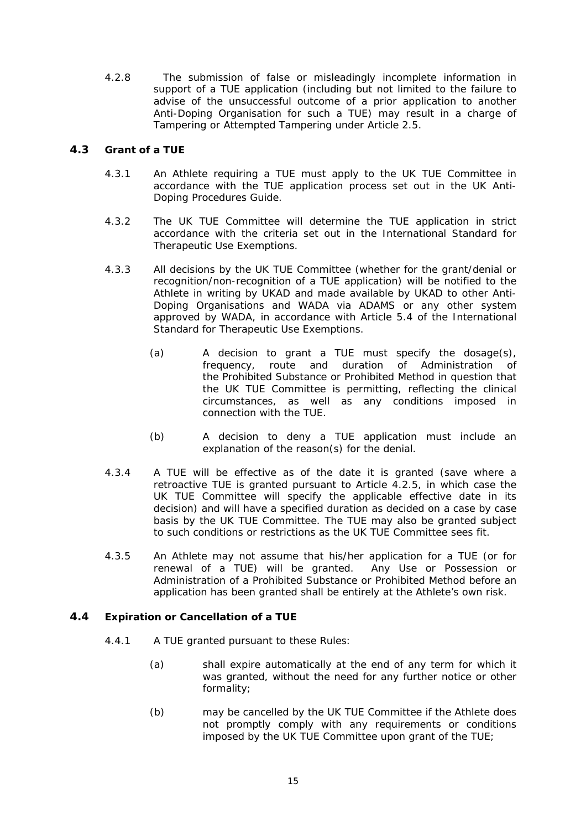<span id="page-21-0"></span>4.2.8 The submission of false or misleadingly incomplete information in support of a TUE application (including but not limited to the failure to advise of the unsuccessful outcome of a prior application to another Anti-Doping Organisation for such a TUE) may result in a charge of Tampering or Attempted Tampering under Article [2.5.](#page-15-2)

### <span id="page-21-1"></span>**4.3 Grant of a TUE**

- 4.3.1 An Athlete requiring a TUE must apply to the UK TUE Committee in accordance with the TUE application process set out in the UK Anti-Doping Procedures Guide.
- 4.3.2 The UK TUE Committee will determine the TUE application in strict accordance with the criteria set out in the International Standard for Therapeutic Use Exemptions.
- 4.3.3 All decisions by the UK TUE Committee (whether for the grant/denial or recognition/non-recognition of a TUE application) will be notified to the Athlete in writing by UKAD and made available by UKAD to other Anti-Doping Organisations and WADA via ADAMS or any other system approved by WADA, in accordance with Article 5.4 of the International Standard for Therapeutic Use Exemptions.
	- (a) A decision to grant a TUE must specify the dosage(s), frequency, route and duration of Administration of the Prohibited Substance or Prohibited Method in question that the UK TUE Committee is permitting, reflecting the clinical circumstances, as well as any conditions imposed in connection with the TUE.
	- (b) A decision to deny a TUE application must include an explanation of the reason(s) for the denial.
- 4.3.4 A TUE will be effective as of the date it is granted (save where a retroactive TUE is granted pursuant to Article [4.2.5,](#page-20-0) in which case the UK TUE Committee will specify the applicable effective date in its decision) and will have a specified duration as decided on a case by case basis by the UK TUE Committee. The TUE may also be granted subject to such conditions or restrictions as the UK TUE Committee sees fit.
- 4.3.5 An Athlete may not assume that his/her application for a TUE (or for renewal of a TUE) will be granted. Any Use or Possession or Administration of a Prohibited Substance or Prohibited Method before an application has been granted shall be entirely at the Athlete's own risk.

### <span id="page-21-3"></span><span id="page-21-2"></span>**4.4 Expiration or Cancellation of a TUE**

- 4.4.1 A TUE granted pursuant to these Rules:
	- (a) shall expire automatically at the end of any term for which it was granted, without the need for any further notice or other formality;
	- (b) may be cancelled by the UK TUE Committee if the Athlete does not promptly comply with any requirements or conditions imposed by the UK TUE Committee upon grant of the TUE;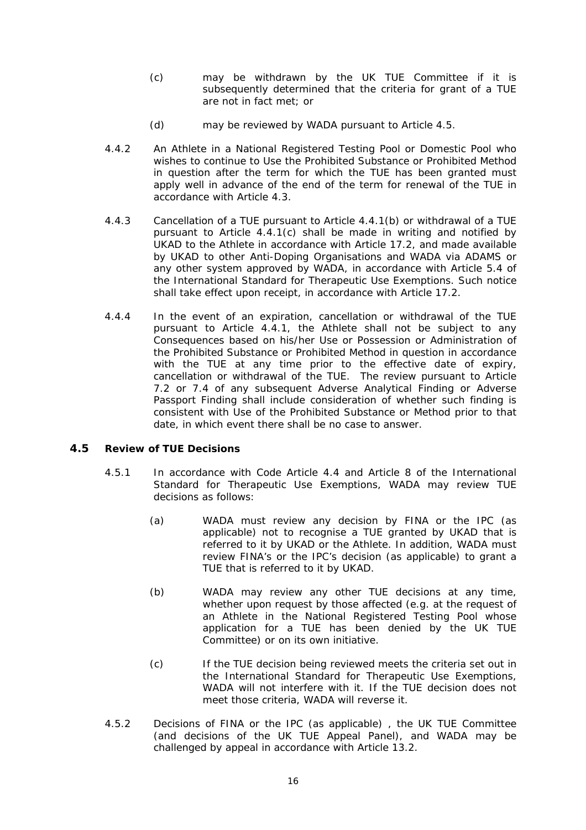- <span id="page-22-0"></span>(c) may be withdrawn by the UK TUE Committee if it is subsequently determined that the criteria for grant of a TUE are not in fact met; or
- (d) may be reviewed by WADA pursuant to Article [4.5](#page-22-1).
- <span id="page-22-2"></span>4.4.2 An Athlete in a National Registered Testing Pool or Domestic Pool who wishes to continue to Use the Prohibited Substance or Prohibited Method in question after the term for which the TUE has been granted must apply well in advance of the end of the term for renewal of the TUE in accordance with Article [4.3](#page-21-1).
- 4.4.3 Cancellation of a TUE pursuant to Article [4.4.1\(b\)](#page-21-2) or withdrawal of a TUE pursuant to Article [4.4.1\(c\)](#page-22-2) shall be made in writing and notified by UKAD to the Athlete in accordance with Article [17.2,](#page-58-1) and made available by UKAD to other Anti-Doping Organisations and WADA via ADAMS or any other system approved by WADA, in accordance with Article 5.4 of the International Standard for Therapeutic Use Exemptions. Such notice shall take effect upon receipt, in accordance with Article [17.2.](#page-58-1)
- 4.4.4 In the event of an expiration, cancellation or withdrawal of the TUE pursuant to Article [4.4.1,](#page-21-3) the Athlete shall not be subject to any Consequences based on his/her Use or Possession or Administration of the Prohibited Substance or Prohibited Method in question in accordance with the TUE at any time prior to the effective date of expiry, cancellation or withdrawal of the TUE. The review pursuant to Article [7.2](#page-31-1) or [7.4](#page-32-1) of any subsequent Adverse Analytical Finding or Adverse Passport Finding shall include consideration of whether such finding is consistent with Use of the Prohibited Substance or Method prior to that date, in which event there shall be no case to answer.

### <span id="page-22-3"></span><span id="page-22-1"></span>**4.5 Review of TUE Decisions**

- 4.5.1 In accordance with Code Article 4.4 and Article 8 of the International Standard for Therapeutic Use Exemptions, WADA may review TUE decisions as follows:
	- (a) WADA must review any decision by FINA or the IPC (as applicable) not to recognise a TUE granted by UKAD that is referred to it by UKAD or the Athlete. In addition, WADA must review FINA's or the IPC's decision (as applicable) to grant a TUE that is referred to it by UKAD.
	- (b) WADA may review any other TUE decisions at any time, whether upon request by those affected (e.g. at the request of an Athlete in the National Registered Testing Pool whose application for a TUE has been denied by the UK TUE Committee) or on its own initiative.
	- (c) If the TUE decision being reviewed meets the criteria set out in the International Standard for Therapeutic Use Exemptions, WADA will not interfere with it. If the TUE decision does not meet those criteria, WADA will reverse it.
- <span id="page-22-4"></span>4.5.2 Decisions of FINA or the IPC (as applicable) , the UK TUE Committee (and decisions of the UK TUE Appeal Panel), and WADA may be challenged by appeal in accordance with Article [13.2.](#page-52-1)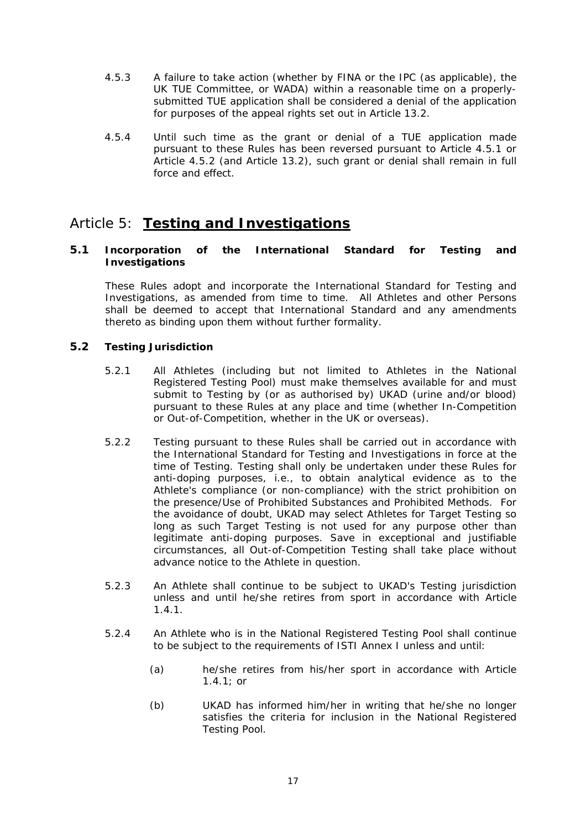- <span id="page-23-0"></span>4.5.3 A failure to take action (whether by FINA or the IPC (as applicable), the UK TUE Committee, or WADA) within a reasonable time on a properlysubmitted TUE application shall be considered a denial of the application for purposes of the appeal rights set out in Article [13.2](#page-52-1).
- 4.5.4 Until such time as the grant or denial of a TUE application made pursuant to these Rules has been reversed pursuant to Article [4.5.1](#page-22-3) or Article [4.5.2](#page-22-4) (and Article [13.2\)](#page-52-1), such grant or denial shall remain in full force and effect.

# Article 5: **Testing and Investigations**

### **5.1 Incorporation of the International Standard for Testing and Investigations**

These Rules adopt and incorporate the International Standard for Testing and Investigations, as amended from time to time. All Athletes and other Persons shall be deemed to accept that International Standard and any amendments thereto as binding upon them without further formality.

### **5.2 Testing Jurisdiction**

- 5.2.1 All Athletes (including but not limited to Athletes in the National Registered Testing Pool) must make themselves available for and must submit to Testing by (or as authorised by) UKAD (urine and/or blood) pursuant to these Rules at any place and time (whether In-Competition or Out-of-Competition, whether in the UK or overseas).
- 5.2.2 Testing pursuant to these Rules shall be carried out in accordance with the International Standard for Testing and Investigations in force at the time of Testing. Testing shall only be undertaken under these Rules for anti-doping purposes, i.e., to obtain analytical evidence as to the Athlete's compliance (or non-compliance) with the strict prohibition on the presence/Use of Prohibited Substances and Prohibited Methods. For the avoidance of doubt, UKAD may select Athletes for Target Testing so long as such Target Testing is not used for any purpose other than legitimate anti-doping purposes. Save in exceptional and justifiable circumstances, all Out-of-Competition Testing shall take place without advance notice to the Athlete in question.
- 5.2.3 An Athlete shall continue to be subject to UKAD's Testing jurisdiction unless and until he/she retires from sport in accordance with Article [1.4.1](#page-10-1).
- 5.2.4 An Athlete who is in the National Registered Testing Pool shall continue to be subject to the requirements of ISTI Annex I unless and until:
	- (a) he/she retires from his/her sport in accordance with Article [1.4.1](#page-10-1); or
	- (b) UKAD has informed him/her in writing that he/she no longer satisfies the criteria for inclusion in the National Registered Testing Pool.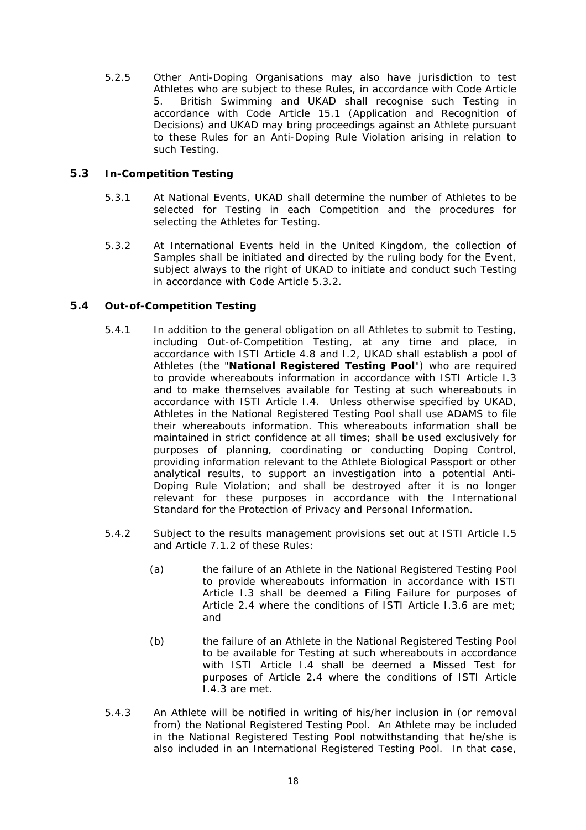<span id="page-24-0"></span>5.2.5 Other Anti-Doping Organisations may also have jurisdiction to test Athletes who are subject to these Rules, in accordance with Code Article 5. British Swimming and UKAD shall recognise such Testing in accordance with Code Article 15.1 (Application and Recognition of Decisions) and UKAD may bring proceedings against an Athlete pursuant to these Rules for an Anti-Doping Rule Violation arising in relation to such Testing.

### **5.3 In-Competition Testing**

- 5.3.1 At National Events, UKAD shall determine the number of Athletes to be selected for Testing in each Competition and the procedures for selecting the Athletes for Testing.
- 5.3.2 At International Events held in the United Kingdom, the collection of Samples shall be initiated and directed by the ruling body for the Event, subject always to the right of UKAD to initiate and conduct such Testing in accordance with Code Article 5.3.2*.*

### <span id="page-24-1"></span>**5.4 Out-of-Competition Testing**

- 5.4.1 In addition to the general obligation on all Athletes to submit to Testing, including Out-of-Competition Testing, at any time and place, in accordance with ISTI Article 4.8 and I.2, UKAD shall establish a pool of Athletes (the "**National Registered Testing Pool**") who are required to provide whereabouts information in accordance with ISTI Article I.3 and to make themselves available for Testing at such whereabouts in accordance with ISTI Article I.4. Unless otherwise specified by UKAD, Athletes in the National Registered Testing Pool shall use ADAMS to file their whereabouts information. This whereabouts information shall be maintained in strict confidence at all times; shall be used exclusively for purposes of planning, coordinating or conducting Doping Control, providing information relevant to the Athlete Biological Passport or other analytical results, to support an investigation into a potential Anti-Doping Rule Violation; and shall be destroyed after it is no longer relevant for these purposes in accordance with the International Standard for the Protection of Privacy and Personal Information.
- 5.4.2 Subject to the results management provisions set out at ISTI Article I.5 and Article [7.1.2](#page-30-0) of these Rules:
	- (a) the failure of an Athlete in the National Registered Testing Pool to provide whereabouts information in accordance with ISTI Article I.3 shall be deemed a Filing Failure for purposes of Article [2.4](#page-14-3) where the conditions of ISTI Article I.3.6 are met; and
	- (b) the failure of an Athlete in the National Registered Testing Pool to be available for Testing at such whereabouts in accordance with ISTI Article I.4 shall be deemed a Missed Test for purposes of Article [2.4](#page-14-3) where the conditions of ISTI Article I.4.3 are met.
- 5.4.3 An Athlete will be notified in writing of his/her inclusion in (or removal from) the National Registered Testing Pool. An Athlete may be included in the National Registered Testing Pool notwithstanding that he/she is also included in an International Registered Testing Pool. In that case,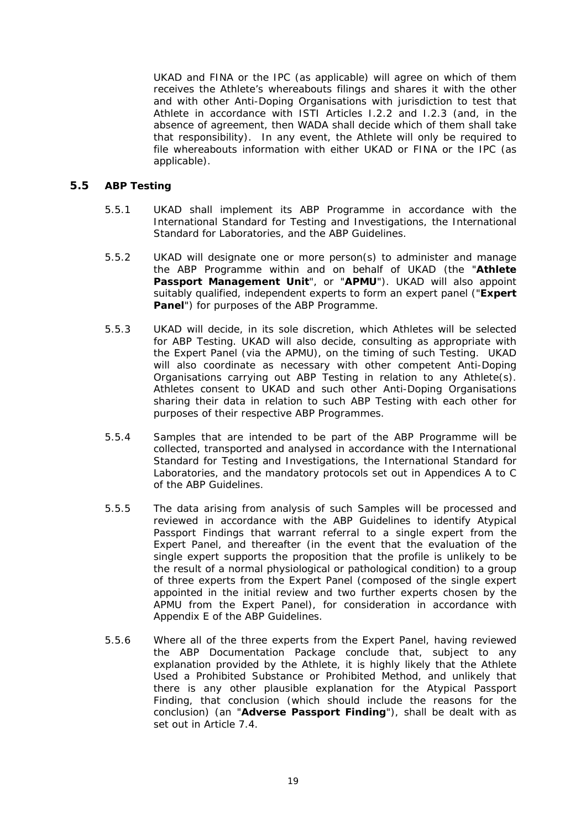<span id="page-25-0"></span>UKAD and FINA or the IPC (as applicable) will agree on which of them receives the Athlete's whereabouts filings and shares it with the other and with other Anti-Doping Organisations with jurisdiction to test that Athlete in accordance with ISTI Articles I.2.2 and I.2.3 (and, in the absence of agreement, then WADA shall decide which of them shall take that responsibility). In any event, the Athlete will only be required to file whereabouts information with either UKAD or FINA or the IPC (as applicable).

### <span id="page-25-2"></span>**5.5 ABP Testing**

- 5.5.1 UKAD shall implement its ABP Programme in accordance with the International Standard for Testing and Investigations, the International Standard for Laboratories, and the ABP Guidelines.
- <span id="page-25-3"></span>5.5.2 UKAD will designate one or more person(s) to administer and manage the ABP Programme within and on behalf of UKAD (the "**Athlete Passport Management Unit**", or "**APMU**"). UKAD will also appoint suitably qualified, independent experts to form an expert panel ("**Expert Panel**") for purposes of the ABP Programme.
- 5.5.3 UKAD will decide, in its sole discretion, which Athletes will be selected for ABP Testing. UKAD will also decide, consulting as appropriate with the Expert Panel (via the APMU), on the timing of such Testing. UKAD will also coordinate as necessary with other competent Anti-Doping Organisations carrying out ABP Testing in relation to any Athlete(s). Athletes consent to UKAD and such other Anti-Doping Organisations sharing their data in relation to such ABP Testing with each other for purposes of their respective ABP Programmes.
- 5.5.4 Samples that are intended to be part of the ABP Programme will be collected, transported and analysed in accordance with the International Standard for Testing and Investigations, the International Standard for Laboratories, and the mandatory protocols set out in Appendices A to C of the ABP Guidelines.
- 5.5.5 The data arising from analysis of such Samples will be processed and reviewed in accordance with the ABP Guidelines to identify Atypical Passport Findings that warrant referral to a single expert from the Expert Panel, and thereafter (in the event that the evaluation of the single expert supports the proposition that the profile is unlikely to be the result of a normal physiological or pathological condition) to a group of three experts from the Expert Panel (composed of the single expert appointed in the initial review and two further experts chosen by the APMU from the Expert Panel), for consideration in accordance with Appendix E of the ABP Guidelines.
- <span id="page-25-1"></span>5.5.6 Where all of the three experts from the Expert Panel, having reviewed the ABP Documentation Package conclude that, subject to any explanation provided by the Athlete, it is highly likely that the Athlete Used a Prohibited Substance or Prohibited Method, and unlikely that there is any other plausible explanation for the Atypical Passport Finding, that conclusion (which should include the reasons for the conclusion) (an "**Adverse Passport Finding**"), shall be dealt with as set out in Article [7.4.](#page-32-1)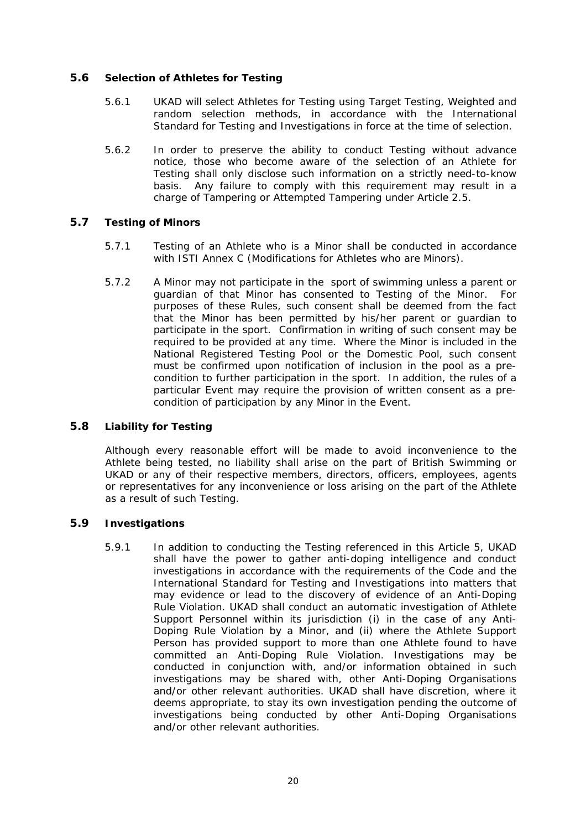### <span id="page-26-0"></span>**5.6 Selection of Athletes for Testing**

- 5.6.1 UKAD will select Athletes for Testing using Target Testing, Weighted and random selection methods, in accordance with the International Standard for Testing and Investigations in force at the time of selection.
- 5.6.2 In order to preserve the ability to conduct Testing without advance notice, those who become aware of the selection of an Athlete for Testing shall only disclose such information on a strictly need-to-know basis. Any failure to comply with this requirement may result in a charge of Tampering or Attempted Tampering under Article [2.5](#page-15-2).

### **5.7 Testing of Minors**

- 5.7.1 Testing of an Athlete who is a Minor shall be conducted in accordance with ISTI Annex C (Modifications for Athletes who are Minors).
- 5.7.2 A Minor may not participate in the sport of swimming unless a parent or guardian of that Minor has consented to Testing of the Minor. For purposes of these Rules, such consent shall be deemed from the fact that the Minor has been permitted by his/her parent or guardian to participate in the sport. Confirmation in writing of such consent may be required to be provided at any time. Where the Minor is included in the National Registered Testing Pool or the Domestic Pool, such consent must be confirmed upon notification of inclusion in the pool as a precondition to further participation in the sport. In addition, the rules of a particular Event may require the provision of written consent as a precondition of participation by any Minor in the Event.

### **5.8 Liability for Testing**

Although every reasonable effort will be made to avoid inconvenience to the Athlete being tested, no liability shall arise on the part of British Swimming or UKAD or any of their respective members, directors, officers, employees, agents or representatives for any inconvenience or loss arising on the part of the Athlete as a result of such Testing.

### <span id="page-26-1"></span>**5.9 Investigations**

5.9.1 In addition to conducting the Testing referenced in this Article 5, UKAD shall have the power to gather anti-doping intelligence and conduct investigations in accordance with the requirements of the Code and the International Standard for Testing and Investigations into matters that may evidence or lead to the discovery of evidence of an Anti-Doping Rule Violation. UKAD shall conduct an automatic investigation of Athlete Support Personnel within its jurisdiction (i) in the case of any Anti-Doping Rule Violation by a Minor, and (ii) where the Athlete Support Person has provided support to more than one Athlete found to have committed an Anti-Doping Rule Violation. Investigations may be conducted in conjunction with, and/or information obtained in such investigations may be shared with, other Anti-Doping Organisations and/or other relevant authorities. UKAD shall have discretion, where it deems appropriate, to stay its own investigation pending the outcome of investigations being conducted by other Anti-Doping Organisations and/or other relevant authorities.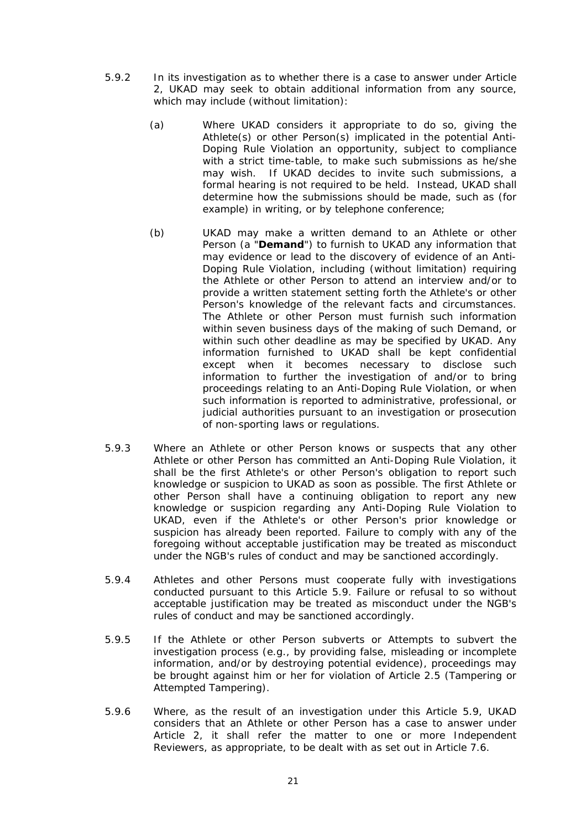- 5.9.2 In its investigation as to whether there is a case to answer under Article 2, UKAD may seek to obtain additional information from any source, which may include (without limitation):
	- (a) Where UKAD considers it appropriate to do so, giving the Athlete(s) or other Person(s) implicated in the potential Anti-Doping Rule Violation an opportunity, subject to compliance with a strict time-table, to make such submissions as he/she may wish. If UKAD decides to invite such submissions, a formal hearing is not required to be held. Instead, UKAD shall determine how the submissions should be made, such as (for example) in writing, or by telephone conference;
	- (b) UKAD may make a written demand to an Athlete or other Person (a "**Demand**") to furnish to UKAD any information that may evidence or lead to the discovery of evidence of an Anti-Doping Rule Violation, including (without limitation) requiring the Athlete or other Person to attend an interview and/or to provide a written statement setting forth the Athlete's or other Person's knowledge of the relevant facts and circumstances. The Athlete or other Person must furnish such information within seven business days of the making of such Demand, or within such other deadline as may be specified by UKAD. Any information furnished to UKAD shall be kept confidential except when it becomes necessary to disclose such information to further the investigation of and/or to bring proceedings relating to an Anti-Doping Rule Violation, or when such information is reported to administrative, professional, or judicial authorities pursuant to an investigation or prosecution of non-sporting laws or regulations.
- 5.9.3 Where an Athlete or other Person knows or suspects that any other Athlete or other Person has committed an Anti-Doping Rule Violation, it shall be the first Athlete's or other Person's obligation to report such knowledge or suspicion to UKAD as soon as possible. The first Athlete or other Person shall have a continuing obligation to report any new knowledge or suspicion regarding any Anti-Doping Rule Violation to UKAD, even if the Athlete's or other Person's prior knowledge or suspicion has already been reported. Failure to comply with any of the foregoing without acceptable justification may be treated as misconduct under the NGB's rules of conduct and may be sanctioned accordingly.
- 5.9.4 Athletes and other Persons must cooperate fully with investigations conducted pursuant to this Article [5.9.](#page-26-1) Failure or refusal to so without acceptable justification may be treated as misconduct under the NGB's rules of conduct and may be sanctioned accordingly.
- 5.9.5 If the Athlete or other Person subverts or Attempts to subvert the investigation process (e.g., by providing false, misleading or incomplete information, and/or by destroying potential evidence), proceedings may be brought against him or her for violation of Article [2.5](#page-15-2) (Tampering or Attempted Tampering).
- 5.9.6 Where, as the result of an investigation under this Article [5.9](#page-26-1), UKAD considers that an Athlete or other Person has a case to answer under Article 2, it shall refer the matter to one or more Independent Reviewers, as appropriate, to be dealt with as set out in Article [7.6.](#page-34-1)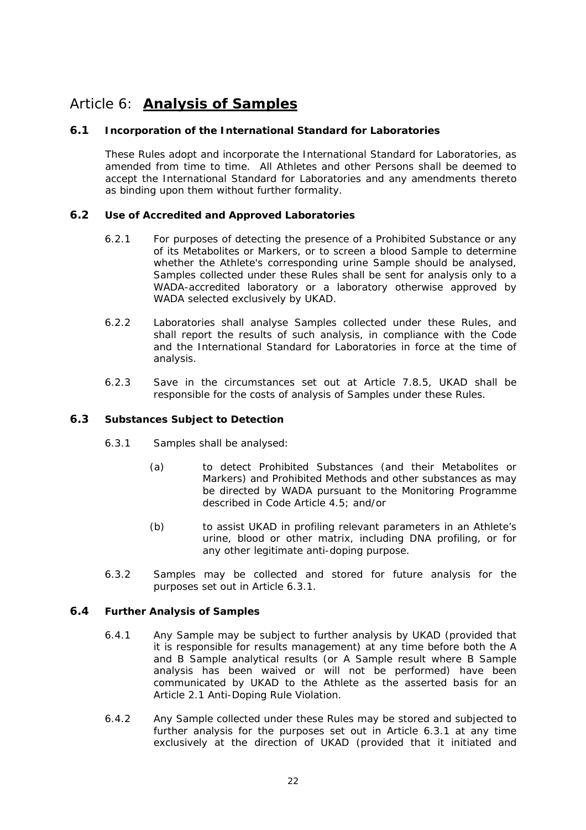# <span id="page-28-0"></span>Article 6: **Analysis of Samples**

### **6.1 Incorporation of the International Standard for Laboratories**

These Rules adopt and incorporate the International Standard for Laboratories, as amended from time to time. All Athletes and other Persons shall be deemed to accept the International Standard for Laboratories and any amendments thereto as binding upon them without further formality.

### **6.2 Use of Accredited and Approved Laboratories**

- 6.2.1 For purposes of detecting the presence of a Prohibited Substance or any of its Metabolites or Markers, or to screen a blood Sample to determine whether the Athlete's corresponding urine Sample should be analysed, Samples collected under these Rules shall be sent for analysis only to a WADA-accredited laboratory or a laboratory otherwise approved by WADA selected exclusively by UKAD.
- 6.2.2 Laboratories shall analyse Samples collected under these Rules, and shall report the results of such analysis, in compliance with the Code and the International Standard for Laboratories in force at the time of analysis.
- 6.2.3 Save in the circumstances set out at Article [7.8.5](#page-36-1), UKAD shall be responsible for the costs of analysis of Samples under these Rules.

### <span id="page-28-2"></span><span id="page-28-1"></span>**6.3 Substances Subject to Detection**

- 6.3.1 Samples shall be analysed:
	- (a) to detect Prohibited Substances (and their Metabolites or Markers) and Prohibited Methods and other substances as may be directed by WADA pursuant to the Monitoring Programme described in Code Article 4.5; and/or
	- (b) to assist UKAD in profiling relevant parameters in an Athlete's urine, blood or other matrix, including DNA profiling, or for any other legitimate anti-doping purpose.
- 6.3.2 Samples may be collected and stored for future analysis for the purposes set out in Article 6.3.1.

### **6.4 Further Analysis of Samples**

- 6.4.1 Any Sample may be subject to further analysis by UKAD (provided that it is responsible for results management) at any time before both the A and B Sample analytical results (or A Sample result where B Sample analysis has been waived or will not be performed) have been communicated by UKAD to the Athlete as the asserted basis for an Article [2.1](#page-13-1) Anti-Doping Rule Violation.
- 6.4.2 Any Sample collected under these Rules may be stored and subjected to further analysis for the purposes set out in Article [6.3.1](#page-28-1) at any time exclusively at the direction of UKAD (provided that it initiated and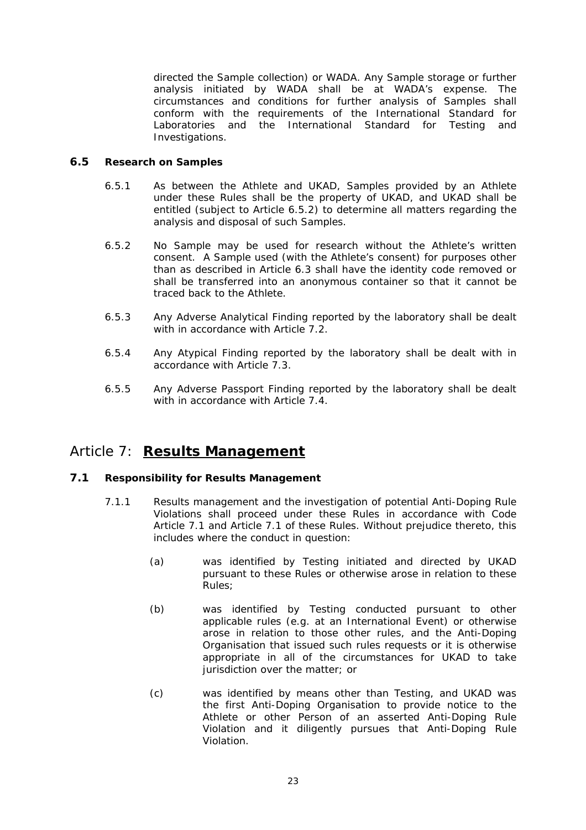<span id="page-29-0"></span>directed the Sample collection) or WADA. Any Sample storage or further analysis initiated by WADA shall be at WADA's expense. The circumstances and conditions for further analysis of Samples shall conform with the requirements of the International Standard for Laboratories and the International Standard for Testing and Investigations.

### **6.5 Research on Samples**

- 6.5.1 As between the Athlete and UKAD, Samples provided by an Athlete under these Rules shall be the property of UKAD, and UKAD shall be entitled (subject to Article [6.5.2](#page-29-1)) to determine all matters regarding the analysis and disposal of such Samples.
- <span id="page-29-1"></span>6.5.2 No Sample may be used for research without the Athlete's written consent. A Sample used (with the Athlete's consent) for purposes other than as described in Article [6.3](#page-28-2) shall have the identity code removed or shall be transferred into an anonymous container so that it cannot be traced back to the Athlete.
- 6.5.3 Any Adverse Analytical Finding reported by the laboratory shall be dealt with in accordance with Article [7.2.](#page-31-1)
- 6.5.4 Any Atypical Finding reported by the laboratory shall be dealt with in accordance with Article [7.3](#page-31-2).
- 6.5.5 Any Adverse Passport Finding reported by the laboratory shall be dealt with in accordance with Article [7.4.](#page-32-1)

# Article 7: **Results Management**

### <span id="page-29-2"></span>**7.1 Responsibility for Results Management**

- 7.1.1 Results management and the investigation of potential Anti-Doping Rule Violations shall proceed under these Rules in accordance with Code Article 7.1 and Article [7.1](#page-29-2) of these Rules. Without prejudice thereto, this includes where the conduct in question:
	- (a) was identified by Testing initiated and directed by UKAD pursuant to these Rules or otherwise arose in relation to these Rules;
	- (b) was identified by Testing conducted pursuant to other applicable rules (e.g. at an International Event) or otherwise arose in relation to those other rules, and the Anti-Doping Organisation that issued such rules requests or it is otherwise appropriate in all of the circumstances for UKAD to take jurisdiction over the matter; or
	- (c) was identified by means other than Testing, and UKAD was the first Anti-Doping Organisation to provide notice to the Athlete or other Person of an asserted Anti-Doping Rule Violation and it diligently pursues that Anti-Doping Rule Violation.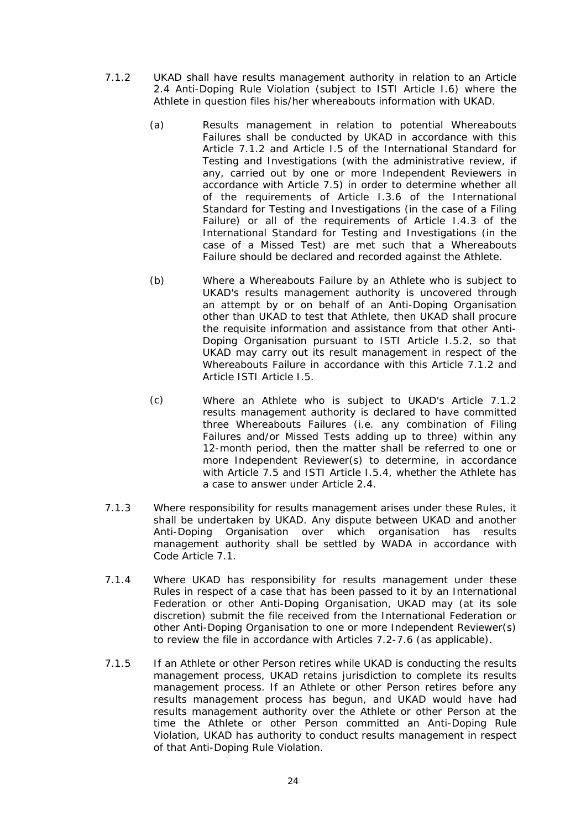- <span id="page-30-1"></span><span id="page-30-0"></span>7.1.2 UKAD shall have results management authority in relation to an Article [2.4](#page-14-3) Anti-Doping Rule Violation (subject to ISTI Article I.6) where the Athlete in question files his/her whereabouts information with UKAD.
	- (a) Results management in relation to potential Whereabouts Failures shall be conducted by UKAD in accordance with this Article [7.1.2](#page-30-0) and Article I.5 of the International Standard for Testing and Investigations (with the administrative review, if any, carried out by one or more Independent Reviewers in accordance with Article [7.5\)](#page-33-1) in order to determine whether all of the requirements of Article I.3.6 of the International Standard for Testing and Investigations (in the case of a Filing Failure) or all of the requirements of Article I.4.3 of the International Standard for Testing and Investigations (in the case of a Missed Test) are met such that a Whereabouts Failure should be declared and recorded against the Athlete.
	- (b) Where a Whereabouts Failure by an Athlete who is subject to UKAD's results management authority is uncovered through an attempt by or on behalf of an Anti-Doping Organisation other than UKAD to test that Athlete, then UKAD shall procure the requisite information and assistance from that other Anti-Doping Organisation pursuant to ISTI Article I.5.2, so that UKAD may carry out its result management in respect of the Whereabouts Failure in accordance with this Article [7.1.2](#page-30-0) and Article ISTI Article I.5.
	- (c) Where an Athlete who is subject to UKAD's Article [7.1.2](#page-30-1) results management authority is declared to have committed three Whereabouts Failures (i.e. any combination of Filing Failures and/or Missed Tests adding up to three) within any 12-month period, then the matter shall be referred to one or more Independent Reviewer(s) to determine, in accordance with Article [7.5](#page-33-1) and ISTI Article I.5.4, whether the Athlete has a case to answer under Article 2.4.
- <span id="page-30-2"></span>7.1.3 Where responsibility for results management arises under these Rules, it shall be undertaken by UKAD. Any dispute between UKAD and another Anti-Doping Organisation over which organisation has results management authority shall be settled by WADA in accordance with Code Article 7.1.
- 7.1.4 Where UKAD has responsibility for results management under these Rules in respect of a case that has been passed to it by an International Federation or other Anti-Doping Organisation, UKAD may (at its sole discretion) submit the file received from the International Federation or other Anti-Doping Organisation to one or more Independent Reviewer(s) to review the file in accordance with Articles [7.2](#page-31-1)-[7.6](#page-34-1) (as applicable).
- 7.1.5 If an Athlete or other Person retires while UKAD is conducting the results management process, UKAD retains jurisdiction to complete its results management process. If an Athlete or other Person retires before any results management process has begun, and UKAD would have had results management authority over the Athlete or other Person at the time the Athlete or other Person committed an Anti-Doping Rule Violation, UKAD has authority to conduct results management in respect of that Anti-Doping Rule Violation.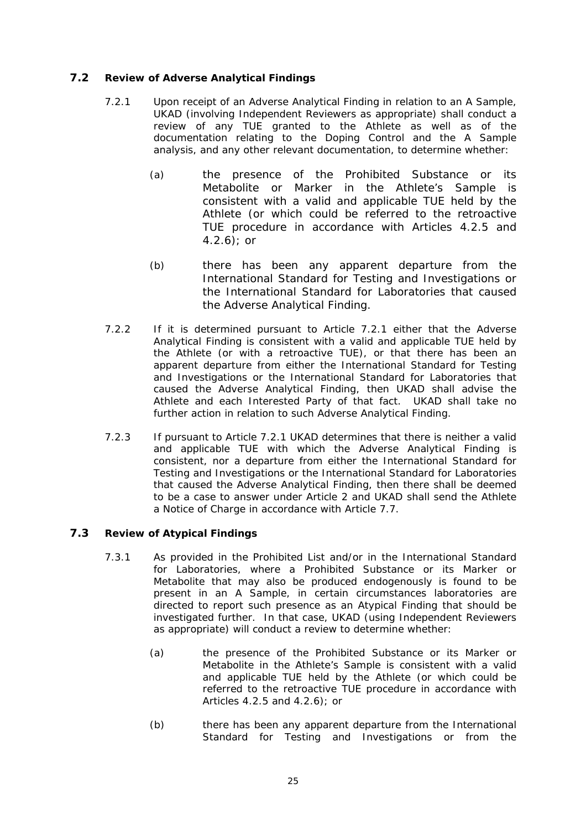### <span id="page-31-3"></span><span id="page-31-1"></span><span id="page-31-0"></span>**7.2 Review of Adverse Analytical Findings**

- 7.2.1 Upon receipt of an Adverse Analytical Finding in relation to an A Sample, UKAD (involving Independent Reviewers as appropriate) shall conduct a review of any TUE granted to the Athlete as well as of the documentation relating to the Doping Control and the A Sample analysis, and any other relevant documentation, to determine whether:
	- (a) the presence of the Prohibited Substance or its Metabolite or Marker in the Athlete's Sample is consistent with a valid and applicable TUE held by the Athlete (or which could be referred to the retroactive TUE procedure in accordance with Articles [4.2.5](#page-20-0) and  $(4.2.6)$  $(4.2.6)$ ; or
	- $(b)$ there has been any apparent departure from the International Standard for Testing and Investigations or the International Standard for Laboratories that caused the Adverse Analytical Finding.
- 7.2.2 If it is determined pursuant to Article [7.2.1](#page-31-3) either that the Adverse Analytical Finding is consistent with a valid and applicable TUE held by the Athlete (or with a retroactive TUE), or that there has been an apparent departure from either the International Standard for Testing and Investigations or the International Standard for Laboratories that caused the Adverse Analytical Finding, then UKAD shall advise the Athlete and each Interested Party of that fact. UKAD shall take no further action in relation to such Adverse Analytical Finding.
- 7.2.3 If pursuant to Article [7.2.1](#page-31-3) UKAD determines that there is neither a valid and applicable TUE with which the Adverse Analytical Finding is consistent, nor a departure from either the International Standard for Testing and Investigations or the International Standard for Laboratories that caused the Adverse Analytical Finding, then there shall be deemed to be a case to answer under Article 2 and UKAD shall send the Athlete a Notice of Charge in accordance with Article [7.7.](#page-34-2)

### <span id="page-31-4"></span><span id="page-31-2"></span>**7.3 Review of Atypical Findings**

- 7.3.1 As provided in the Prohibited List and/or in the International Standard for Laboratories, where a Prohibited Substance or its Marker or Metabolite that may also be produced endogenously is found to be present in an A Sample, in certain circumstances laboratories are directed to report such presence as an Atypical Finding that should be investigated further. In that case, UKAD (using Independent Reviewers as appropriate) will conduct a review to determine whether:
	- (a) the presence of the Prohibited Substance or its Marker or Metabolite in the Athlete's Sample is consistent with a valid and applicable TUE held by the Athlete (or which could be referred to the retroactive TUE procedure in accordance with Articles [4.2.5](#page-20-0) and [4.2.6\)](#page-20-1); or
	- (b) there has been any apparent departure from the International Standard for Testing and Investigations or from the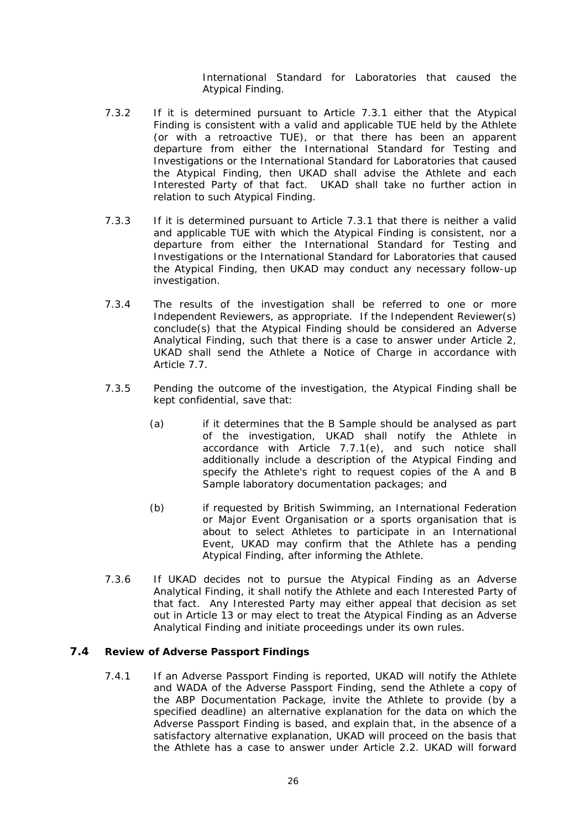International Standard for Laboratories that caused the Atypical Finding.

- <span id="page-32-0"></span>7.3.2 If it is determined pursuant to Article [7.3.1](#page-31-4) either that the Atypical Finding is consistent with a valid and applicable TUE held by the Athlete (or with a retroactive TUE), or that there has been an apparent departure from either the International Standard for Testing and Investigations or the International Standard for Laboratories that caused the Atypical Finding, then UKAD shall advise the Athlete and each Interested Party of that fact. UKAD shall take no further action in relation to such Atypical Finding.
- 7.3.3 If it is determined pursuant to Article [7.3.1](#page-31-4) that there is neither a valid and applicable TUE with which the Atypical Finding is consistent, nor a departure from either the International Standard for Testing and Investigations or the International Standard for Laboratories that caused the Atypical Finding, then UKAD may conduct any necessary follow-up investigation.
- 7.3.4 The results of the investigation shall be referred to one or more Independent Reviewers, as appropriate. If the Independent Reviewer(s) conclude(s) that the Atypical Finding should be considered an Adverse Analytical Finding, such that there is a case to answer under Article 2, UKAD shall send the Athlete a Notice of Charge in accordance with Article [7.7.](#page-34-2)
- 7.3.5 Pending the outcome of the investigation, the Atypical Finding shall be kept confidential, save that:
	- (a) if it determines that the B Sample should be analysed as part of the investigation, UKAD shall notify the Athlete in accordance with Article [7.7.1\(e\)](#page-34-3), and such notice shall additionally include a description of the Atypical Finding and specify the Athlete's right to request copies of the A and B Sample laboratory documentation packages; and
	- (b) if requested by British Swimming, an International Federation or Major Event Organisation or a sports organisation that is about to select Athletes to participate in an International Event, UKAD may confirm that the Athlete has a pending Atypical Finding, after informing the Athlete.
- 7.3.6 If UKAD decides not to pursue the Atypical Finding as an Adverse Analytical Finding, it shall notify the Athlete and each Interested Party of that fact. Any Interested Party may either appeal that decision as set out in Article 13 or may elect to treat the Atypical Finding as an Adverse Analytical Finding and initiate proceedings under its own rules.

### <span id="page-32-1"></span>**7.4 Review of Adverse Passport Findings**

7.4.1 If an Adverse Passport Finding is reported, UKAD will notify the Athlete and WADA of the Adverse Passport Finding, send the Athlete a copy of the ABP Documentation Package, invite the Athlete to provide (by a specified deadline) an alternative explanation for the data on which the Adverse Passport Finding is based, and explain that, in the absence of a satisfactory alternative explanation, UKAD will proceed on the basis that the Athlete has a case to answer under Article [2.2](#page-14-2). UKAD will forward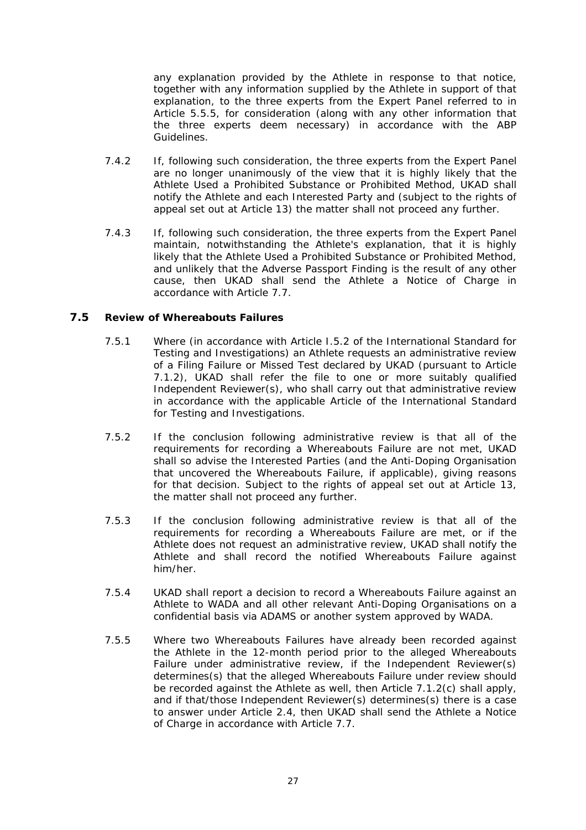<span id="page-33-0"></span>any explanation provided by the Athlete in response to that notice, together with any information supplied by the Athlete in support of that explanation, to the three experts from the Expert Panel referred to in Article 5.5.5, for consideration (along with any other information that the three experts deem necessary) in accordance with the ABP Guidelines.

- 7.4.2 If, following such consideration, the three experts from the Expert Panel are no longer unanimously of the view that it is highly likely that the Athlete Used a Prohibited Substance or Prohibited Method, UKAD shall notify the Athlete and each Interested Party and (subject to the rights of appeal set out at Article 13) the matter shall not proceed any further.
- 7.4.3 If, following such consideration, the three experts from the Expert Panel maintain, notwithstanding the Athlete's explanation, that it is highly likely that the Athlete Used a Prohibited Substance or Prohibited Method, and unlikely that the Adverse Passport Finding is the result of any other cause, then UKAD shall send the Athlete a Notice of Charge in accordance with Article [7.7](#page-34-2).

### <span id="page-33-1"></span>**7.5 Review of Whereabouts Failures**

- 7.5.1 Where (in accordance with Article I.5.2 of the International Standard for Testing and Investigations) an Athlete requests an administrative review of a Filing Failure or Missed Test declared by UKAD (pursuant to Article [7.1.2](#page-30-0)), UKAD shall refer the file to one or more suitably qualified Independent Reviewer(s), who shall carry out that administrative review in accordance with the applicable Article of the International Standard for Testing and Investigations.
- 7.5.2 If the conclusion following administrative review is that all of the requirements for recording a Whereabouts Failure are not met, UKAD shall so advise the Interested Parties (and the Anti-Doping Organisation that uncovered the Whereabouts Failure, if applicable), giving reasons for that decision. Subject to the rights of appeal set out at Article 13, the matter shall not proceed any further.
- 7.5.3 If the conclusion following administrative review is that all of the requirements for recording a Whereabouts Failure are met, or if the Athlete does not request an administrative review, UKAD shall notify the Athlete and shall record the notified Whereabouts Failure against him/her.
- 7.5.4 UKAD shall report a decision to record a Whereabouts Failure against an Athlete to WADA and all other relevant Anti-Doping Organisations on a confidential basis via ADAMS or another system approved by WADA.
- 7.5.5 Where two Whereabouts Failures have already been recorded against the Athlete in the 12-month period prior to the alleged Whereabouts Failure under administrative review, if the Independent Reviewer(s) determines(s) that the alleged Whereabouts Failure under review should be recorded against the Athlete as well, then Article [7.1.2\(c\)](#page-30-2) shall apply, and if that/those Independent Reviewer(s) determines(s) there is a case to answer under Article [2.4](#page-14-3), then UKAD shall send the Athlete a Notice of Charge in accordance with Article [7.7](#page-34-2).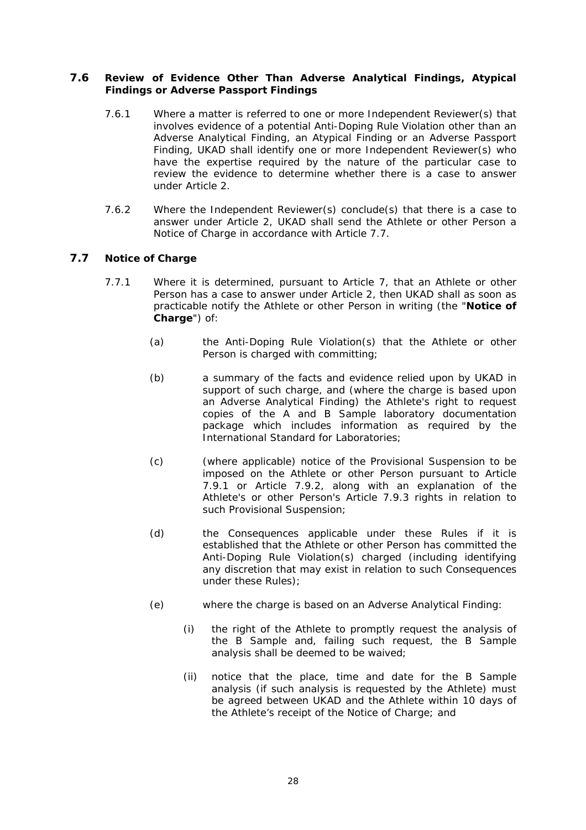### <span id="page-34-1"></span><span id="page-34-0"></span>**7.6 Review of Evidence Other Than Adverse Analytical Findings, Atypical Findings or Adverse Passport Findings**

- 7.6.1 Where a matter is referred to one or more Independent Reviewer(s) that involves evidence of a potential Anti-Doping Rule Violation other than an Adverse Analytical Finding, an Atypical Finding or an Adverse Passport Finding, UKAD shall identify one or more Independent Reviewer(s) who have the expertise required by the nature of the particular case to review the evidence to determine whether there is a case to answer under Article 2.
- 7.6.2 Where the Independent Reviewer(s) conclude(s) that there is a case to answer under Article 2, UKAD shall send the Athlete or other Person a Notice of Charge in accordance with Article [7.7](#page-34-2).

### <span id="page-34-4"></span><span id="page-34-2"></span>**7.7 Notice of Charge**

- <span id="page-34-5"></span><span id="page-34-3"></span>7.7.1 Where it is determined, pursuant to Article 7, that an Athlete or other Person has a case to answer under Article 2, then UKAD shall as soon as practicable notify the Athlete or other Person in writing (the "**Notice of Charge**") of:
	- (a) the Anti-Doping Rule Violation(s) that the Athlete or other Person is charged with committing;
	- (b) a summary of the facts and evidence relied upon by UKAD in support of such charge, and (where the charge is based upon an Adverse Analytical Finding) the Athlete's right to request copies of the A and B Sample laboratory documentation package which includes information as required by the International Standard for Laboratories;
	- $(c)$ (where applicable) notice of the Provisional Suspension to be imposed on the Athlete or other Person pursuant to Article [7.9.1](#page-37-0) or Article [7.9.2,](#page-37-1) along with an explanation of the Athlete's or other Person's Article [7.9.3](#page-37-2) rights in relation to such Provisional Suspension;
	- (d) the Consequences applicable under these Rules if it is established that the Athlete or other Person has committed the Anti-Doping Rule Violation(s) charged (including identifying any discretion that may exist in relation to such Consequences under these Rules);
	- (e) where the charge is based on an Adverse Analytical Finding:
		- (i) the right of the Athlete to promptly request the analysis of the B Sample and, failing such request, the B Sample analysis shall be deemed to be waived;
		- (ii) notice that the place, time and date for the B Sample analysis (if such analysis is requested by the Athlete) must be agreed between UKAD and the Athlete within 10 days of the Athlete's receipt of the Notice of Charge; and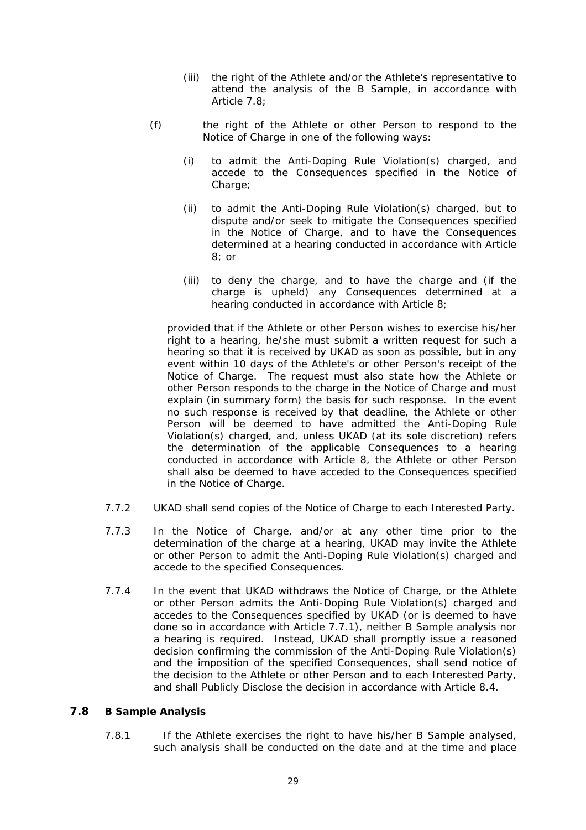- (iii) the right of the Athlete and/or the Athlete's representative to attend the analysis of the B Sample, in accordance with Article [7.8](#page-35-1);
- <span id="page-35-0"></span>(f) the right of the Athlete or other Person to respond to the Notice of Charge in one of the following ways:
	- (i) to admit the Anti-Doping Rule Violation(s) charged, and accede to the Consequences specified in the Notice of Charge;
	- (ii) to admit the Anti-Doping Rule Violation(s) charged, but to dispute and/or seek to mitigate the Consequences specified in the Notice of Charge, and to have the Consequences determined at a hearing conducted in accordance with Article 8; or
	- (iii) to deny the charge, and to have the charge and (if the charge is upheld) any Consequences determined at a hearing conducted in accordance with Article 8;

provided that if the Athlete or other Person wishes to exercise his/her right to a hearing, he/she must submit a written request for such a hearing so that it is received by UKAD as soon as possible, but in any event within 10 days of the Athlete's or other Person's receipt of the Notice of Charge. The request must also state how the Athlete or other Person responds to the charge in the Notice of Charge and must explain (in summary form) the basis for such response. In the event no such response is received by that deadline, the Athlete or other Person will be deemed to have admitted the Anti-Doping Rule Violation(s) charged, and, unless UKAD (at its sole discretion) refers the determination of the applicable Consequences to a hearing conducted in accordance with Article 8, the Athlete or other Person shall also be deemed to have acceded to the Consequences specified in the Notice of Charge.

- 7.7.2 UKAD shall send copies of the Notice of Charge to each Interested Party.
- 7.7.3 In the Notice of Charge, and/or at any other time prior to the determination of the charge at a hearing, UKAD may invite the Athlete or other Person to admit the Anti-Doping Rule Violation(s) charged and accede to the specified Consequences.
- 7.7.4 In the event that UKAD withdraws the Notice of Charge, or the Athlete or other Person admits the Anti-Doping Rule Violation(s) charged and accedes to the Consequences specified by UKAD (or is deemed to have done so in accordance with Article [7.7.1](#page-34-4)), neither B Sample analysis nor a hearing is required. Instead, UKAD shall promptly issue a reasoned decision confirming the commission of the Anti-Doping Rule Violation(s) and the imposition of the specified Consequences, shall send notice of the decision to the Athlete or other Person and to each Interested Party, and shall Publicly Disclose the decision in accordance with Article [8.4](#page-41-1).

### <span id="page-35-1"></span>**7.8 B Sample Analysis**

7.8.1 If the Athlete exercises the right to have his/her B Sample analysed, such analysis shall be conducted on the date and at the time and place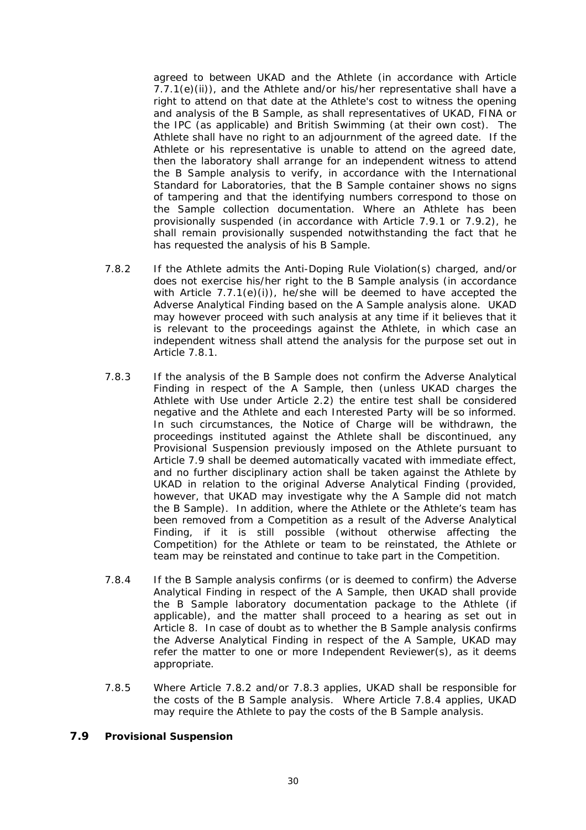<span id="page-36-0"></span>agreed to between UKAD and the Athlete (in accordance with Article 7.7.1(e)(ii)), and the Athlete and/or his/her representative shall have a right to attend on that date at the Athlete's cost to witness the opening and analysis of the B Sample, as shall representatives of UKAD, FINA or the IPC (as applicable) and British Swimming (at their own cost). The Athlete shall have no right to an adjournment of the agreed date. If the Athlete or his representative is unable to attend on the agreed date, then the laboratory shall arrange for an independent witness to attend the B Sample analysis to verify, in accordance with the International Standard for Laboratories, that the B Sample container shows no signs of tampering and that the identifying numbers correspond to those on the Sample collection documentation. Where an Athlete has been provisionally suspended (in accordance with Article 7.9.1 or 7.9.2), he shall remain provisionally suspended notwithstanding the fact that he has requested the analysis of his B Sample.

- <span id="page-36-4"></span>7.8.2 If the Athlete admits the Anti-Doping Rule Violation(s) charged, and/or does not exercise his/her right to the B Sample analysis (in accordance with Article  $7.7.1(e)(i)$  $7.7.1(e)(i)$ , he/she will be deemed to have accepted the Adverse Analytical Finding based on the A Sample analysis alone. UKAD may however proceed with such analysis at any time if it believes that it is relevant to the proceedings against the Athlete, in which case an independent witness shall attend the analysis for the purpose set out in Article [7.8.1.](#page-36-2)
- <span id="page-36-5"></span>7.8.3 If the analysis of the B Sample does not confirm the Adverse Analytical Finding in respect of the A Sample, then (unless UKAD charges the Athlete with Use under Article [2.2\)](#page-14-2) the entire test shall be considered negative and the Athlete and each Interested Party will be so informed. In such circumstances, the Notice of Charge will be withdrawn, the proceedings instituted against the Athlete shall be discontinued, any Provisional Suspension previously imposed on the Athlete pursuant to Article [7.9](#page-36-3) shall be deemed automatically vacated with immediate effect, and no further disciplinary action shall be taken against the Athlete by UKAD in relation to the original Adverse Analytical Finding (provided, however, that UKAD may investigate why the A Sample did not match the B Sample). In addition, where the Athlete or the Athlete's team has been removed from a Competition as a result of the Adverse Analytical Finding, if it is still possible (without otherwise affecting the Competition) for the Athlete or team to be reinstated, the Athlete or team may be reinstated and continue to take part in the Competition.
- <span id="page-36-6"></span>7.8.4 If the B Sample analysis confirms (or is deemed to confirm) the Adverse Analytical Finding in respect of the A Sample, then UKAD shall provide the B Sample laboratory documentation package to the Athlete (if applicable), and the matter shall proceed to a hearing as set out in Article 8. In case of doubt as to whether the B Sample analysis confirms the Adverse Analytical Finding in respect of the A Sample, UKAD may refer the matter to one or more Independent Reviewer(s), as it deems appropriate.
- 7.8.5 Where Article [7.8.2](#page-36-4) and/or [7.8.3](#page-36-5) applies, UKAD shall be responsible for the costs of the B Sample analysis. Where Article [7.8.4](#page-36-6) applies, UKAD may require the Athlete to pay the costs of the B Sample analysis.

### <span id="page-36-3"></span><span id="page-36-2"></span><span id="page-36-1"></span>**7.9 Provisional Suspension**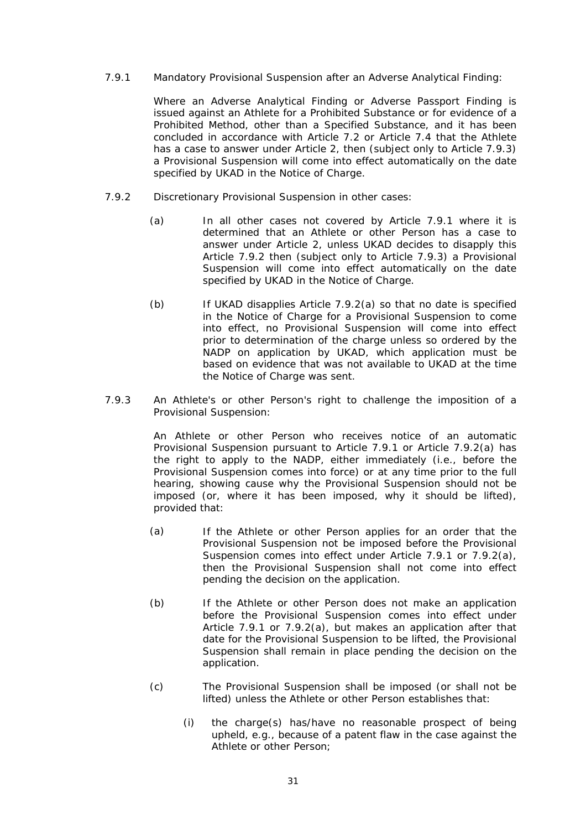### <span id="page-37-0"></span>7.9.1 Mandatory Provisional Suspension after an Adverse Analytical Finding:

Where an Adverse Analytical Finding or Adverse Passport Finding is issued against an Athlete for a Prohibited Substance or for evidence of a Prohibited Method, other than a Specified Substance, and it has been concluded in accordance with Article [7.2](#page-31-1) or Article [7.4](#page-32-1) that the Athlete has a case to answer under Article 2, then (subject only to Article [7.9.3\)](#page-37-2) a Provisional Suspension will come into effect automatically on the date specified by UKAD in the Notice of Charge.

- <span id="page-37-3"></span><span id="page-37-1"></span>7.9.2 Discretionary Provisional Suspension in other cases:
	- (a) In all other cases not covered by Article [7.9.1](#page-37-0) where it is determined that an Athlete or other Person has a case to answer under Article 2, unless UKAD decides to disapply this Article [7.9.2](#page-37-1) then (subject only to Article [7.9.3](#page-37-2)) a Provisional Suspension will come into effect automatically on the date specified by UKAD in the Notice of Charge.
	- (b) If UKAD disapplies Article [7.9.2\(a\)](#page-37-3) so that no date is specified in the Notice of Charge for a Provisional Suspension to come into effect, no Provisional Suspension will come into effect prior to determination of the charge unless so ordered by the NADP on application by UKAD, which application must be based on evidence that was not available to UKAD at the time the Notice of Charge was sent.
- <span id="page-37-2"></span>7.9.3 An Athlete's or other Person's right to challenge the imposition of a Provisional Suspension:

An Athlete or other Person who receives notice of an automatic Provisional Suspension pursuant to Article [7.9.1](#page-37-0) or Article [7.9.2\(a\)](#page-37-3) has the right to apply to the NADP, either immediately (i.e., before the Provisional Suspension comes into force) or at any time prior to the full hearing, showing cause why the Provisional Suspension should not be imposed (or, where it has been imposed, why it should be lifted), provided that:

- (a) If the Athlete or other Person applies for an order that the Provisional Suspension not be imposed before the Provisional Suspension comes into effect under Article [7.9.1](#page-37-0) or [7.9.2\(a\),](#page-37-3) then the Provisional Suspension shall not come into effect pending the decision on the application.
- (b) If the Athlete or other Person does not make an application before the Provisional Suspension comes into effect under Article [7.9.1](#page-37-0) or [7.9.2\(a\),](#page-37-3) but makes an application after that date for the Provisional Suspension to be lifted, the Provisional Suspension shall remain in place pending the decision on the application.
- (c) The Provisional Suspension shall be imposed (or shall not be lifted) unless the Athlete or other Person establishes that:
	- (i) the charge(s) has/have no reasonable prospect of being upheld, e.g., because of a patent flaw in the case against the Athlete or other Person;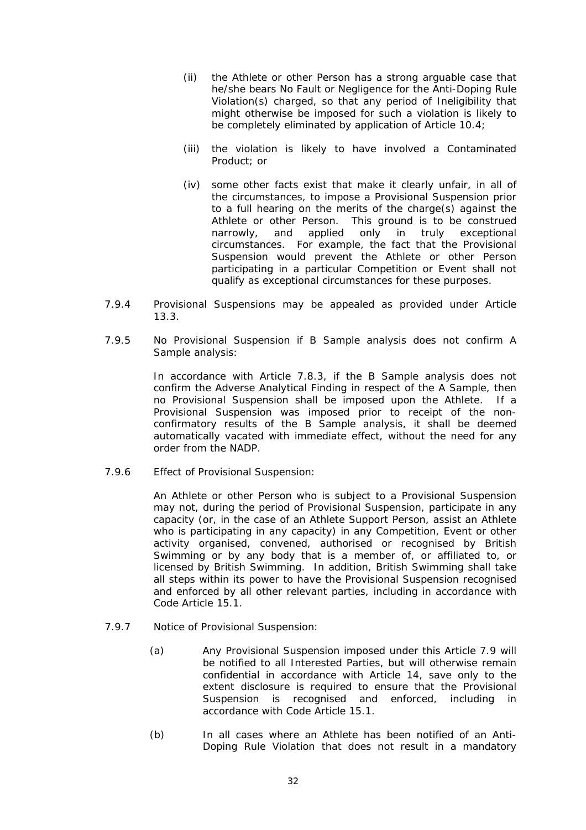- (ii) the Athlete or other Person has a strong arguable case that he/she bears No Fault or Negligence for the Anti-Doping Rule Violation(s) charged, so that any period of Ineligibility that might otherwise be imposed for such a violation is likely to be completely eliminated by application of Article [10.4;](#page-44-1)
- (iii) the violation is likely to have involved a Contaminated Product; or
- (iv) some other facts exist that make it clearly unfair, in all of the circumstances, to impose a Provisional Suspension prior to a full hearing on the merits of the charge(s) against the Athlete or other Person. This ground is to be construed narrowly, and applied only in truly exceptional circumstances. For example, the fact that the Provisional Suspension would prevent the Athlete or other Person participating in a particular Competition or Event shall not qualify as exceptional circumstances for these purposes.
- 7.9.4 Provisional Suspensions may be appealed as provided under Article [13.3.](#page-53-2)
- 7.9.5 No Provisional Suspension if B Sample analysis does not confirm A Sample analysis:

In accordance with Article [7.8.3](#page-36-5), if the B Sample analysis does not confirm the Adverse Analytical Finding in respect of the A Sample, then no Provisional Suspension shall be imposed upon the Athlete. If a Provisional Suspension was imposed prior to receipt of the nonconfirmatory results of the B Sample analysis, it shall be deemed automatically vacated with immediate effect, without the need for any order from the NADP.

7.9.6 Effect of Provisional Suspension:

An Athlete or other Person who is subject to a Provisional Suspension may not, during the period of Provisional Suspension, participate in any capacity (or, in the case of an Athlete Support Person, assist an Athlete who is participating in any capacity) in any Competition, Event or other activity organised, convened, authorised or recognised by British Swimming or by any body that is a member of, or affiliated to, or licensed by British Swimming. In addition, British Swimming shall take all steps within its power to have the Provisional Suspension recognised and enforced by all other relevant parties, including in accordance with Code Article 15.1.

- <span id="page-38-0"></span>7.9.7 Notice of Provisional Suspension:
	- (a) Any Provisional Suspension imposed under this Article [7.9](#page-36-3) will be notified to all Interested Parties, but will otherwise remain confidential in accordance with Article 14, save only to the extent disclosure is required to ensure that the Provisional Suspension is recognised and enforced, including in accordance with Code Article 15.1.
	- (b) In all cases where an Athlete has been notified of an Anti-Doping Rule Violation that does not result in a mandatory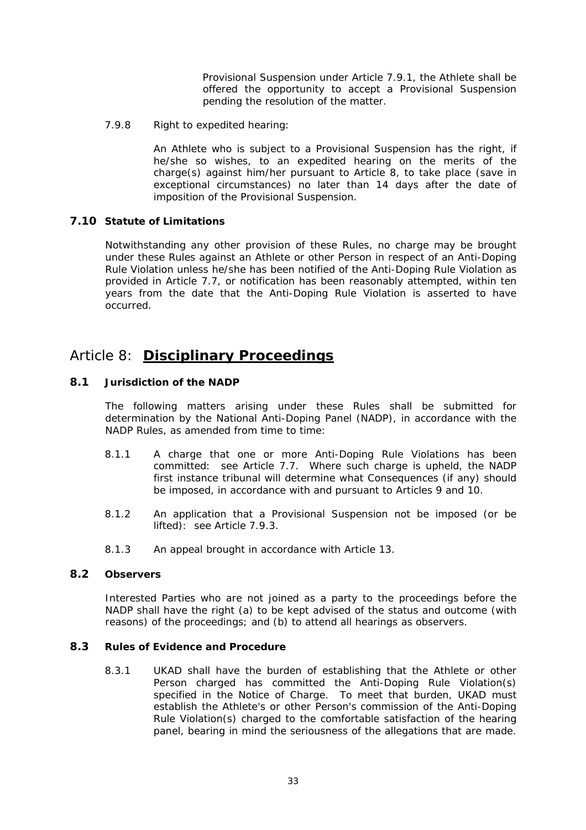Provisional Suspension under Article 7.9.1, the Athlete shall be offered the opportunity to accept a Provisional Suspension pending the resolution of the matter.

<span id="page-39-0"></span>7.9.8 Right to expedited hearing:

An Athlete who is subject to a Provisional Suspension has the right, if he/she so wishes, to an expedited hearing on the merits of the charge(s) against him/her pursuant to Article 8, to take place (save in exceptional circumstances) no later than 14 days after the date of imposition of the Provisional Suspension.

### <span id="page-39-1"></span>**7.10 Statute of Limitations**

Notwithstanding any other provision of these Rules, no charge may be brought under these Rules against an Athlete or other Person in respect of an Anti-Doping Rule Violation unless he/she has been notified of the Anti-Doping Rule Violation as provided in Article [7.7,](#page-34-2) or notification has been reasonably attempted, within ten years from the date that the Anti-Doping Rule Violation is asserted to have occurred.

# Article 8: **Disciplinary Proceedings**

### **8.1 Jurisdiction of the NADP**

The following matters arising under these Rules shall be submitted for determination by the National Anti-Doping Panel (NADP), in accordance with the NADP Rules, as amended from time to time:

- 8.1.1 A charge that one or more Anti-Doping Rule Violations has been committed: see Article [7.7.](#page-34-2) Where such charge is upheld, the NADP first instance tribunal will determine what Consequences (if any) should be imposed, in accordance with and pursuant to Articles 9 and 10.
- 8.1.2 An application that a Provisional Suspension not be imposed (or be lifted): see Article [7.9.3.](#page-37-2)
- 8.1.3 An appeal brought in accordance with Article 13.

### **8.2 Observers**

Interested Parties who are not joined as a party to the proceedings before the NADP shall have the right (a) to be kept advised of the status and outcome (with reasons) of the proceedings; and (b) to attend all hearings as observers.

### **8.3 Rules of Evidence and Procedure**

8.3.1 UKAD shall have the burden of establishing that the Athlete or other Person charged has committed the Anti-Doping Rule Violation(s) specified in the Notice of Charge. To meet that burden, UKAD must establish the Athlete's or other Person's commission of the Anti-Doping Rule Violation(s) charged to the comfortable satisfaction of the hearing panel, bearing in mind the seriousness of the allegations that are made.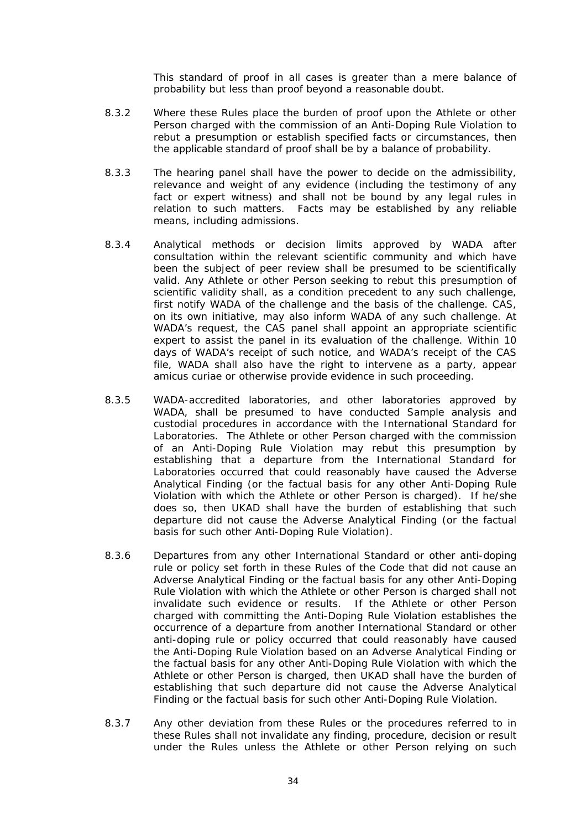This standard of proof in all cases is greater than a mere balance of probability but less than proof beyond a reasonable doubt.

- 8.3.2 Where these Rules place the burden of proof upon the Athlete or other Person charged with the commission of an Anti-Doping Rule Violation to rebut a presumption or establish specified facts or circumstances, then the applicable standard of proof shall be by a balance of probability.
- 8.3.3 The hearing panel shall have the power to decide on the admissibility, relevance and weight of any evidence (including the testimony of any fact or expert witness) and shall not be bound by any legal rules in relation to such matters. Facts may be established by any reliable means, including admissions.
- 8.3.4 Analytical methods or decision limits approved by WADA after consultation within the relevant scientific community and which have been the subject of peer review shall be presumed to be scientifically valid. Any Athlete or other Person seeking to rebut this presumption of scientific validity shall, as a condition precedent to any such challenge, first notify WADA of the challenge and the basis of the challenge. CAS, on its own initiative, may also inform WADA of any such challenge. At WADA's request, the CAS panel shall appoint an appropriate scientific expert to assist the panel in its evaluation of the challenge. Within 10 days of WADA's receipt of such notice, and WADA's receipt of the CAS file, WADA shall also have the right to intervene as a party, appear amicus curiae or otherwise provide evidence in such proceeding.
- 8.3.5 WADA-accredited laboratories, and other laboratories approved by WADA, shall be presumed to have conducted Sample analysis and custodial procedures in accordance with the International Standard for Laboratories. The Athlete or other Person charged with the commission of an Anti-Doping Rule Violation may rebut this presumption by establishing that a departure from the International Standard for Laboratories occurred that could reasonably have caused the Adverse Analytical Finding (or the factual basis for any other Anti-Doping Rule Violation with which the Athlete or other Person is charged). If he/she does so, then UKAD shall have the burden of establishing that such departure did not cause the Adverse Analytical Finding (or the factual basis for such other Anti-Doping Rule Violation).
- 8.3.6 Departures from any other International Standard or other anti-doping rule or policy set forth in these Rules of the Code that did not cause an Adverse Analytical Finding or the factual basis for any other Anti-Doping Rule Violation with which the Athlete or other Person is charged shall not invalidate such evidence or results. If the Athlete or other Person charged with committing the Anti-Doping Rule Violation establishes the occurrence of a departure from another International Standard or other anti-doping rule or policy occurred that could reasonably have caused the Anti-Doping Rule Violation based on an Adverse Analytical Finding or the factual basis for any other Anti-Doping Rule Violation with which the Athlete or other Person is charged, then UKAD shall have the burden of establishing that such departure did not cause the Adverse Analytical Finding or the factual basis for such other Anti-Doping Rule Violation.
- <span id="page-40-0"></span>8.3.7 Any other deviation from these Rules or the procedures referred to in these Rules shall not invalidate any finding, procedure, decision or result under the Rules unless the Athlete or other Person relying on such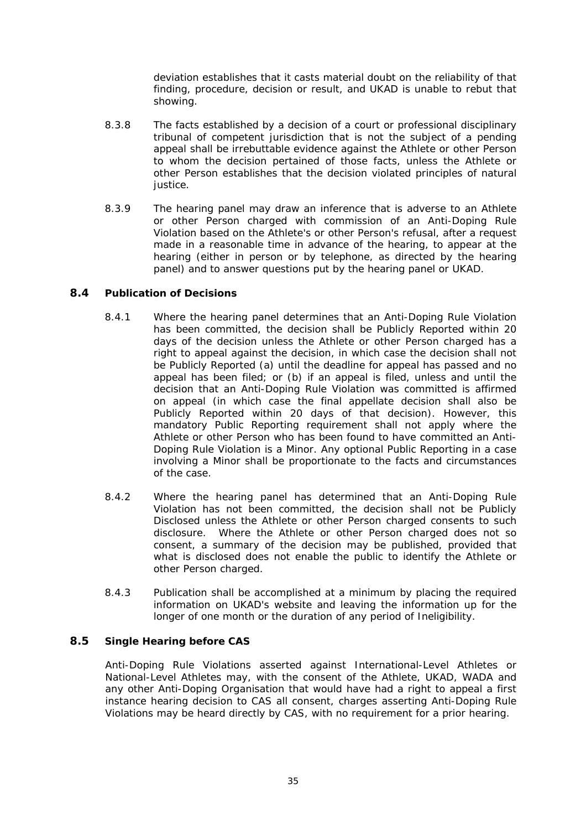deviation establishes that it casts material doubt on the reliability of that finding, procedure, decision or result, and UKAD is unable to rebut that showing.

- <span id="page-41-0"></span>8.3.8 The facts established by a decision of a court or professional disciplinary tribunal of competent jurisdiction that is not the subject of a pending appeal shall be irrebuttable evidence against the Athlete or other Person to whom the decision pertained of those facts, unless the Athlete or other Person establishes that the decision violated principles of natural justice.
- 8.3.9 The hearing panel may draw an inference that is adverse to an Athlete or other Person charged with commission of an Anti-Doping Rule Violation based on the Athlete's or other Person's refusal, after a request made in a reasonable time in advance of the hearing, to appear at the hearing (either in person or by telephone, as directed by the hearing panel) and to answer questions put by the hearing panel or UKAD.

### <span id="page-41-1"></span>**8.4 Publication of Decisions**

- 8.4.1 Where the hearing panel determines that an Anti-Doping Rule Violation has been committed, the decision shall be Publicly Reported within 20 days of the decision unless the Athlete or other Person charged has a right to appeal against the decision, in which case the decision shall not be Publicly Reported (a) until the deadline for appeal has passed and no appeal has been filed; or (b) if an appeal is filed, unless and until the decision that an Anti-Doping Rule Violation was committed is affirmed on appeal (in which case the final appellate decision shall also be Publicly Reported within 20 days of that decision). However, this mandatory Public Reporting requirement shall not apply where the Athlete or other Person who has been found to have committed an Anti-Doping Rule Violation is a Minor. Any optional Public Reporting in a case involving a Minor shall be proportionate to the facts and circumstances of the case.
- 8.4.2 Where the hearing panel has determined that an Anti-Doping Rule Violation has not been committed, the decision shall not be Publicly Disclosed unless the Athlete or other Person charged consents to such disclosure. Where the Athlete or other Person charged does not so consent, a summary of the decision may be published, provided that what is disclosed does not enable the public to identify the Athlete or other Person charged.
- 8.4.3 Publication shall be accomplished at a minimum by placing the required information on UKAD's website and leaving the information up for the longer of one month or the duration of any period of Ineligibility.

### **8.5 Single Hearing before CAS**

Anti-Doping Rule Violations asserted against International-Level Athletes or National-Level Athletes may, with the consent of the Athlete, UKAD, WADA and any other Anti-Doping Organisation that would have had a right to appeal a first instance hearing decision to CAS all consent, charges asserting Anti-Doping Rule Violations may be heard directly by CAS, with no requirement for a prior hearing.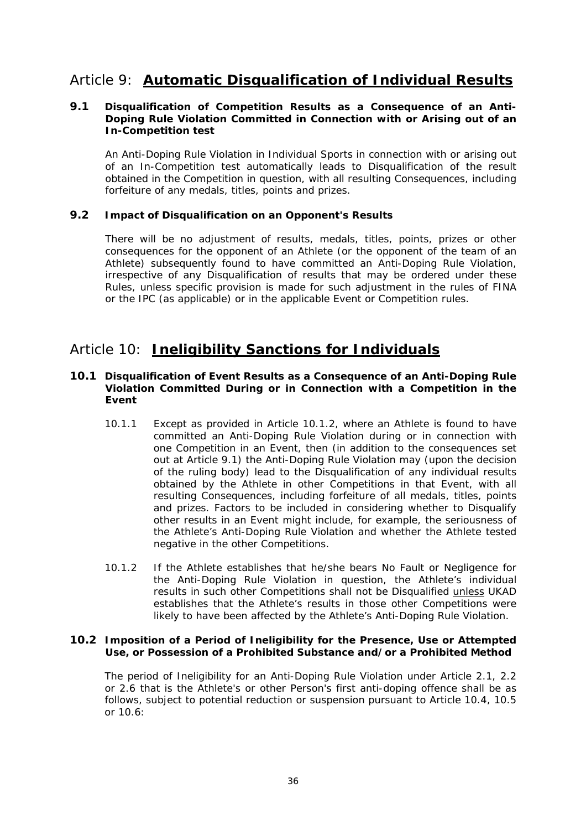# <span id="page-42-0"></span>Article 9: **Automatic Disqualification of Individual Results**

### <span id="page-42-2"></span>**9.1 Disqualification of Competition Results as a Consequence of an Anti-Doping Rule Violation Committed in Connection with or Arising out of an In-Competition test**

An Anti-Doping Rule Violation in Individual Sports in connection with or arising out of an In-Competition test automatically leads to Disqualification of the result obtained in the Competition in question, with all resulting Consequences, including forfeiture of any medals, titles, points and prizes.

### **9.2 Impact of Disqualification on an Opponent's Results**

There will be no adjustment of results, medals, titles, points, prizes or other consequences for the opponent of an Athlete (or the opponent of the team of an Athlete) subsequently found to have committed an Anti-Doping Rule Violation, irrespective of any Disqualification of results that may be ordered under these Rules, unless specific provision is made for such adjustment in the rules of FINA or the IPC (as applicable) or in the applicable Event or Competition rules.

# Article 10: **Ineligibility Sanctions for Individuals**

### <span id="page-42-4"></span>**10.1 Disqualification of Event Results as a Consequence of an Anti-Doping Rule Violation Committed During or in Connection with a Competition in the Event**

- 10.1.1 Except as provided in Article [10.1.2](#page-42-1), where an Athlete is found to have committed an Anti-Doping Rule Violation during or in connection with one Competition in an Event, then (in addition to the consequences set out at Article [9.1](#page-42-2)) the Anti-Doping Rule Violation may (upon the decision of the ruling body) lead to the Disqualification of any individual results obtained by the Athlete in other Competitions in that Event, with all resulting Consequences, including forfeiture of all medals, titles, points and prizes. Factors to be included in considering whether to Disqualify other results in an Event might include, for example, the seriousness of the Athlete's Anti-Doping Rule Violation and whether the Athlete tested negative in the other Competitions.
- 10.1.2 If the Athlete establishes that he/she bears No Fault or Negligence for the Anti-Doping Rule Violation in question, the Athlete's individual results in such other Competitions shall not be Disqualified unless UKAD establishes that the Athlete's results in those other Competitions were likely to have been affected by the Athlete's Anti-Doping Rule Violation.

### <span id="page-42-3"></span><span id="page-42-1"></span>**10.2 Imposition of a Period of Ineligibility for the Presence, Use or Attempted Use, or Possession of a Prohibited Substance and/or a Prohibited Method**

The period of Ineligibility for an Anti-Doping Rule Violation under Article [2.1,](#page-13-1) [2.2](#page-14-2) or [2.6](#page-15-3) that is the Athlete's or other Person's first anti-doping offence shall be as follows, subject to potential reduction or suspension pursuant to Article [10.4](#page-44-1), [10.5](#page-44-2) or [10.6:](#page-45-1)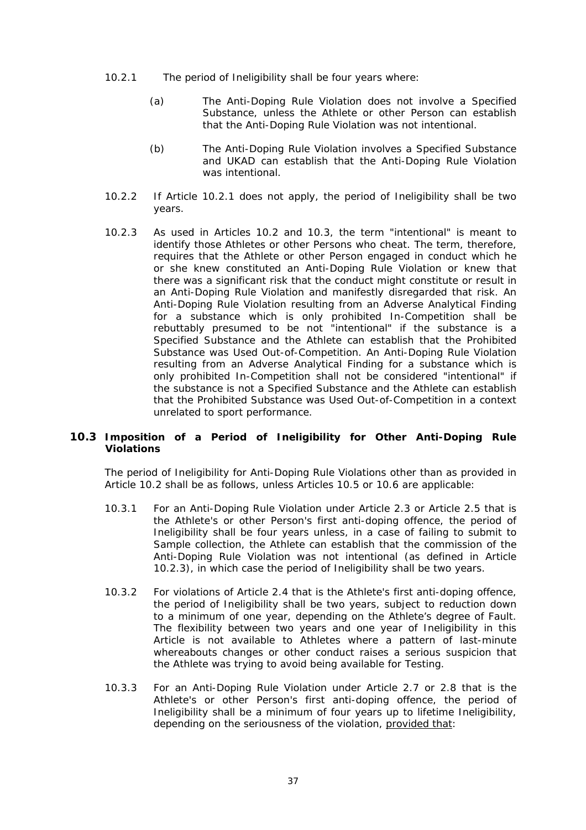- <span id="page-43-1"></span><span id="page-43-0"></span>10.2.1 The period of Ineligibility shall be four years where:
	- (a) The Anti-Doping Rule Violation does not involve a Specified Substance, unless the Athlete or other Person can establish that the Anti-Doping Rule Violation was not intentional.
	- (b) The Anti-Doping Rule Violation involves a Specified Substance and UKAD can establish that the Anti-Doping Rule Violation was intentional.
- 10.2.2 If Article [10.2.1](#page-43-1) does not apply, the period of Ineligibility shall be two years.
- <span id="page-43-3"></span>10.2.3 As used in Articles [10.2](#page-42-3) and [10.3](#page-43-2), the term "intentional" is meant to identify those Athletes or other Persons who cheat. The term, therefore, requires that the Athlete or other Person engaged in conduct which he or she knew constituted an Anti-Doping Rule Violation or knew that there was a significant risk that the conduct might constitute or result in an Anti-Doping Rule Violation and manifestly disregarded that risk. An Anti-Doping Rule Violation resulting from an Adverse Analytical Finding for a substance which is only prohibited In-Competition shall be rebuttably presumed to be not "intentional" if the substance is a Specified Substance and the Athlete can establish that the Prohibited Substance was Used Out-of-Competition. An Anti-Doping Rule Violation resulting from an Adverse Analytical Finding for a substance which is only prohibited In-Competition shall not be considered "intentional" if the substance is not a Specified Substance and the Athlete can establish that the Prohibited Substance was Used Out-of-Competition in a context unrelated to sport performance.

### <span id="page-43-4"></span><span id="page-43-2"></span>**10.3 Imposition of a Period of Ineligibility for Other Anti-Doping Rule Violations**

The period of Ineligibility for Anti-Doping Rule Violations other than as provided in Article [10.2](#page-42-3) shall be as follows, unless Articles [10.5](#page-44-2) or [10.6](#page-45-2) are applicable:

- 10.3.1 For an Anti-Doping Rule Violation under Article [2.3](#page-14-4) or Article [2.5](#page-15-2) that is the Athlete's or other Person's first anti-doping offence, the period of Ineligibility shall be four years unless, in a case of failing to submit to Sample collection, the Athlete can establish that the commission of the Anti-Doping Rule Violation was not intentional (as defined in Article [10.2.3\)](#page-43-3), in which case the period of Ineligibility shall be two years.
- 10.3.2 For violations of Article [2.4](#page-14-3) that is the Athlete's first anti-doping offence, the period of Ineligibility shall be two years, subject to reduction down to a minimum of one year, depending on the Athlete's degree of Fault. The flexibility between two years and one year of Ineligibility in this Article is not available to Athletes where a pattern of last-minute whereabouts changes or other conduct raises a serious suspicion that the Athlete was trying to avoid being available for Testing.
- 10.3.3 For an Anti-Doping Rule Violation under Article [2.7](#page-15-4) or [2.8](#page-15-5) that is the Athlete's or other Person's first anti-doping offence, the period of Ineligibility shall be a minimum of four years up to lifetime Ineligibility, depending on the seriousness of the violation, provided that: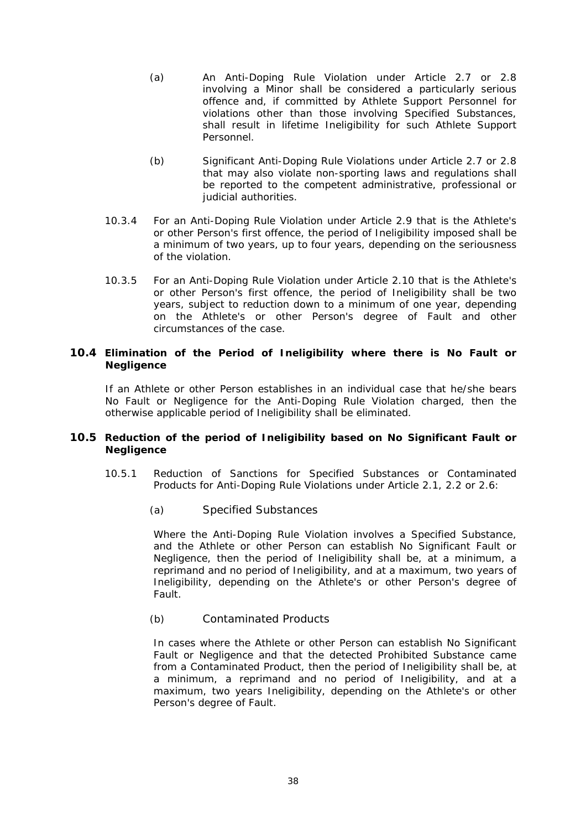- <span id="page-44-0"></span>(a) An Anti-Doping Rule Violation under Article [2.7](#page-15-4) or [2.8](#page-15-5) involving a Minor shall be considered a particularly serious offence and, if committed by Athlete Support Personnel for violations other than those involving Specified Substances, shall result in lifetime Ineligibility for such Athlete Support Personnel.
- (b) Significant Anti-Doping Rule Violations under Article [2.7](#page-15-4) or [2.8](#page-15-5) that may also violate non-sporting laws and regulations shall be reported to the competent administrative, professional or iudicial authorities.
- 10.3.4 For an Anti-Doping Rule Violation under Article [2.9](#page-15-6) that is the Athlete's or other Person's first offence, the period of Ineligibility imposed shall be a minimum of two years, up to four years, depending on the seriousness of the violation.
- 10.3.5 For an Anti-Doping Rule Violation under Article [2.10](#page-15-1) that is the Athlete's or other Person's first offence, the period of Ineligibility shall be two years, subject to reduction down to a minimum of one year, depending on the Athlete's or other Person's degree of Fault and other circumstances of the case.

### <span id="page-44-1"></span>**10.4 Elimination of the Period of Ineligibility where there is No Fault or Negligence**

If an Athlete or other Person establishes in an individual case that he/she bears No Fault or Negligence for the Anti-Doping Rule Violation charged, then the otherwise applicable period of Ineligibility shall be eliminated.

### <span id="page-44-3"></span><span id="page-44-2"></span>**10.5 Reduction of the period of Ineligibility based on No Significant Fault or Negligence**

- 10.5.1 Reduction of Sanctions for Specified Substances or Contaminated Products for Anti-Doping Rule Violations under Article [2.1](#page-13-1), [2.2](#page-14-2) or [2.6:](#page-15-3)
	- (a) Specified Substances

Where the Anti-Doping Rule Violation involves a Specified Substance, and the Athlete or other Person can establish No Significant Fault or Negligence, then the period of Ineligibility shall be, at a minimum, a reprimand and no period of Ineligibility, and at a maximum, two years of Ineligibility, depending on the Athlete's or other Person's degree of Fault.

#### (b) Contaminated Products

In cases where the Athlete or other Person can establish No Significant Fault or Negligence and that the detected Prohibited Substance came from a Contaminated Product, then the period of Ineligibility shall be, at a minimum, a reprimand and no period of Ineligibility, and at a maximum, two years Ineligibility, depending on the Athlete's or other Person's degree of Fault.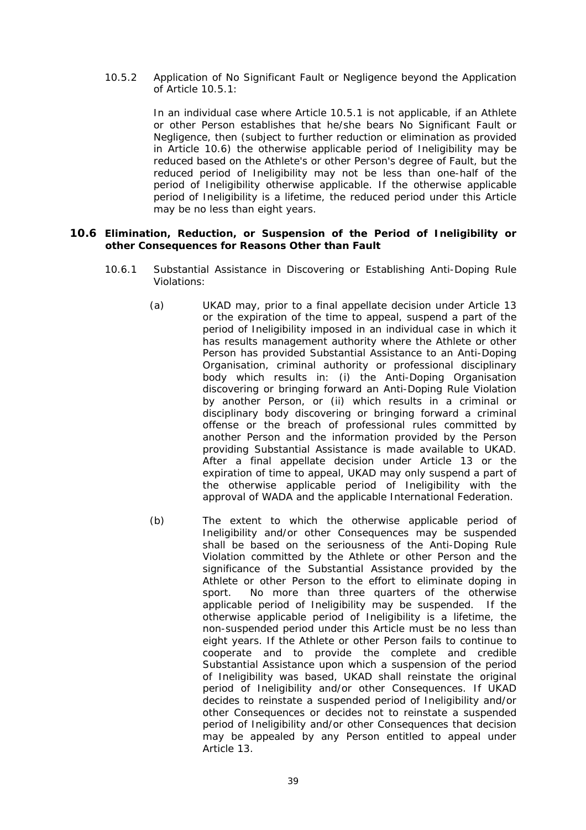<span id="page-45-5"></span><span id="page-45-0"></span>10.5.2 Application of No Significant Fault or Negligence beyond the Application of Article [10.5.1](#page-44-3):

> In an individual case where Article [10.5.1](#page-44-3) is not applicable, if an Athlete or other Person establishes that he/she bears No Significant Fault or Negligence, then (subject to further reduction or elimination as provided in Article [10.6\)](#page-45-2) the otherwise applicable period of Ineligibility may be reduced based on the Athlete's or other Person's degree of Fault, but the reduced period of Ineligibility may not be less than one-half of the period of Ineligibility otherwise applicable. If the otherwise applicable period of Ineligibility is a lifetime, the reduced period under this Article may be no less than eight years.

### <span id="page-45-4"></span><span id="page-45-3"></span><span id="page-45-2"></span><span id="page-45-1"></span>**10.6 Elimination, Reduction, or Suspension of the Period of Ineligibility or other Consequences for Reasons Other than Fault**

- 10.6.1 Substantial Assistance in Discovering or Establishing Anti-Doping Rule Violations:
	- (a) UKAD may, prior to a final appellate decision under Article 13 or the expiration of the time to appeal, suspend a part of the period of Ineligibility imposed in an individual case in which it has results management authority where the Athlete or other Person has provided Substantial Assistance to an Anti-Doping Organisation, criminal authority or professional disciplinary body which results in: (i) the Anti-Doping Organisation discovering or bringing forward an Anti-Doping Rule Violation by another Person, or (ii) which results in a criminal or disciplinary body discovering or bringing forward a criminal offense or the breach of professional rules committed by another Person and the information provided by the Person providing Substantial Assistance is made available to UKAD. After a final appellate decision under Article 13 or the expiration of time to appeal, UKAD may only suspend a part of the otherwise applicable period of Ineligibility with the approval of WADA and the applicable International Federation.
	- (b) The extent to which the otherwise applicable period of Ineligibility and/or other Consequences may be suspended shall be based on the seriousness of the Anti-Doping Rule Violation committed by the Athlete or other Person and the significance of the Substantial Assistance provided by the Athlete or other Person to the effort to eliminate doping in sport. No more than three quarters of the otherwise applicable period of Ineligibility may be suspended. If the otherwise applicable period of Ineligibility is a lifetime, the non-suspended period under this Article must be no less than eight years. If the Athlete or other Person fails to continue to cooperate and to provide the complete and credible Substantial Assistance upon which a suspension of the period of Ineligibility was based, UKAD shall reinstate the original period of Ineligibility and/or other Consequences. If UKAD decides to reinstate a suspended period of Ineligibility and/or other Consequences or decides not to reinstate a suspended period of Ineligibility and/or other Consequences that decision may be appealed by any Person entitled to appeal under Article 13.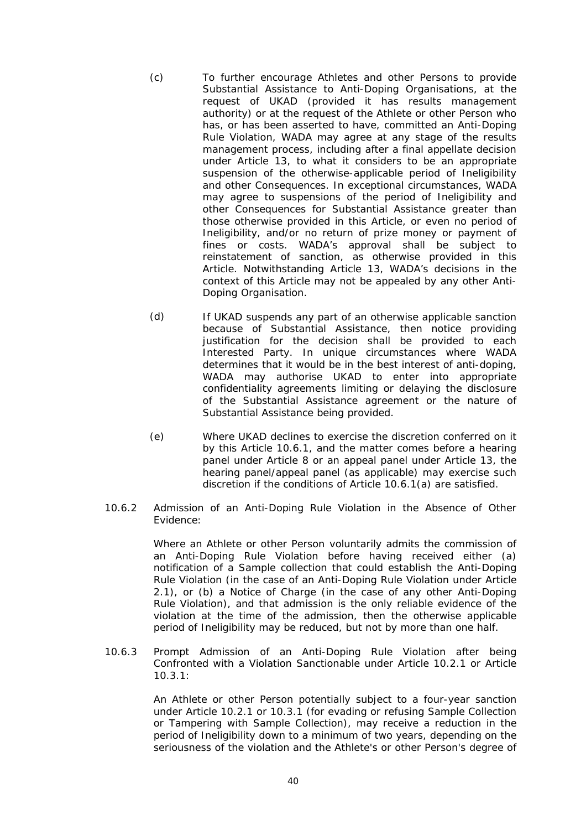- (c) To further encourage Athletes and other Persons to provide Substantial Assistance to Anti-Doping Organisations, at the request of UKAD (provided it has results management authority) or at the request of the Athlete or other Person who has, or has been asserted to have, committed an Anti-Doping Rule Violation, WADA may agree at any stage of the results management process, including after a final appellate decision under Article 13, to what it considers to be an appropriate suspension of the otherwise-applicable period of Ineligibility and other Consequences. In exceptional circumstances, WADA may agree to suspensions of the period of Ineligibility and other Consequences for Substantial Assistance greater than those otherwise provided in this Article, or even no period of Ineligibility, and/or no return of prize money or payment of fines or costs. WADA's approval shall be subject to reinstatement of sanction, as otherwise provided in this Article. Notwithstanding Article 13, WADA's decisions in the context of this Article may not be appealed by any other Anti-Doping Organisation.
- (d) If UKAD suspends any part of an otherwise applicable sanction because of Substantial Assistance, then notice providing justification for the decision shall be provided to each Interested Party. In unique circumstances where WADA determines that it would be in the best interest of anti-doping, WADA may authorise UKAD to enter into appropriate confidentiality agreements limiting or delaying the disclosure of the Substantial Assistance agreement or the nature of Substantial Assistance being provided.
- (e) Where UKAD declines to exercise the discretion conferred on it by this Article [10.6.1,](#page-45-3) and the matter comes before a hearing panel under Article 8 or an appeal panel under Article 13, the hearing panel/appeal panel (as applicable) may exercise such discretion if the conditions of Article [10.6.1\(a\)](#page-45-4) are satisfied.
- 10.6.2 Admission of an Anti-Doping Rule Violation in the Absence of Other Evidence:

Where an Athlete or other Person voluntarily admits the commission of an Anti-Doping Rule Violation before having received either (a) notification of a Sample collection that could establish the Anti-Doping Rule Violation (in the case of an Anti-Doping Rule Violation under Article [2.1](#page-13-1)), or (b) a Notice of Charge (in the case of any other Anti-Doping Rule Violation), and that admission is the only reliable evidence of the violation at the time of the admission, then the otherwise applicable period of Ineligibility may be reduced, but not by more than one half.

<span id="page-46-0"></span>10.6.3 Prompt Admission of an Anti-Doping Rule Violation after being Confronted with a Violation Sanctionable under Article [10.2.1](#page-43-1) or Article  $10.3.1<sup>1</sup>$ 

> An Athlete or other Person potentially subject to a four-year sanction under Article [10.2.1](#page-43-1) or [10.3.1](#page-43-4) (for evading or refusing Sample Collection or Tampering with Sample Collection), may receive a reduction in the period of Ineligibility down to a minimum of two years, depending on the seriousness of the violation and the Athlete's or other Person's degree of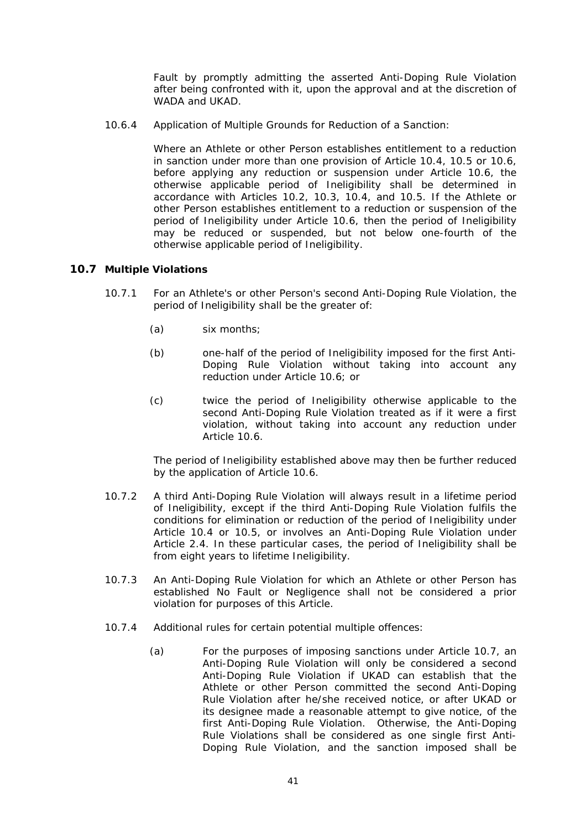Fault by promptly admitting the asserted Anti-Doping Rule Violation after being confronted with it, upon the approval and at the discretion of WADA and UKAD.

<span id="page-47-0"></span>10.6.4 Application of Multiple Grounds for Reduction of a Sanction:

Where an Athlete or other Person establishes entitlement to a reduction in sanction under more than one provision of Article [10.4](#page-44-1), [10.5](#page-44-2) or [10.6,](#page-45-2) before applying any reduction or suspension under Article [10.6,](#page-45-2) the otherwise applicable period of Ineligibility shall be determined in accordance with Articles [10.2,](#page-42-3) [10.3,](#page-43-2) [10.4](#page-44-1), and [10.5](#page-44-2). If the Athlete or other Person establishes entitlement to a reduction or suspension of the period of Ineligibility under Article [10.6,](#page-45-2) then the period of Ineligibility may be reduced or suspended, but not below one-fourth of the otherwise applicable period of Ineligibility.

### <span id="page-47-1"></span>**10.7 Multiple Violations**

- 10.7.1 For an Athlete's or other Person's second Anti-Doping Rule Violation, the period of Ineligibility shall be the greater of:
	- (a) six months;
	- (b) one-half of the period of Ineligibility imposed for the first Anti-Doping Rule Violation without taking into account any reduction under Article [10.6](#page-45-2); or
	- (c) twice the period of Ineligibility otherwise applicable to the second Anti-Doping Rule Violation treated as if it were a first violation, without taking into account any reduction under Article [10.6.](#page-45-2)

The period of Ineligibility established above may then be further reduced by the application of Article [10.6](#page-45-2).

- 10.7.2 A third Anti-Doping Rule Violation will always result in a lifetime period of Ineligibility, except if the third Anti-Doping Rule Violation fulfils the conditions for elimination or reduction of the period of Ineligibility under Article [10.4](#page-44-1) or [10.5](#page-44-2), or involves an Anti-Doping Rule Violation under Article [2.4.](#page-14-3) In these particular cases, the period of Ineligibility shall be from eight years to lifetime Ineligibility.
- 10.7.3 An Anti-Doping Rule Violation for which an Athlete or other Person has established No Fault or Negligence shall not be considered a prior violation for purposes of this Article.
- 10.7.4 Additional rules for certain potential multiple offences:
	- (a) For the purposes of imposing sanctions under Article [10.7](#page-47-1), an Anti-Doping Rule Violation will only be considered a second Anti-Doping Rule Violation if UKAD can establish that the Athlete or other Person committed the second Anti-Doping Rule Violation after he/she received notice, or after UKAD or its designee made a reasonable attempt to give notice, of the first Anti-Doping Rule Violation. Otherwise, the Anti-Doping Rule Violations shall be considered as one single first Anti-Doping Rule Violation, and the sanction imposed shall be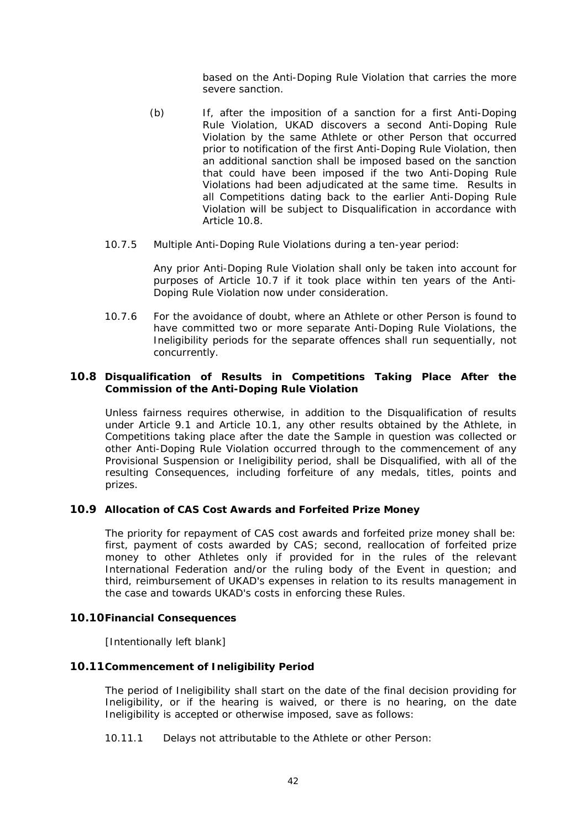based on the Anti-Doping Rule Violation that carries the more severe sanction.

- <span id="page-48-0"></span>(b) If, after the imposition of a sanction for a first Anti-Doping Rule Violation, UKAD discovers a second Anti-Doping Rule Violation by the same Athlete or other Person that occurred prior to notification of the first Anti-Doping Rule Violation, then an additional sanction shall be imposed based on the sanction that could have been imposed if the two Anti-Doping Rule Violations had been adjudicated at the same time. Results in all Competitions dating back to the earlier Anti-Doping Rule Violation will be subject to Disqualification in accordance with Article [10.8.](#page-48-2)
- <span id="page-48-1"></span>10.7.5 Multiple Anti-Doping Rule Violations during a ten-year period:

Any prior Anti-Doping Rule Violation shall only be taken into account for purposes of Article [10.7](#page-47-1) if it took place within ten years of the Anti-Doping Rule Violation now under consideration.

10.7.6 For the avoidance of doubt, where an Athlete or other Person is found to have committed two or more separate Anti-Doping Rule Violations, the Ineligibility periods for the separate offences shall run sequentially, not concurrently.

### <span id="page-48-2"></span>**10.8 Disqualification of Results in Competitions Taking Place After the Commission of the Anti-Doping Rule Violation**

Unless fairness requires otherwise, in addition to the Disqualification of results under Article [9.1](#page-42-2) and Article [10.1](#page-42-4), any other results obtained by the Athlete, in Competitions taking place after the date the Sample in question was collected or other Anti-Doping Rule Violation occurred through to the commencement of any Provisional Suspension or Ineligibility period, shall be Disqualified, with all of the resulting Consequences, including forfeiture of any medals, titles, points and prizes.

### **10.9 Allocation of CAS Cost Awards and Forfeited Prize Money**

The priority for repayment of CAS cost awards and forfeited prize money shall be: first, payment of costs awarded by CAS; second, reallocation of forfeited prize money to other Athletes only if provided for in the rules of the relevant International Federation and/or the ruling body of the Event in question; and third, reimbursement of UKAD's expenses in relation to its results management in the case and towards UKAD's costs in enforcing these Rules.

### **10.10Financial Consequences**

[Intentionally left blank]

### **10.11Commencement of Ineligibility Period**

The period of Ineligibility shall start on the date of the final decision providing for Ineligibility, or if the hearing is waived, or there is no hearing, on the date Ineligibility is accepted or otherwise imposed, save as follows:

10.11.1 Delays not attributable to the Athlete or other Person: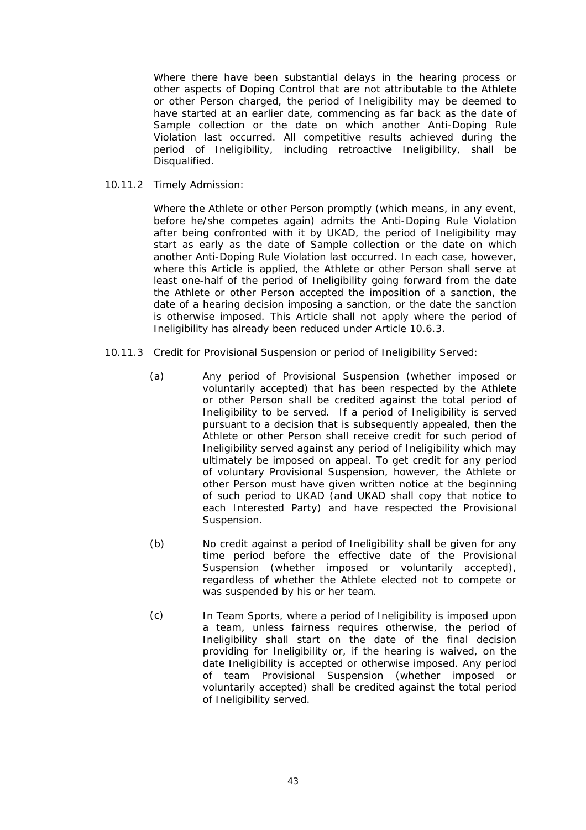Where there have been substantial delays in the hearing process or other aspects of Doping Control that are not attributable to the Athlete or other Person charged, the period of Ineligibility may be deemed to have started at an earlier date, commencing as far back as the date of Sample collection or the date on which another Anti-Doping Rule Violation last occurred. All competitive results achieved during the period of Ineligibility, including retroactive Ineligibility, shall be Disqualified.

10.11.2 Timely Admission:

Where the Athlete or other Person promptly (which means, in any event, before he/she competes again) admits the Anti-Doping Rule Violation after being confronted with it by UKAD, the period of Ineligibility may start as early as the date of Sample collection or the date on which another Anti-Doping Rule Violation last occurred. In each case, however, where this Article is applied, the Athlete or other Person shall serve at least one-half of the period of Ineligibility going forward from the date the Athlete or other Person accepted the imposition of a sanction, the date of a hearing decision imposing a sanction, or the date the sanction is otherwise imposed. This Article shall not apply where the period of Ineligibility has already been reduced under Article [10.6.3.](#page-46-0)

- 10.11.3 Credit for Provisional Suspension or period of Ineligibility Served:
	- (a) Any period of Provisional Suspension (whether imposed or voluntarily accepted) that has been respected by the Athlete or other Person shall be credited against the total period of Ineligibility to be served. If a period of Ineligibility is served pursuant to a decision that is subsequently appealed, then the Athlete or other Person shall receive credit for such period of Ineligibility served against any period of Ineligibility which may ultimately be imposed on appeal. To get credit for any period of voluntary Provisional Suspension, however, the Athlete or other Person must have given written notice at the beginning of such period to UKAD (and UKAD shall copy that notice to each Interested Party) and have respected the Provisional Suspension.
	- (b) No credit against a period of Ineligibility shall be given for any time period before the effective date of the Provisional Suspension (whether imposed or voluntarily accepted), regardless of whether the Athlete elected not to compete or was suspended by his or her team.
	- (c) In Team Sports, where a period of Ineligibility is imposed upon a team, unless fairness requires otherwise, the period of Ineligibility shall start on the date of the final decision providing for Ineligibility or, if the hearing is waived, on the date Ineligibility is accepted or otherwise imposed. Any period of team Provisional Suspension (whether imposed or voluntarily accepted) shall be credited against the total period of Ineligibility served.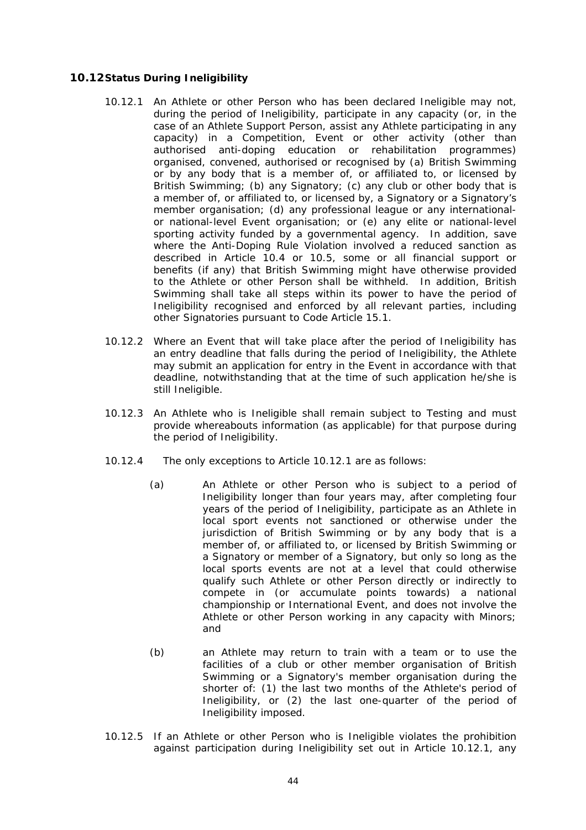### <span id="page-50-1"></span><span id="page-50-0"></span>**10.12Status During Ineligibility**

- 10.12.1 An Athlete or other Person who has been declared Ineligible may not, during the period of Ineligibility, participate in any capacity (or, in the case of an Athlete Support Person, assist any Athlete participating in any capacity) in a Competition, Event or other activity (other than authorised anti-doping education or rehabilitation programmes) organised, convened, authorised or recognised by (a) British Swimming or by any body that is a member of, or affiliated to, or licensed by British Swimming; (b) any Signatory; (c) any club or other body that is a member of, or affiliated to, or licensed by, a Signatory or a Signatory's member organisation; (d) any professional league or any internationalor national-level Event organisation; or (e) any elite or national-level sporting activity funded by a governmental agency. In addition, save where the Anti-Doping Rule Violation involved a reduced sanction as described in Article [10.4](#page-44-1) or [10.5](#page-44-2), some or all financial support or benefits (if any) that British Swimming might have otherwise provided to the Athlete or other Person shall be withheld. In addition, British Swimming shall take all steps within its power to have the period of Ineligibility recognised and enforced by all relevant parties, including other Signatories pursuant to Code Article 15.1.
- 10.12.2 Where an Event that will take place after the period of Ineligibility has an entry deadline that falls during the period of Ineligibility, the Athlete may submit an application for entry in the Event in accordance with that deadline, notwithstanding that at the time of such application he/she is still Ineligible.
- <span id="page-50-2"></span>10.12.3 An Athlete who is Ineligible shall remain subject to Testing and must provide whereabouts information (as applicable) for that purpose during the period of Ineligibility.
- 10.12.4 The only exceptions to Article [10.12.1](#page-50-1) are as follows:
	- (a) An Athlete or other Person who is subject to a period of Ineligibility longer than four years may, after completing four years of the period of Ineligibility, participate as an Athlete in local sport events not sanctioned or otherwise under the jurisdiction of British Swimming or by any body that is a member of, or affiliated to, or licensed by British Swimming or a Signatory or member of a Signatory, but only so long as the local sports events are not at a level that could otherwise qualify such Athlete or other Person directly or indirectly to compete in (or accumulate points towards) a national championship or International Event, and does not involve the Athlete or other Person working in any capacity with Minors; and
	- (b) an Athlete may return to train with a team or to use the facilities of a club or other member organisation of British Swimming or a Signatory's member organisation during the shorter of: (1) the last two months of the Athlete's period of Ineligibility, or (2) the last one-quarter of the period of Ineligibility imposed.
- 10.12.5 If an Athlete or other Person who is Ineligible violates the prohibition against participation during Ineligibility set out in Article [10.12.1](#page-50-1), any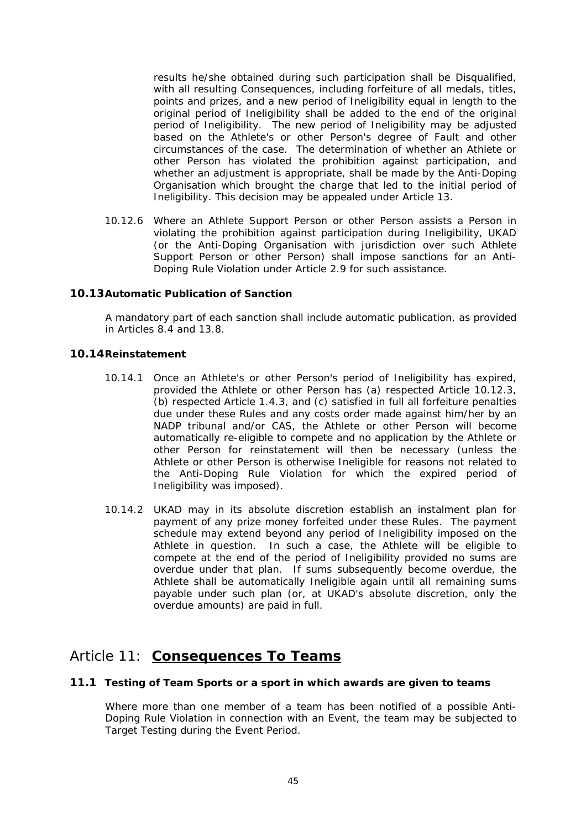<span id="page-51-0"></span>results he/she obtained during such participation shall be Disqualified, with all resulting Consequences, including forfeiture of all medals, titles, points and prizes, and a new period of Ineligibility equal in length to the original period of Ineligibility shall be added to the end of the original period of Ineligibility. The new period of Ineligibility may be adjusted based on the Athlete's or other Person's degree of Fault and other circumstances of the case. The determination of whether an Athlete or other Person has violated the prohibition against participation, and whether an adjustment is appropriate, shall be made by the Anti-Doping Organisation which brought the charge that led to the initial period of Ineligibility. This decision may be appealed under Article 13.

10.12.6 Where an Athlete Support Person or other Person assists a Person in violating the prohibition against participation during Ineligibility, UKAD (or the Anti-Doping Organisation with jurisdiction over such Athlete Support Person or other Person) shall impose sanctions for an Anti-Doping Rule Violation under Article [2.9](#page-15-6) for such assistance.

### **10.13Automatic Publication of Sanction**

A mandatory part of each sanction shall include automatic publication, as provided in Articles [8.4](#page-41-1) and [13.8.](#page-56-1)

### **10.14Reinstatement**

- 10.14.1 Once an Athlete's or other Person's period of Ineligibility has expired, provided the Athlete or other Person has (a) respected Article [10.12.3,](#page-50-2) (b) respected Article [1.4.3](#page-11-1), and (c) satisfied in full all forfeiture penalties due under these Rules and any costs order made against him/her by an NADP tribunal and/or CAS, the Athlete or other Person will become automatically re-eligible to compete and no application by the Athlete or other Person for reinstatement will then be necessary (unless the Athlete or other Person is otherwise Ineligible for reasons not related to the Anti-Doping Rule Violation for which the expired period of Ineligibility was imposed).
- 10.14.2 UKAD may in its absolute discretion establish an instalment plan for payment of any prize money forfeited under these Rules. The payment schedule may extend beyond any period of Ineligibility imposed on the Athlete in question. In such a case, the Athlete will be eligible to compete at the end of the period of Ineligibility provided no sums are overdue under that plan. If sums subsequently become overdue, the Athlete shall be automatically Ineligible again until all remaining sums payable under such plan (or, at UKAD's absolute discretion, only the overdue amounts) are paid in full.

### Article 11: **Consequences To Teams**

### <span id="page-51-1"></span>**11.1 Testing of Team Sports or a sport in which awards are given to teams**

Where more than one member of a team has been notified of a possible Anti-Doping Rule Violation in connection with an Event, the team may be subjected to Target Testing during the Event Period.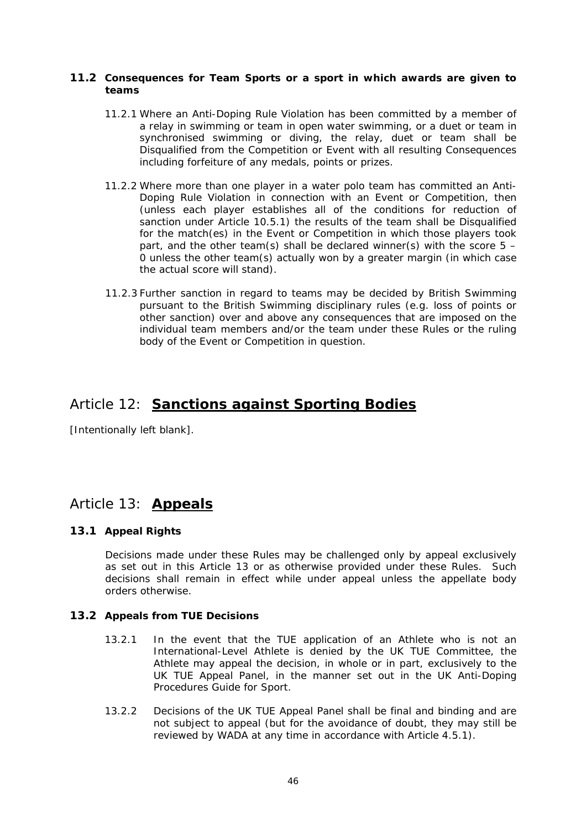### <span id="page-52-0"></span>**11.2 Consequences for Team Sports or a sport in which awards are given to teams**

- 11.2.1 Where an Anti-Doping Rule Violation has been committed by a member of a relay in swimming or team in open water swimming, or a duet or team in synchronised swimming or diving, the relay, duet or team shall be Disqualified from the Competition or Event with all resulting Consequences including forfeiture of any medals, points or prizes.
- 11.2.2 Where more than one player in a water polo team has committed an Anti-Doping Rule Violation in connection with an Event or Competition, then (unless each player establishes all of the conditions for reduction of sanction under Article 10.5.1) the results of the team shall be Disqualified for the match(es) in the Event or Competition in which those players took part, and the other team(s) shall be declared winner(s) with the score  $5 -$ 0 unless the other team(s) actually won by a greater margin (in which case the actual score will stand).
- 11.2.3 Further sanction in regard to teams may be decided by British Swimming pursuant to the British Swimming disciplinary rules (e.g. loss of points or other sanction) over and above any consequences that are imposed on the individual team members and/or the team under these Rules or the ruling body of the Event or Competition in question.

# Article 12: **Sanctions against Sporting Bodies**

[Intentionally left blank].

# Article 13: **Appeals**

### **13.1 Appeal Rights**

Decisions made under these Rules may be challenged only by appeal exclusively as set out in this Article 13 or as otherwise provided under these Rules. Such decisions shall remain in effect while under appeal unless the appellate body orders otherwise.

### <span id="page-52-1"></span>**13.2 Appeals from TUE Decisions**

- 13.2.1 In the event that the TUE application of an Athlete who is not an International-Level Athlete is denied by the UK TUE Committee, the Athlete may appeal the decision, in whole or in part, exclusively to the UK TUE Appeal Panel, in the manner set out in the UK Anti-Doping Procedures Guide for Sport.
- 13.2.2 Decisions of the UK TUE Appeal Panel shall be final and binding and are not subject to appeal (but for the avoidance of doubt, they may still be reviewed by WADA at any time in accordance with Article [4.5.1](#page-22-3)).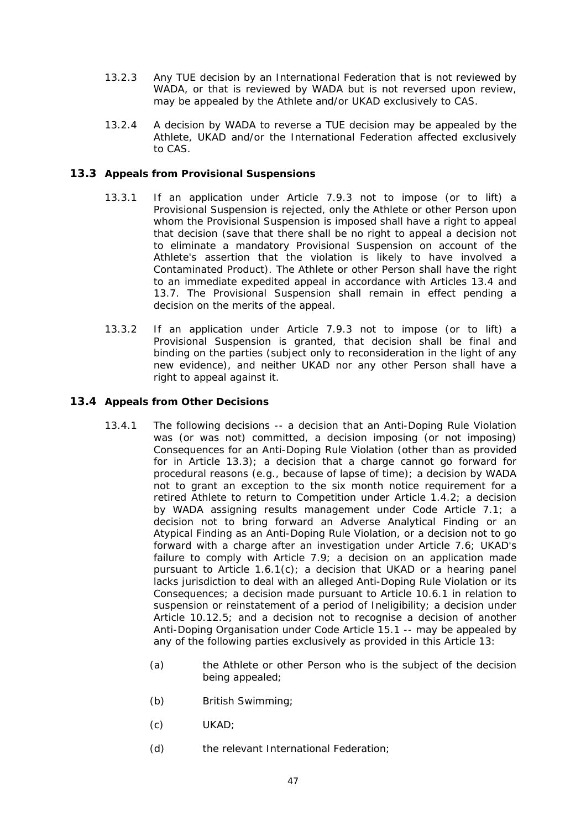- <span id="page-53-0"></span>13.2.3 Any TUE decision by an International Federation that is not reviewed by WADA, or that is reviewed by WADA but is not reversed upon review, may be appealed by the Athlete and/or UKAD exclusively to CAS.
- 13.2.4 A decision by WADA to reverse a TUE decision may be appealed by the Athlete, UKAD and/or the International Federation affected exclusively to CAS.

### <span id="page-53-2"></span>**13.3 Appeals from Provisional Suspensions**

- 13.3.1 If an application under Article [7.9.3](#page-37-2) not to impose (or to lift) a Provisional Suspension is rejected, only the Athlete or other Person upon whom the Provisional Suspension is imposed shall have a right to appeal that decision (save that there shall be no right to appeal a decision not to eliminate a mandatory Provisional Suspension on account of the Athlete's assertion that the violation is likely to have involved a Contaminated Product). The Athlete or other Person shall have the right to an immediate expedited appeal in accordance with Articles [13.4](#page-53-1) and [13.7.](#page-55-1) The Provisional Suspension shall remain in effect pending a decision on the merits of the appeal.
- 13.3.2 If an application under Article [7.9.3](#page-37-2) not to impose (or to lift) a Provisional Suspension is granted, that decision shall be final and binding on the parties (subject only to reconsideration in the light of any new evidence), and neither UKAD nor any other Person shall have a right to appeal against it.

### <span id="page-53-3"></span><span id="page-53-1"></span>**13.4 Appeals from Other Decisions**

- 13.4.1 The following decisions -- a decision that an Anti-Doping Rule Violation was (or was not) committed, a decision imposing (or not imposing) Consequences for an Anti-Doping Rule Violation (other than as provided for in Article [13.3\)](#page-53-2); a decision that a charge cannot go forward for procedural reasons (e.g., because of lapse of time); a decision by WADA not to grant an exception to the six month notice requirement for a retired Athlete to return to Competition under Article [1.4.2;](#page-10-2) a decision by WADA assigning results management under Code Article [7.1;](#page-29-2) a decision not to bring forward an Adverse Analytical Finding or an Atypical Finding as an Anti-Doping Rule Violation, or a decision not to go forward with a charge after an investigation under Article [7.6](#page-34-1); UKAD's failure to comply with Article [7.9;](#page-36-3) a decision on an application made pursuant to Article [1.6.1\(c\)](#page-12-1); a decision that UKAD or a hearing panel lacks jurisdiction to deal with an alleged Anti-Doping Rule Violation or its Consequences; a decision made pursuant to Article [10.6.1](#page-45-3) in relation to suspension or reinstatement of a period of Ineligibility; a decision under Article [10.12.5](#page-51-1); and a decision not to recognise a decision of another Anti-Doping Organisation under Code Article 15.1 -- may be appealed by any of the following parties exclusively as provided in this Article 13:
	- (a) the Athlete or other Person who is the subject of the decision being appealed;
	- (b) British Swimming;
	- (c) UKAD;
	- (d) the relevant International Federation;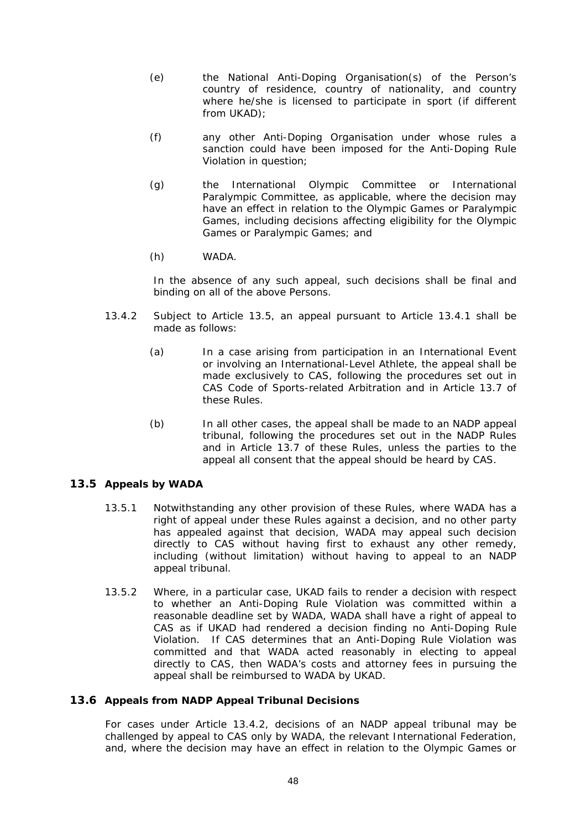- <span id="page-54-0"></span>(e) the National Anti-Doping Organisation(s) of the Person's country of residence, country of nationality, and country where he/she is licensed to participate in sport (if different from UKAD);
- (f) any other Anti-Doping Organisation under whose rules a sanction could have been imposed for the Anti-Doping Rule Violation in question;
- (g) the International Olympic Committee or International Paralympic Committee, as applicable, where the decision may have an effect in relation to the Olympic Games or Paralympic Games, including decisions affecting eligibility for the Olympic Games or Paralympic Games; and
- (h) WADA.

In the absence of any such appeal, such decisions shall be final and binding on all of the above Persons.

- <span id="page-54-2"></span>13.4.2 Subject to Article [13.5](#page-54-1), an appeal pursuant to Article [13.4.1](#page-53-3) shall be made as follows:
	- (a) In a case arising from participation in an International Event or involving an International-Level Athlete, the appeal shall be made exclusively to CAS, following the procedures set out in CAS Code of Sports-related Arbitration and in Article [13.7](#page-55-1) of these Rules.
	- (b) In all other cases, the appeal shall be made to an NADP appeal tribunal, following the procedures set out in the NADP Rules and in Article [13.7](#page-55-1) of these Rules, unless the parties to the appeal all consent that the appeal should be heard by CAS.

### <span id="page-54-1"></span>**13.5 Appeals by WADA**

- 13.5.1 Notwithstanding any other provision of these Rules, where WADA has a right of appeal under these Rules against a decision, and no other party has appealed against that decision, WADA may appeal such decision directly to CAS without having first to exhaust any other remedy, including (without limitation) without having to appeal to an NADP appeal tribunal.
- 13.5.2 Where, in a particular case, UKAD fails to render a decision with respect to whether an Anti-Doping Rule Violation was committed within a reasonable deadline set by WADA, WADA shall have a right of appeal to CAS as if UKAD had rendered a decision finding no Anti-Doping Rule Violation. If CAS determines that an Anti-Doping Rule Violation was committed and that WADA acted reasonably in electing to appeal directly to CAS, then WADA's costs and attorney fees in pursuing the appeal shall be reimbursed to WADA by UKAD.

### **13.6 Appeals from NADP Appeal Tribunal Decisions**

For cases under Article [13.4.2](#page-54-2), decisions of an NADP appeal tribunal may be challenged by appeal to CAS only by WADA, the relevant International Federation, and, where the decision may have an effect in relation to the Olympic Games or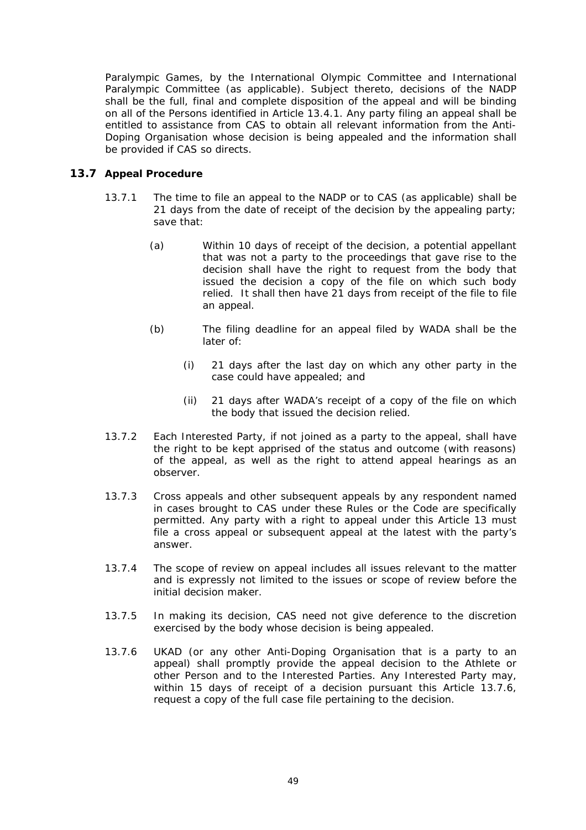<span id="page-55-0"></span>Paralympic Games, by the International Olympic Committee and International Paralympic Committee (as applicable). Subject thereto, decisions of the NADP shall be the full, final and complete disposition of the appeal and will be binding on all of the Persons identified in Article [13.4.1.](#page-53-3) Any party filing an appeal shall be entitled to assistance from CAS to obtain all relevant information from the Anti-Doping Organisation whose decision is being appealed and the information shall be provided if CAS so directs.

### <span id="page-55-1"></span>**13.7 Appeal Procedure**

- 13.7.1 The time to file an appeal to the NADP or to CAS (as applicable) shall be 21 days from the date of receipt of the decision by the appealing party; save that:
	- (a) Within 10 days of receipt of the decision, a potential appellant that was not a party to the proceedings that gave rise to the decision shall have the right to request from the body that issued the decision a copy of the file on which such body relied. It shall then have 21 days from receipt of the file to file an appeal.
	- (b) The filing deadline for an appeal filed by WADA shall be the later of:
		- (i) 21 days after the last day on which any other party in the case could have appealed; and
		- (ii) 21 days after WADA's receipt of a copy of the file on which the body that issued the decision relied.
- 13.7.2 Each Interested Party, if not joined as a party to the appeal, shall have the right to be kept apprised of the status and outcome (with reasons) of the appeal, as well as the right to attend appeal hearings as an observer.
- 13.7.3 Cross appeals and other subsequent appeals by any respondent named in cases brought to CAS under these Rules or the Code are specifically permitted. Any party with a right to appeal under this Article 13 must file a cross appeal or subsequent appeal at the latest with the party's answer.
- 13.7.4 The scope of review on appeal includes all issues relevant to the matter and is expressly not limited to the issues or scope of review before the initial decision maker.
- 13.7.5 In making its decision, CAS need not give deference to the discretion exercised by the body whose decision is being appealed.
- <span id="page-55-2"></span>13.7.6 UKAD (or any other Anti-Doping Organisation that is a party to an appeal) shall promptly provide the appeal decision to the Athlete or other Person and to the Interested Parties. Any Interested Party may, within 15 days of receipt of a decision pursuant this Article [13.7.6,](#page-55-2) request a copy of the full case file pertaining to the decision.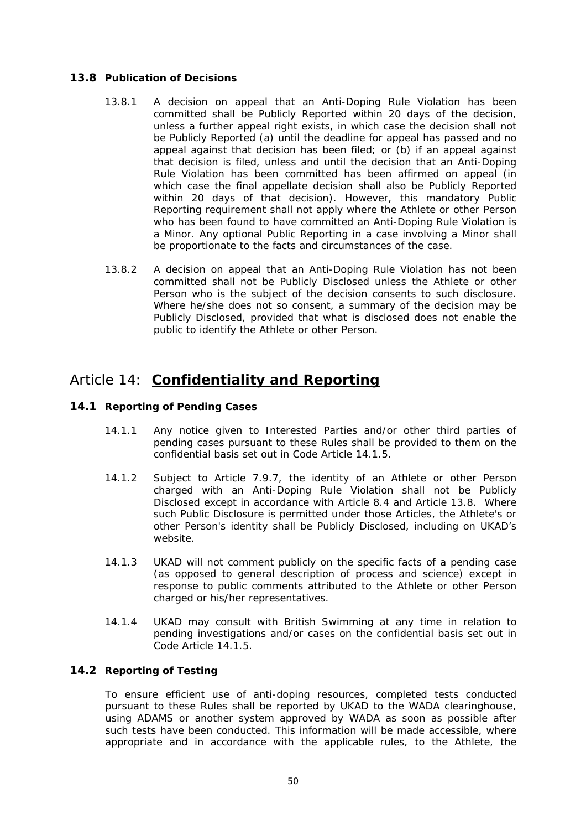### <span id="page-56-1"></span><span id="page-56-0"></span>**13.8 Publication of Decisions**

- 13.8.1 A decision on appeal that an Anti-Doping Rule Violation has been committed shall be Publicly Reported within 20 days of the decision, unless a further appeal right exists, in which case the decision shall not be Publicly Reported (a) until the deadline for appeal has passed and no appeal against that decision has been filed; or (b) if an appeal against that decision is filed, unless and until the decision that an Anti-Doping Rule Violation has been committed has been affirmed on appeal (in which case the final appellate decision shall also be Publicly Reported within 20 days of that decision). However, this mandatory Public Reporting requirement shall not apply where the Athlete or other Person who has been found to have committed an Anti-Doping Rule Violation is a Minor. Any optional Public Reporting in a case involving a Minor shall be proportionate to the facts and circumstances of the case.
- 13.8.2 A decision on appeal that an Anti-Doping Rule Violation has not been committed shall not be Publicly Disclosed unless the Athlete or other Person who is the subject of the decision consents to such disclosure. Where he/she does not so consent, a summary of the decision may be Publicly Disclosed, provided that what is disclosed does not enable the public to identify the Athlete or other Person.

# Article 14: **Confidentiality and Reporting**

### **14.1 Reporting of Pending Cases**

- 14.1.1 Any notice given to Interested Parties and/or other third parties of pending cases pursuant to these Rules shall be provided to them on the confidential basis set out in Code Article 14.1.5.
- 14.1.2 Subject to Article [7.9.7,](#page-38-0) the identity of an Athlete or other Person charged with an Anti-Doping Rule Violation shall not be Publicly Disclosed except in accordance with Article [8.4](#page-41-1) and Article [13.8](#page-56-1). Where such Public Disclosure is permitted under those Articles, the Athlete's or other Person's identity shall be Publicly Disclosed, including on UKAD's website.
- 14.1.3 UKAD will not comment publicly on the specific facts of a pending case (as opposed to general description of process and science) except in response to public comments attributed to the Athlete or other Person charged or his/her representatives.
- 14.1.4 UKAD may consult with British Swimming at any time in relation to pending investigations and/or cases on the confidential basis set out in Code Article 14.1.5.

### **14.2 Reporting of Testing**

To ensure efficient use of anti-doping resources, completed tests conducted pursuant to these Rules shall be reported by UKAD to the WADA clearinghouse, using ADAMS or another system approved by WADA as soon as possible after such tests have been conducted. This information will be made accessible, where appropriate and in accordance with the applicable rules, to the Athlete, the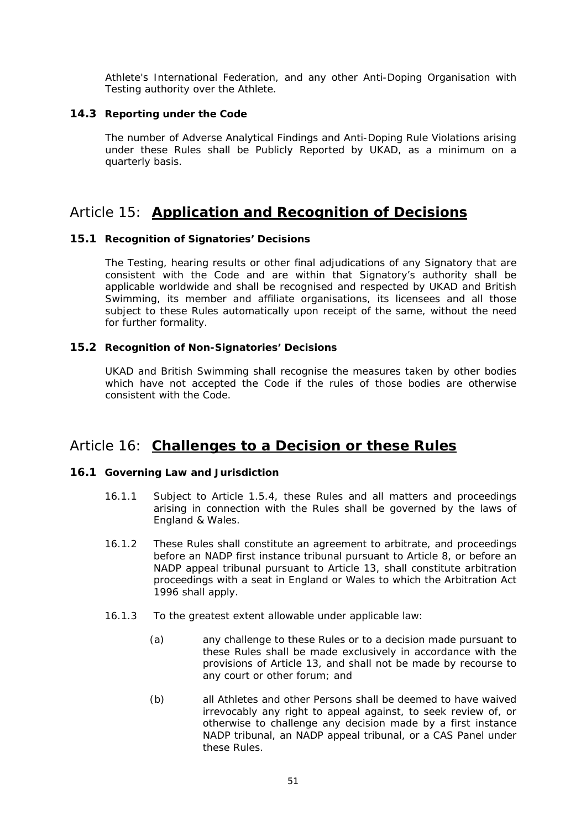<span id="page-57-0"></span>Athlete's International Federation, and any other Anti-Doping Organisation with Testing authority over the Athlete.

### **14.3 Reporting under the Code**

The number of Adverse Analytical Findings and Anti-Doping Rule Violations arising under these Rules shall be Publicly Reported by UKAD, as a minimum on a quarterly basis.

# Article 15: **Application and Recognition of Decisions**

### **15.1 Recognition of Signatories' Decisions**

The Testing, hearing results or other final adjudications of any Signatory that are consistent with the Code and are within that Signatory's authority shall be applicable worldwide and shall be recognised and respected by UKAD and British Swimming, its member and affiliate organisations, its licensees and all those subject to these Rules automatically upon receipt of the same, without the need for further formality.

### **15.2 Recognition of Non-Signatories' Decisions**

UKAD and British Swimming shall recognise the measures taken by other bodies which have not accepted the Code if the rules of those bodies are otherwise consistent with the Code.

# Article 16: **Challenges to a Decision or these Rules**

### <span id="page-57-1"></span>**16.1 Governing Law and Jurisdiction**

- 16.1.1 Subject to Article [1.5.4,](#page-12-2) these Rules and all matters and proceedings arising in connection with the Rules shall be governed by the laws of England & Wales.
- 16.1.2 These Rules shall constitute an agreement to arbitrate, and proceedings before an NADP first instance tribunal pursuant to Article 8, or before an NADP appeal tribunal pursuant to Article 13, shall constitute arbitration proceedings with a seat in England or Wales to which the Arbitration Act 1996 shall apply.
- <span id="page-57-2"></span>16.1.3 To the greatest extent allowable under applicable law:
	- (a) any challenge to these Rules or to a decision made pursuant to these Rules shall be made exclusively in accordance with the provisions of Article 13, and shall not be made by recourse to any court or other forum; and
	- (b) all Athletes and other Persons shall be deemed to have waived irrevocably any right to appeal against, to seek review of, or otherwise to challenge any decision made by a first instance NADP tribunal, an NADP appeal tribunal, or a CAS Panel under these Rules.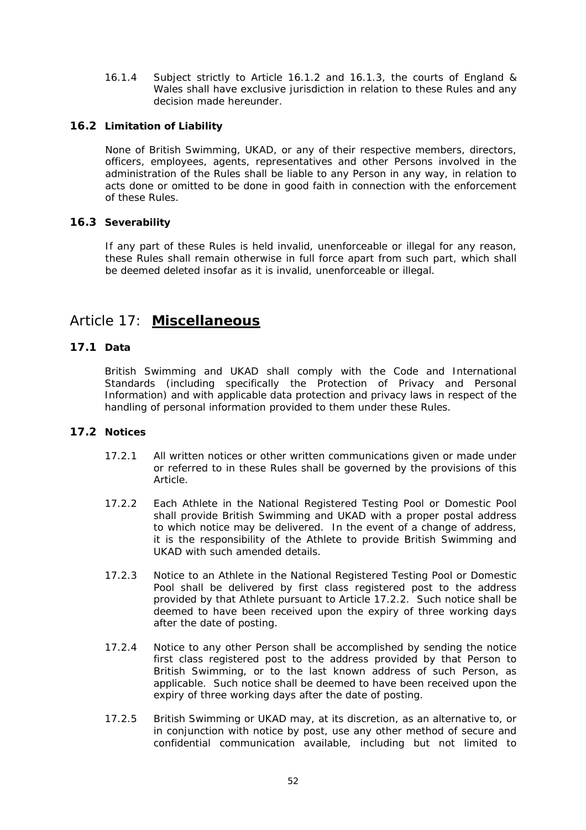<span id="page-58-0"></span>16.1.4 Subject strictly to Article [16.1.2](#page-57-1) and [16.1.3,](#page-57-2) the courts of England & Wales shall have exclusive jurisdiction in relation to these Rules and any decision made hereunder.

### **16.2 Limitation of Liability**

None of British Swimming, UKAD, or any of their respective members, directors, officers, employees, agents, representatives and other Persons involved in the administration of the Rules shall be liable to any Person in any way, in relation to acts done or omitted to be done in good faith in connection with the enforcement of these Rules.

### **16.3 Severability**

If any part of these Rules is held invalid, unenforceable or illegal for any reason, these Rules shall remain otherwise in full force apart from such part, which shall be deemed deleted insofar as it is invalid, unenforceable or illegal.

# Article 17: **Miscellaneous**

### **17.1 Data**

British Swimming and UKAD shall comply with the Code and International Standards (including specifically the Protection of Privacy and Personal Information) and with applicable data protection and privacy laws in respect of the handling of personal information provided to them under these Rules.

### <span id="page-58-2"></span><span id="page-58-1"></span>**17.2 Notices**

- 17.2.1 All written notices or other written communications given or made under or referred to in these Rules shall be governed by the provisions of this Article.
- 17.2.2 Each Athlete in the National Registered Testing Pool or Domestic Pool shall provide British Swimming and UKAD with a proper postal address to which notice may be delivered. In the event of a change of address, it is the responsibility of the Athlete to provide British Swimming and UKAD with such amended details.
- 17.2.3 Notice to an Athlete in the National Registered Testing Pool or Domestic Pool shall be delivered by first class registered post to the address provided by that Athlete pursuant to Article [17.2.2](#page-58-2). Such notice shall be deemed to have been received upon the expiry of three working days after the date of posting.
- 17.2.4 Notice to any other Person shall be accomplished by sending the notice first class registered post to the address provided by that Person to British Swimming, or to the last known address of such Person, as applicable. Such notice shall be deemed to have been received upon the expiry of three working days after the date of posting.
- 17.2.5 British Swimming or UKAD may, at its discretion, as an alternative to, or in conjunction with notice by post, use any other method of secure and confidential communication available, including but not limited to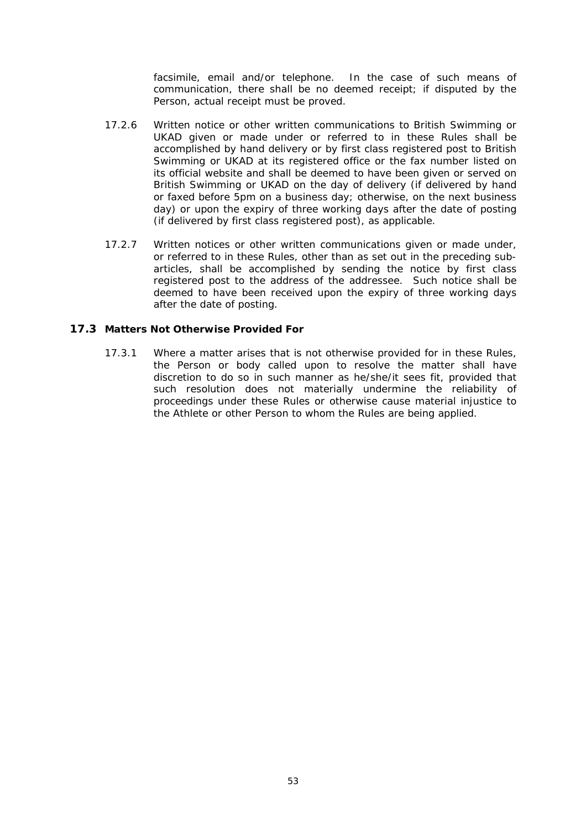facsimile, email and/or telephone. In the case of such means of communication, there shall be no deemed receipt; if disputed by the Person, actual receipt must be proved.

- <span id="page-59-0"></span>17.2.6 Written notice or other written communications to British Swimming or UKAD given or made under or referred to in these Rules shall be accomplished by hand delivery or by first class registered post to British Swimming or UKAD at its registered office or the fax number listed on its official website and shall be deemed to have been given or served on British Swimming or UKAD on the day of delivery (if delivered by hand or faxed before 5pm on a business day; otherwise, on the next business day) or upon the expiry of three working days after the date of posting (if delivered by first class registered post), as applicable.
- 17.2.7 Written notices or other written communications given or made under, or referred to in these Rules, other than as set out in the preceding subarticles, shall be accomplished by sending the notice by first class registered post to the address of the addressee. Such notice shall be deemed to have been received upon the expiry of three working days after the date of posting.

### **17.3 Matters Not Otherwise Provided For**

17.3.1 Where a matter arises that is not otherwise provided for in these Rules, the Person or body called upon to resolve the matter shall have discretion to do so in such manner as he/she/it sees fit, provided that such resolution does not materially undermine the reliability of proceedings under these Rules or otherwise cause material injustice to the Athlete or other Person to whom the Rules are being applied.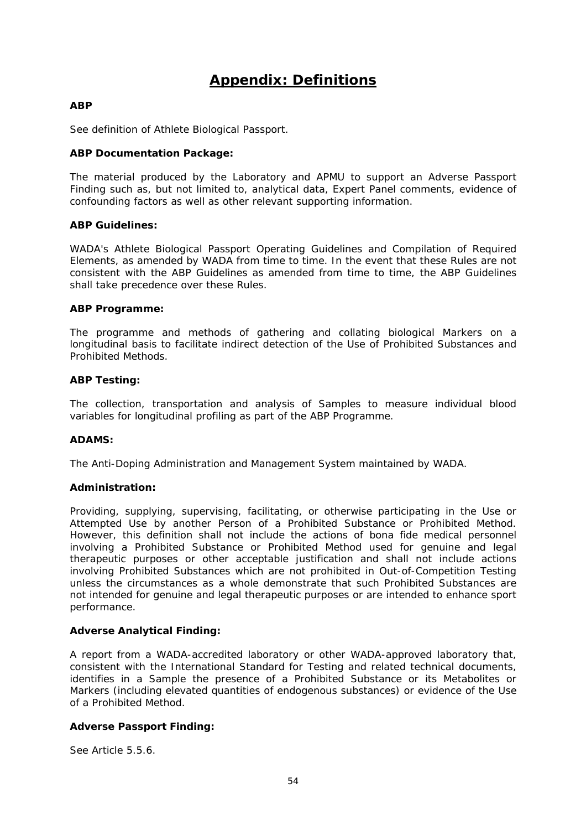# **Appendix: Definitions**

### <span id="page-60-0"></span>**ABP**

See definition of Athlete Biological Passport.

### **ABP Documentation Package:**

The material produced by the Laboratory and APMU to support an Adverse Passport Finding such as, but not limited to, analytical data, Expert Panel comments, evidence of confounding factors as well as other relevant supporting information.

### **ABP Guidelines:**

WADA's Athlete Biological Passport Operating Guidelines and Compilation of Required Elements, as amended by WADA from time to time. In the event that these Rules are not consistent with the ABP Guidelines as amended from time to time, the ABP Guidelines shall take precedence over these Rules.

### **ABP Programme:**

The programme and methods of gathering and collating biological Markers on a longitudinal basis to facilitate indirect detection of the Use of Prohibited Substances and Prohibited Methods.

### **ABP Testing:**

The collection, transportation and analysis of Samples to measure individual blood variables for longitudinal profiling as part of the ABP Programme.

### **ADAMS:**

The Anti-Doping Administration and Management System maintained by WADA.

### **Administration:**

Providing, supplying, supervising, facilitating, or otherwise participating in the Use or Attempted Use by another Person of a Prohibited Substance or Prohibited Method. However, this definition shall not include the actions of bona fide medical personnel involving a Prohibited Substance or Prohibited Method used for genuine and legal therapeutic purposes or other acceptable justification and shall not include actions involving Prohibited Substances which are not prohibited in Out-of-Competition Testing unless the circumstances as a whole demonstrate that such Prohibited Substances are not intended for genuine and legal therapeutic purposes or are intended to enhance sport performance.

### **Adverse Analytical Finding:**

A report from a WADA-accredited laboratory or other WADA-approved laboratory that, consistent with the International Standard for Testing and related technical documents, identifies in a Sample the presence of a Prohibited Substance or its Metabolites or Markers (including elevated quantities of endogenous substances) or evidence of the Use of a Prohibited Method.

### **Adverse Passport Finding:**

See Article [5.5.6.](#page-25-1)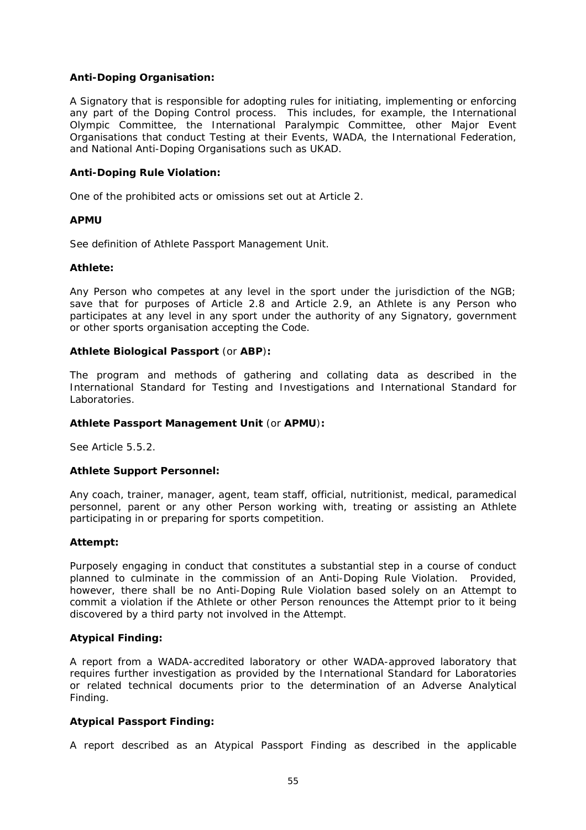### **Anti-Doping Organisation:**

A Signatory that is responsible for adopting rules for initiating, implementing or enforcing any part of the Doping Control process. This includes, for example, the International Olympic Committee, the International Paralympic Committee, other Major Event Organisations that conduct Testing at their Events, WADA, the International Federation, and National Anti-Doping Organisations such as UKAD.

### **Anti-Doping Rule Violation:**

One of the prohibited acts or omissions set out at Article 2.

### **APMU**

See definition of Athlete Passport Management Unit.

### **Athlete:**

Any Person who competes at any level in the sport under the jurisdiction of the NGB; save that for purposes of Article 2.8 and Article [2.9](#page-15-6), an Athlete is any Person who participates at any level in any sport under the authority of any Signatory, government or other sports organisation accepting the Code.

### **Athlete Biological Passport** (or **ABP**)**:**

The program and methods of gathering and collating data as described in the International Standard for Testing and Investigations and International Standard for Laboratories.

### **Athlete Passport Management Unit** (or **APMU**)**:**

See Article [5.5.2.](#page-25-2)

### **Athlete Support Personnel:**

Any coach, trainer, manager, agent, team staff, official, nutritionist, medical, paramedical personnel, parent or any other Person working with, treating or assisting an Athlete participating in or preparing for sports competition.

### **Attempt:**

Purposely engaging in conduct that constitutes a substantial step in a course of conduct planned to culminate in the commission of an Anti-Doping Rule Violation. Provided, however, there shall be no Anti-Doping Rule Violation based solely on an Attempt to commit a violation if the Athlete or other Person renounces the Attempt prior to it being discovered by a third party not involved in the Attempt.

### **Atypical Finding:**

A report from a WADA-accredited laboratory or other WADA-approved laboratory that requires further investigation as provided by the International Standard for Laboratories or related technical documents prior to the determination of an Adverse Analytical Finding.

### **Atypical Passport Finding:**

A report described as an Atypical Passport Finding as described in the applicable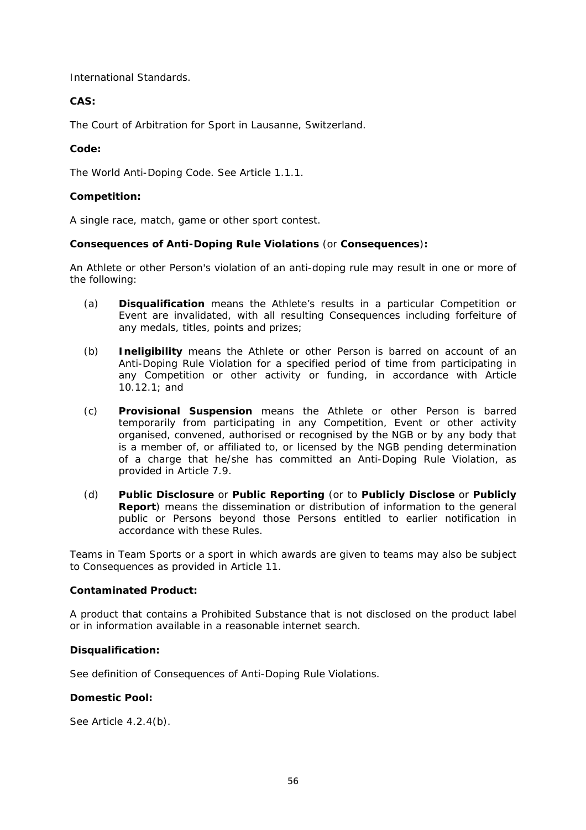International Standards.

### **CAS:**

The Court of Arbitration for Sport in Lausanne, Switzerland.

### **Code:**

The World Anti-Doping Code. See Article [1.1.1](#page-7-1).

### **Competition:**

A single race, match, game or other sport contest.

### **Consequences of Anti-Doping Rule Violations** (or **Consequences**)**:**

An Athlete or other Person's violation of an anti-doping rule may result in one or more of the following:

- (a) **Disqualification** means the Athlete's results in a particular Competition or Event are invalidated, with all resulting Consequences including forfeiture of any medals, titles, points and prizes;
- (b) **Ineligibility** means the Athlete or other Person is barred on account of an Anti-Doping Rule Violation for a specified period of time from participating in any Competition or other activity or funding, in accordance with Article [10.12.1;](#page-50-1) and
- (c) **Provisional Suspension** means the Athlete or other Person is barred temporarily from participating in any Competition, Event or other activity organised, convened, authorised or recognised by the NGB or by any body that is a member of, or affiliated to, or licensed by the NGB pending determination of a charge that he/she has committed an Anti-Doping Rule Violation, as provided in Article [7.9.](#page-36-3)
- (d) **Public Disclosure** or **Public Reporting** (or to **Publicly Disclose** or **Publicly Report**) means the dissemination or distribution of information to the general public or Persons beyond those Persons entitled to earlier notification in accordance with these Rules.

Teams in Team Sports or a sport in which awards are given to teams may also be subject to Consequences as provided in Article 11.

### **Contaminated Product:**

A product that contains a Prohibited Substance that is not disclosed on the product label or in information available in a reasonable internet search.

### **Disqualification:**

See definition of Consequences of Anti-Doping Rule Violations.

### **Domestic Pool:**

See Article [4.2.4\(b\)](#page-20-2).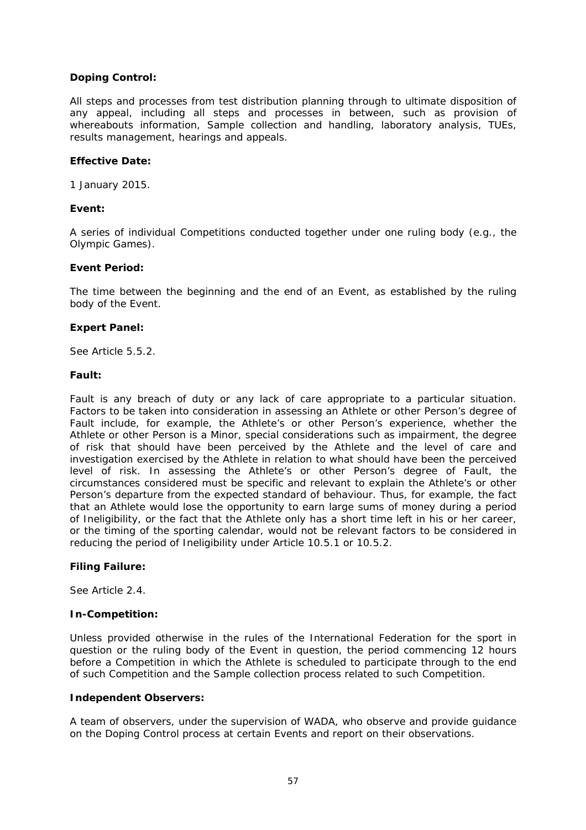### **Doping Control:**

All steps and processes from test distribution planning through to ultimate disposition of any appeal, including all steps and processes in between, such as provision of whereabouts information, Sample collection and handling, laboratory analysis, TUEs, results management, hearings and appeals.

### **Effective Date:**

1 January 2015.

### **Event:**

A series of individual Competitions conducted together under one ruling body (e.g., the Olympic Games).

### **Event Period:**

The time between the beginning and the end of an Event, as established by the ruling body of the Event.

### **Expert Panel:**

See Article [5.5.2.](#page-25-3)

### **Fault:**

Fault is any breach of duty or any lack of care appropriate to a particular situation. Factors to be taken into consideration in assessing an Athlete or other Person's degree of Fault include, for example, the Athlete's or other Person's experience, whether the Athlete or other Person is a Minor, special considerations such as impairment, the degree of risk that should have been perceived by the Athlete and the level of care and investigation exercised by the Athlete in relation to what should have been the perceived level of risk. In assessing the Athlete's or other Person's degree of Fault, the circumstances considered must be specific and relevant to explain the Athlete's or other Person's departure from the expected standard of behaviour. Thus, for example, the fact that an Athlete would lose the opportunity to earn large sums of money during a period of Ineligibility, or the fact that the Athlete only has a short time left in his or her career, or the timing of the sporting calendar, would not be relevant factors to be considered in reducing the period of Ineligibility under Article [10.5.1](#page-44-3) or [10.5.2.](#page-45-5)

### **Filing Failure:**

See Article [2.4.](#page-14-3)

### **In-Competition:**

Unless provided otherwise in the rules of the International Federation for the sport in question or the ruling body of the Event in question, the period commencing 12 hours before a Competition in which the Athlete is scheduled to participate through to the end of such Competition and the Sample collection process related to such Competition.

### **Independent Observers:**

A team of observers, under the supervision of WADA, who observe and provide guidance on the Doping Control process at certain Events and report on their observations.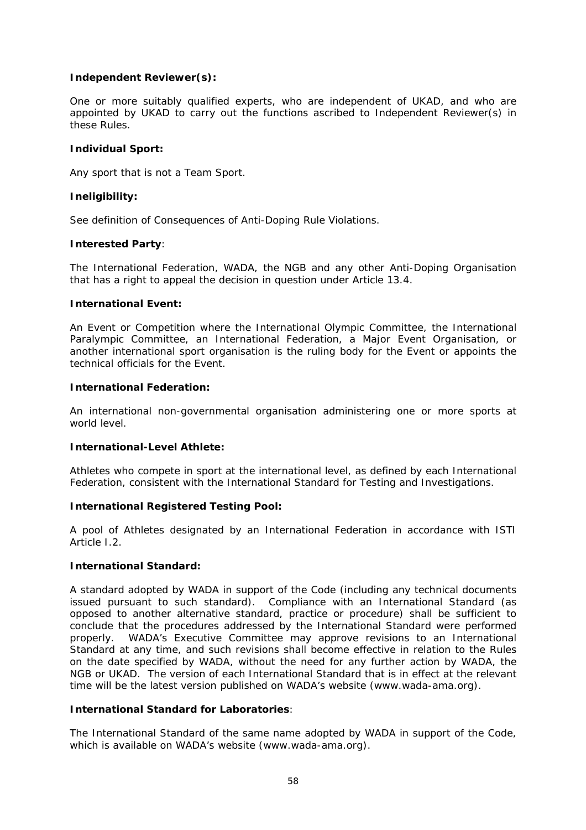### **Independent Reviewer(s):**

One or more suitably qualified experts, who are independent of UKAD, and who are appointed by UKAD to carry out the functions ascribed to Independent Reviewer(s) in these Rules.

### **Individual Sport:**

Any sport that is not a Team Sport.

### **Ineligibility:**

See definition of Consequences of Anti-Doping Rule Violations.

### **Interested Party**:

The International Federation, WADA, the NGB and any other Anti-Doping Organisation that has a right to appeal the decision in question under Article [13.4.](#page-53-1)

### **International Event:**

An Event or Competition where the International Olympic Committee, the International Paralympic Committee, an International Federation, a Major Event Organisation, or another international sport organisation is the ruling body for the Event or appoints the technical officials for the Event.

### **International Federation:**

An international non-governmental organisation administering one or more sports at world level.

### **International-Level Athlete:**

Athletes who compete in sport at the international level, as defined by each International Federation, consistent with the International Standard for Testing and Investigations.

### **International Registered Testing Pool:**

A pool of Athletes designated by an International Federation in accordance with ISTI Article I.2.

### **International Standard:**

A standard adopted by WADA in support of the Code (including any technical documents issued pursuant to such standard). Compliance with an International Standard (as opposed to another alternative standard, practice or procedure) shall be sufficient to conclude that the procedures addressed by the International Standard were performed properly. WADA's Executive Committee may approve revisions to an International Standard at any time, and such revisions shall become effective in relation to the Rules on the date specified by WADA, without the need for any further action by WADA, the NGB or UKAD. The version of each International Standard that is in effect at the relevant time will be the latest version published on WADA's website (www.wada-ama.org).

### **International Standard for Laboratories**:

The International Standard of the same name adopted by WADA in support of the Code, which is available on WADA's website (www.wada-ama.org).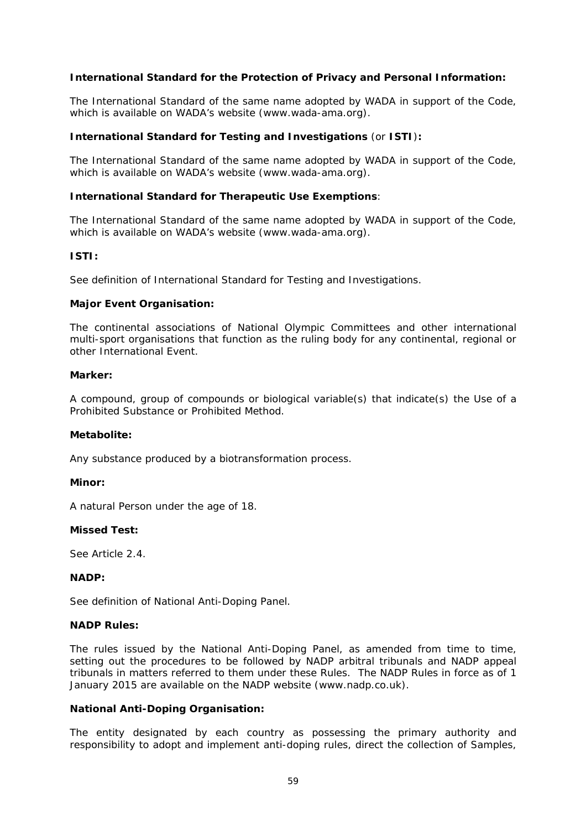### **International Standard for the Protection of Privacy and Personal Information:**

The International Standard of the same name adopted by WADA in support of the Code, which is available on WADA's website (www.wada-ama.org).

### **International Standard for Testing and Investigations** (or **ISTI**)**:**

The International Standard of the same name adopted by WADA in support of the Code, which is available on WADA's website (www.wada-ama.org).

### **International Standard for Therapeutic Use Exemptions**:

The International Standard of the same name adopted by WADA in support of the Code, which is available on WADA's website (www.wada-ama.org).

### **ISTI:**

See definition of International Standard for Testing and Investigations.

### **Major Event Organisation:**

The continental associations of National Olympic Committees and other international multi-sport organisations that function as the ruling body for any continental, regional or other International Event.

### **Marker:**

A compound, group of compounds or biological variable(s) that indicate(s) the Use of a Prohibited Substance or Prohibited Method.

### **Metabolite:**

Any substance produced by a biotransformation process.

### **Minor:**

A natural Person under the age of 18.

### **Missed Test:**

See Article [2.4.](#page-14-3)

### **NADP:**

See definition of National Anti-Doping Panel.

### **NADP Rules:**

The rules issued by the National Anti-Doping Panel, as amended from time to time, setting out the procedures to be followed by NADP arbitral tribunals and NADP appeal tribunals in matters referred to them under these Rules. The NADP Rules in force as of 1 January 2015 are available on the NADP website (www.nadp.co.uk).

### **National Anti-Doping Organisation:**

The entity designated by each country as possessing the primary authority and responsibility to adopt and implement anti-doping rules, direct the collection of Samples,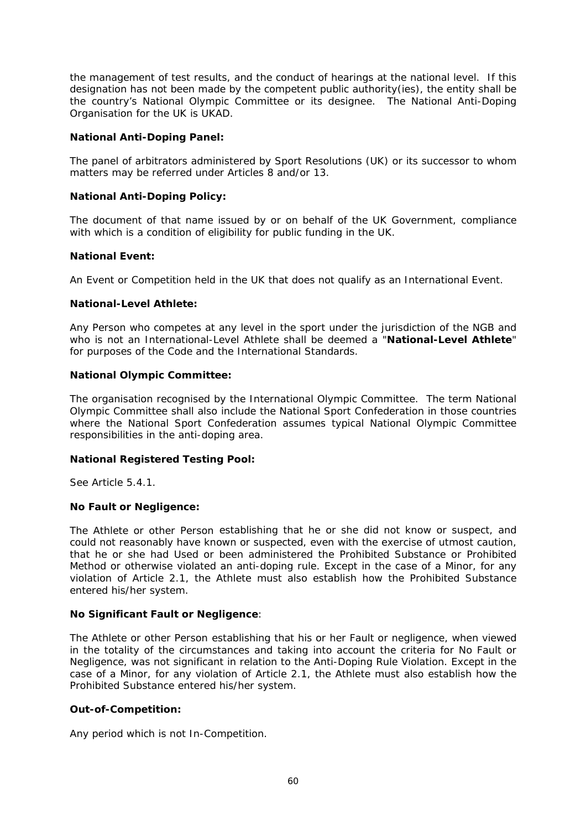the management of test results, and the conduct of hearings at the national level. If this designation has not been made by the competent public authority(ies), the entity shall be the country's National Olympic Committee or its designee. The National Anti-Doping Organisation for the UK is UKAD.

### **National Anti-Doping Panel:**

The panel of arbitrators administered by Sport Resolutions (UK) or its successor to whom matters may be referred under Articles 8 and/or 13.

### **National Anti-Doping Policy:**

The document of that name issued by or on behalf of the UK Government, compliance with which is a condition of eligibility for public funding in the UK.

### **National Event:**

An Event or Competition held in the UK that does not qualify as an International Event.

### **National-Level Athlete:**

Any Person who competes at any level in the sport under the jurisdiction of the NGB and who is not an International-Level Athlete shall be deemed a "**National-Level Athlete**" for purposes of the Code and the International Standards.

### **National Olympic Committee:**

The organisation recognised by the International Olympic Committee. The term National Olympic Committee shall also include the National Sport Confederation in those countries where the National Sport Confederation assumes typical National Olympic Committee responsibilities in the anti-doping area.

### **National Registered Testing Pool:**

See Article [5.4.1.](#page-24-1)

### **No Fault or Negligence:**

The Athlete or other Person establishing that he or she did not know or suspect, and could not reasonably have known or suspected, even with the exercise of utmost caution, that he or she had Used or been administered the Prohibited Substance or Prohibited Method or otherwise violated an anti-doping rule. Except in the case of a Minor, for any violation of Article [2.1](#page-13-1), the Athlete must also establish how the Prohibited Substance entered his/her system.

### **No Significant Fault or Negligence**:

The Athlete or other Person establishing that his or her Fault or negligence, when viewed in the totality of the circumstances and taking into account the criteria for No Fault or Negligence, was not significant in relation to the Anti-Doping Rule Violation. Except in the case of a Minor, for any violation of Article [2.1,](#page-13-1) the Athlete must also establish how the Prohibited Substance entered his/her system.

### **Out-of-Competition:**

Any period which is not In-Competition.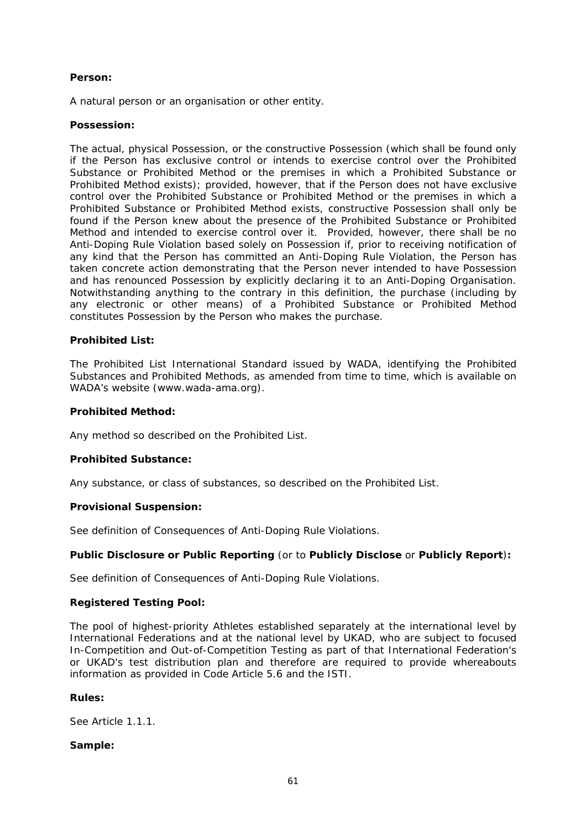### **Person:**

A natural person or an organisation or other entity.

### **Possession:**

The actual, physical Possession, or the constructive Possession (which shall be found only if the Person has exclusive control or intends to exercise control over the Prohibited Substance or Prohibited Method or the premises in which a Prohibited Substance or Prohibited Method exists); provided, however, that if the Person does not have exclusive control over the Prohibited Substance or Prohibited Method or the premises in which a Prohibited Substance or Prohibited Method exists, constructive Possession shall only be found if the Person knew about the presence of the Prohibited Substance or Prohibited Method and intended to exercise control over it. Provided, however, there shall be no Anti-Doping Rule Violation based solely on Possession if, prior to receiving notification of any kind that the Person has committed an Anti-Doping Rule Violation, the Person has taken concrete action demonstrating that the Person never intended to have Possession and has renounced Possession by explicitly declaring it to an Anti-Doping Organisation. Notwithstanding anything to the contrary in this definition, the purchase (including by any electronic or other means) of a Prohibited Substance or Prohibited Method constitutes Possession by the Person who makes the purchase.

### **Prohibited List:**

The Prohibited List International Standard issued by WADA, identifying the Prohibited Substances and Prohibited Methods, as amended from time to time, which is available on WADA's website (www.wada-ama.org).

### **Prohibited Method:**

Any method so described on the Prohibited List.

### **Prohibited Substance:**

Any substance, or class of substances, so described on the Prohibited List.

### **Provisional Suspension:**

See definition of Consequences of Anti-Doping Rule Violations.

### **Public Disclosure or Public Reporting** (or to **Publicly Disclose** or **Publicly Report**)**:**

See definition of Consequences of Anti-Doping Rule Violations.

### **Registered Testing Pool:**

The pool of highest-priority Athletes established separately at the international level by International Federations and at the national level by UKAD, who are subject to focused In-Competition and Out-of-Competition Testing as part of that International Federation's or UKAD's test distribution plan and therefore are required to provide whereabouts information as provided in Code Article 5.6 and the ISTI.

### **Rules:**

See Article [1.1.1.](#page-7-1)

### **Sample:**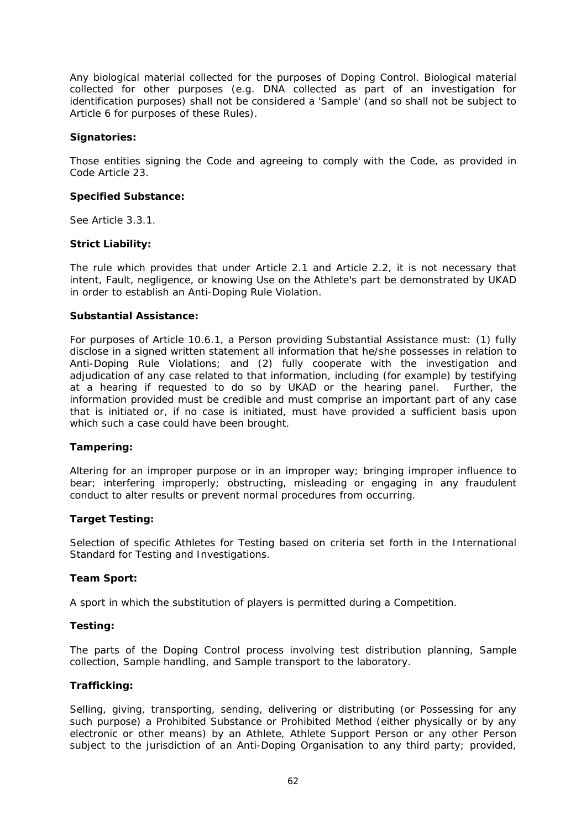Any biological material collected for the purposes of Doping Control. Biological material collected for other purposes (e.g. DNA collected as part of an investigation for identification purposes) shall not be considered a 'Sample' (and so shall not be subject to Article 6 for purposes of these Rules).

### **Signatories:**

Those entities signing the Code and agreeing to comply with the Code, as provided in Code Article 23.

### **Specified Substance:**

See Article [3.3.1.](#page-17-1)

### **Strict Liability:**

The rule which provides that under Article [2.1](#page-13-1) and Article [2.2](#page-14-2), it is not necessary that intent, Fault, negligence, or knowing Use on the Athlete's part be demonstrated by UKAD in order to establish an Anti-Doping Rule Violation.

### **Substantial Assistance:**

For purposes of Article [10.6.1,](#page-45-3) a Person providing Substantial Assistance must: (1) fully disclose in a signed written statement all information that he/she possesses in relation to Anti-Doping Rule Violations; and (2) fully cooperate with the investigation and adjudication of any case related to that information, including (for example) by testifying at a hearing if requested to do so by UKAD or the hearing panel. Further, the information provided must be credible and must comprise an important part of any case that is initiated or, if no case is initiated, must have provided a sufficient basis upon which such a case could have been brought.

### **Tampering:**

Altering for an improper purpose or in an improper way; bringing improper influence to bear; interfering improperly; obstructing, misleading or engaging in any fraudulent conduct to alter results or prevent normal procedures from occurring.

### **Target Testing:**

Selection of specific Athletes for Testing based on criteria set forth in the International Standard for Testing and Investigations.

### **Team Sport:**

A sport in which the substitution of players is permitted during a Competition.

### **Testing:**

The parts of the Doping Control process involving test distribution planning, Sample collection, Sample handling, and Sample transport to the laboratory.

### **Trafficking:**

Selling, giving, transporting, sending, delivering or distributing (or Possessing for any such purpose) a Prohibited Substance or Prohibited Method (either physically or by any electronic or other means) by an Athlete, Athlete Support Person or any other Person subject to the jurisdiction of an Anti-Doping Organisation to any third party; provided,